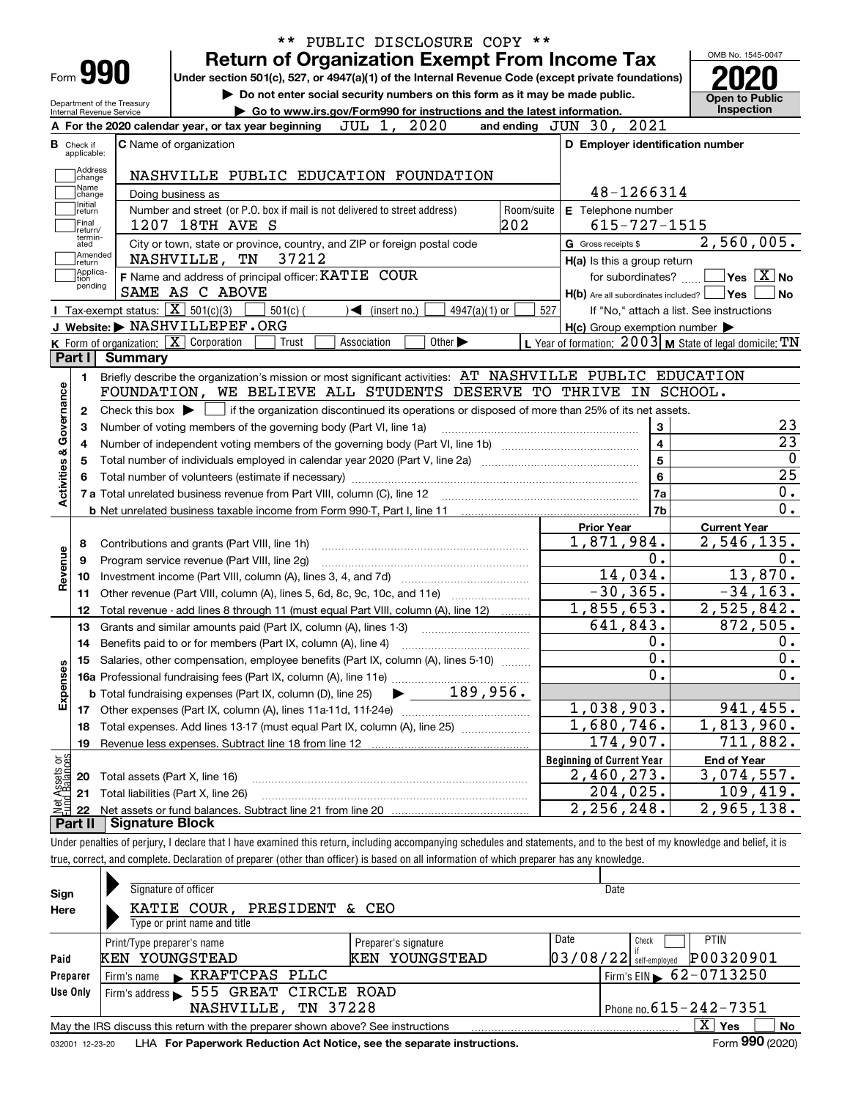|                                      |                                                     | ** PUBLIC DISCLOSURE COPY **                                                                                                                |                        |                                                           |                                          |
|--------------------------------------|-----------------------------------------------------|---------------------------------------------------------------------------------------------------------------------------------------------|------------------------|-----------------------------------------------------------|------------------------------------------|
| Form 990                             |                                                     | <b>Return of Organization Exempt From Income Tax</b>                                                                                        |                        |                                                           | OMB No. 1545-0047                        |
|                                      |                                                     | Under section 501(c), 527, or 4947(a)(1) of the Internal Revenue Code (except private foundations)                                          |                        |                                                           |                                          |
| Department of the Treasury           |                                                     | Do not enter social security numbers on this form as it may be made public.                                                                 |                        |                                                           | <b>Open to Public</b>                    |
| Internal Revenue Service             | A For the 2020 calendar year, or tax year beginning | Go to www.irs.gov/Form990 for instructions and the latest information.<br>JUL 1, 2020                                                       |                        | and ending JUN 30, 2021                                   | Inspection                               |
|                                      | C Name of organization                              |                                                                                                                                             |                        | D Employer identification number                          |                                          |
| <b>B</b> Check if<br>applicable:     |                                                     |                                                                                                                                             |                        |                                                           |                                          |
| Address<br>change                    |                                                     | NASHVILLE PUBLIC EDUCATION FOUNDATION                                                                                                       |                        |                                                           |                                          |
| Name<br>change                       | Doing business as                                   |                                                                                                                                             |                        | 48-1266314                                                |                                          |
| Initial<br>return                    |                                                     | Number and street (or P.O. box if mail is not delivered to street address)                                                                  | Room/suite             | E Telephone number                                        |                                          |
| Final<br>return/                     | 1207 18TH AVE S                                     |                                                                                                                                             | 202                    | 615-727-1515                                              |                                          |
| termin-<br>ated                      |                                                     | City or town, state or province, country, and ZIP or foreign postal code                                                                    |                        | G Gross receipts \$                                       | 2,560,005.                               |
| Amended<br>Ireturn                   | NASHVILLE, TN 37212                                 |                                                                                                                                             |                        | H(a) Is this a group return                               |                                          |
| Applica-<br>tion                     |                                                     | F Name and address of principal officer: KATIE COUR                                                                                         |                        | for subordinates?                                         | $\sqrt{}$ Yes $\sqrt{X}$ No              |
| pending                              | SAME AS C ABOVE                                     |                                                                                                                                             |                        | $H(b)$ Are all subordinates included? $\Box$ Yes          | No                                       |
|                                      | Tax-exempt status: $\boxed{\mathbf{X}}$ 501(c)(3)   | $501(c)$ (<br>$\blacktriangleleft$ (insert no.)                                                                                             | 527<br>$4947(a)(1)$ or |                                                           | If "No," attach a list. See instructions |
|                                      | J Website: MASHVILLEPEF.ORG                         |                                                                                                                                             |                        | $H(c)$ Group exemption number $\blacktriangleright$       |                                          |
|                                      | K Form of organization: X Corporation               | Other $\blacktriangleright$<br>Trust<br>Association                                                                                         |                        | L Year of formation: $2003$ M State of legal domicile: TN |                                          |
| Part I                               | Summary                                             |                                                                                                                                             |                        |                                                           |                                          |
| 1.                                   |                                                     | Briefly describe the organization's mission or most significant activities: AT NASHVILLE PUBLIC EDUCATION                                   |                        |                                                           |                                          |
| Activities & Governance              |                                                     | FOUNDATION, WE BELIEVE ALL STUDENTS DESERVE TO THRIVE IN SCHOOL.                                                                            |                        |                                                           |                                          |
| 2                                    |                                                     | Check this box $\blacktriangleright$ $\Box$ if the organization discontinued its operations or disposed of more than 25% of its net assets. |                        |                                                           |                                          |
| з                                    |                                                     | Number of voting members of the governing body (Part VI, line 1a)                                                                           |                        | 3                                                         | 23                                       |
| 4                                    |                                                     |                                                                                                                                             |                        | $\overline{\mathbf{4}}$                                   | $\overline{23}$                          |
| 5                                    |                                                     |                                                                                                                                             |                        | 5                                                         | $\overline{0}$                           |
|                                      |                                                     |                                                                                                                                             |                        | 6                                                         | $\overline{25}$                          |
|                                      |                                                     | 7 a Total unrelated business revenue from Part VIII, column (C), line 12 [11] [12] [11] [12] [11] [11] [12] [1                              |                        | 7a                                                        | 0.                                       |
|                                      |                                                     |                                                                                                                                             |                        | 7 <sub>b</sub>                                            | $\overline{0}$ .                         |
|                                      |                                                     |                                                                                                                                             |                        | <b>Prior Year</b>                                         | <b>Current Year</b>                      |
| 8                                    | Contributions and grants (Part VIII, line 1h)       |                                                                                                                                             |                        | 1,871,984.                                                | 2,546,135.                               |
| Revenue<br>9                         | Program service revenue (Part VIII, line 2g)        |                                                                                                                                             |                        | 0.                                                        | 0.                                       |
| 10                                   |                                                     |                                                                                                                                             |                        | 14,034.                                                   | 13,870.                                  |
| 11                                   |                                                     | Other revenue (Part VIII, column (A), lines 5, 6d, 8c, 9c, 10c, and 11e)                                                                    |                        | $-30, 365.$                                               | $-34, 163.$                              |
| 12                                   |                                                     | Total revenue - add lines 8 through 11 (must equal Part VIII, column (A), line 12)                                                          |                        | 1,855,653.                                                | 2,525,842.                               |
| 13                                   |                                                     | Grants and similar amounts paid (Part IX, column (A), lines 1-3)                                                                            |                        | 641,843.                                                  | 872, 505.                                |
| 14                                   |                                                     | Benefits paid to or for members (Part IX, column (A), line 4)                                                                               |                        | 0.                                                        | 0.                                       |
|                                      |                                                     | 15 Salaries, other compensation, employee benefits (Part IX, column (A), lines 5-10)                                                        |                        | $\overline{\mathbf{0}}$ .                                 | $\overline{\mathbf{0}}$ .                |
|                                      |                                                     |                                                                                                                                             |                        | $\mathbf{0}$ .                                            | 0.                                       |
| Expenses                             |                                                     |                                                                                                                                             |                        |                                                           |                                          |
|                                      |                                                     |                                                                                                                                             |                        | 1,038,903.                                                | 941, 455.                                |
| 18                                   |                                                     | Total expenses. Add lines 13-17 (must equal Part IX, column (A), line 25)                                                                   |                        | $\overline{1,680,746}$ .                                  | $\overline{1,813,960}$ .                 |
| 19                                   |                                                     | Revenue less expenses. Subtract line 18 from line 12                                                                                        |                        | 174,907.                                                  | 711,882.                                 |
|                                      |                                                     |                                                                                                                                             |                        | <b>Beginning of Current Year</b>                          | <b>End of Year</b>                       |
| 20                                   | Total assets (Part X, line 16)                      |                                                                                                                                             |                        | 2,460,273.                                                | 3,074,557.                               |
| Net Assets or<br>Fund Balances<br>21 | Total liabilities (Part X, line 26)                 |                                                                                                                                             |                        | 204,025.                                                  | 109,419.                                 |
| 22                                   |                                                     |                                                                                                                                             |                        | 2,256,248.                                                | 2,965,138.                               |
| Part II                              | <b>Signature Block</b>                              |                                                                                                                                             |                        |                                                           |                                          |

| Sign     | Signature of officer                                                                                                                                                                                                              |                                                                       | Date                  |  |  |  |  |  |  |
|----------|-----------------------------------------------------------------------------------------------------------------------------------------------------------------------------------------------------------------------------------|-----------------------------------------------------------------------|-----------------------|--|--|--|--|--|--|
| Here     | KATIE COUR, PRESIDENT & CEO<br>Type or print name and title                                                                                                                                                                       |                                                                       |                       |  |  |  |  |  |  |
| Paid     | Print/Type preparer's name<br><b>KEN YOUNGSTEAD</b>                                                                                                                                                                               | Date<br><b>PTIN</b><br>Check<br>P00320901<br>$03/08/22$ self-employed |                       |  |  |  |  |  |  |
| Preparer | Firm's name KRAFTCPAS PLLC                                                                                                                                                                                                        |                                                                       | Firm's EIN 62-0713250 |  |  |  |  |  |  |
| Use Only | Firm's address > 555 GREAT CIRCLE ROAD<br>NASHVILLE, TN 37228                                                                                                                                                                     | Phone no. $615 - 242 - 7351$                                          |                       |  |  |  |  |  |  |
|          | May the IRS discuss this return with the preparer shown above? See instructions                                                                                                                                                   |                                                                       | ΧI<br>No<br>Yes       |  |  |  |  |  |  |
|          | $\mathbf{r}$ . The contract of the contract of the contract of the contract of the contract of the contract of the contract of the contract of the contract of the contract of the contract of the contract of the contract of th |                                                                       | $\sim$ 000 $\sim$     |  |  |  |  |  |  |

true, correct, and complete. Declaration of preparer (other than officer) is based on all information of which preparer has any knowledge.

032001 12-23-20 LHA **For Paperwork Reduction Act Notice, see the separate instructions.** Form 990 (2020)

**990**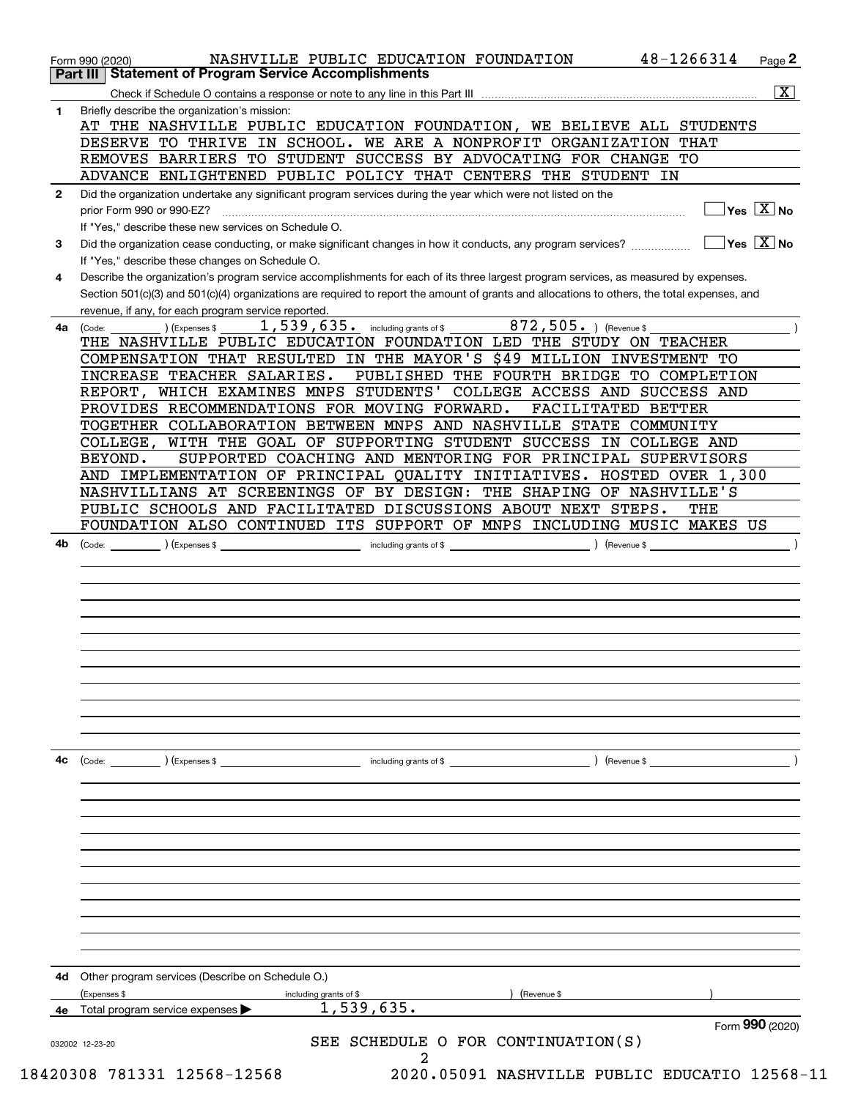|              | 48-1266314<br>NASHVILLE PUBLIC EDUCATION FOUNDATION<br>Page 2<br>Form 990 (2020)<br><b>Part III   Statement of Program Service Accomplishments</b>     |
|--------------|--------------------------------------------------------------------------------------------------------------------------------------------------------|
|              | $\overline{\mathbf{x}}$                                                                                                                                |
| $\mathbf 1$  | Briefly describe the organization's mission:                                                                                                           |
|              | AT THE NASHVILLE PUBLIC EDUCATION FOUNDATION, WE BELIEVE ALL STUDENTS                                                                                  |
|              | DESERVE TO THRIVE IN SCHOOL. WE ARE A NONPROFIT ORGANIZATION THAT<br>REMOVES BARRIERS TO STUDENT SUCCESS BY ADVOCATING FOR CHANGE TO                   |
|              | ADVANCE ENLIGHTENED PUBLIC POLICY THAT CENTERS THE STUDENT IN                                                                                          |
| $\mathbf{2}$ | Did the organization undertake any significant program services during the year which were not listed on the                                           |
|              | $\overline{\mathsf{Yes}\mathrel{\hspace{0.05cm}\mathbf{X}}$ No<br>prior Form 990 or 990-EZ?                                                            |
|              | If "Yes," describe these new services on Schedule O.                                                                                                   |
| 3            | $\sqrt{}$ Yes $\sqrt{}$ X $\sqrt{}$ No<br>Did the organization cease conducting, or make significant changes in how it conducts, any program services? |
|              | If "Yes," describe these changes on Schedule O.                                                                                                        |
| 4            | Describe the organization's program service accomplishments for each of its three largest program services, as measured by expenses.                   |
|              | Section 501(c)(3) and 501(c)(4) organizations are required to report the amount of grants and allocations to others, the total expenses, and           |
|              | revenue, if any, for each program service reported.<br>1,539,635. including grants of \$<br>872,505. ) (Revenue \$                                     |
| 4a           | (Expenses \$<br>(Code:<br>THE NASHVILLE PUBLIC EDUCATION FOUNDATION LED THE STUDY ON TEACHER                                                           |
|              | COMPENSATION THAT RESULTED IN THE MAYOR'S \$49 MILLION INVESTMENT TO                                                                                   |
|              | INCREASE TEACHER SALARIES.<br>PUBLISHED THE FOURTH BRIDGE TO COMPLETION                                                                                |
|              | REPORT, WHICH EXAMINES MNPS STUDENTS' COLLEGE ACCESS AND SUCCESS AND                                                                                   |
|              | PROVIDES RECOMMENDATIONS FOR MOVING FORWARD.<br>FACILITATED BETTER                                                                                     |
|              | TOGETHER COLLABORATION BETWEEN MNPS AND NASHVILLE STATE COMMUNITY                                                                                      |
|              | COLLEGE, WITH THE GOAL OF SUPPORTING STUDENT SUCCESS IN COLLEGE AND                                                                                    |
|              | SUPPORTED COACHING AND MENTORING FOR PRINCIPAL SUPERVISORS<br>BEYOND.                                                                                  |
|              | AND IMPLEMENTATION OF PRINCIPAL QUALITY INITIATIVES. HOSTED OVER 1,300                                                                                 |
|              | NASHVILLIANS AT SCREENINGS OF BY DESIGN: THE SHAPING OF NASHVILLE'S                                                                                    |
|              | PUBLIC SCHOOLS AND FACILITATED DISCUSSIONS ABOUT NEXT STEPS.<br>THE                                                                                    |
| 4b           | FOUNDATION ALSO CONTINUED ITS SUPPORT OF MNPS INCLUDING MUSIC MAKES US                                                                                 |
|              |                                                                                                                                                        |
|              |                                                                                                                                                        |
|              |                                                                                                                                                        |
|              |                                                                                                                                                        |
|              |                                                                                                                                                        |
|              |                                                                                                                                                        |
| 4c           | $\left(\text{Code:} \right) \left(\text{Expenses } \$\right)$<br>) (Revenue \$<br>including grants of \$                                               |
|              |                                                                                                                                                        |
|              |                                                                                                                                                        |
|              |                                                                                                                                                        |
|              |                                                                                                                                                        |
|              |                                                                                                                                                        |
|              |                                                                                                                                                        |
|              |                                                                                                                                                        |
|              |                                                                                                                                                        |
|              |                                                                                                                                                        |
|              |                                                                                                                                                        |
|              |                                                                                                                                                        |
|              |                                                                                                                                                        |
| 4d           | Other program services (Describe on Schedule O.)                                                                                                       |
|              | Expenses \$<br>(Revenue \$<br>including grants of \$                                                                                                   |
|              | 1,539,635.<br>4e Total program service expenses<br>Form 990 (2020)                                                                                     |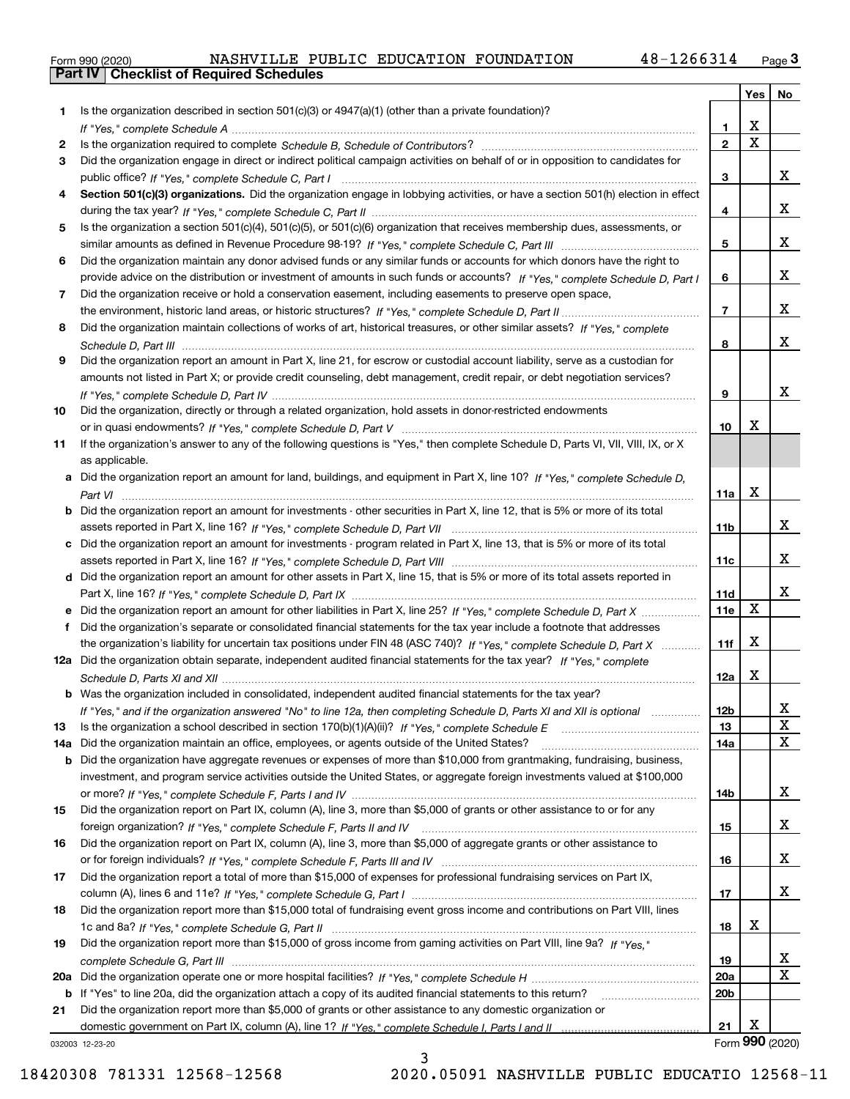|  | Form 990 (2020) |
|--|-----------------|
|  |                 |

|     |                                                                                                                                               |                 |             | Yes   No        |
|-----|-----------------------------------------------------------------------------------------------------------------------------------------------|-----------------|-------------|-----------------|
| 1   | Is the organization described in section $501(c)(3)$ or $4947(a)(1)$ (other than a private foundation)?                                       |                 |             |                 |
|     |                                                                                                                                               | 1               | X           |                 |
| 2   |                                                                                                                                               | $\overline{2}$  | $\mathbf X$ |                 |
| 3   | Did the organization engage in direct or indirect political campaign activities on behalf of or in opposition to candidates for               |                 |             |                 |
|     |                                                                                                                                               | 3               |             | x               |
| 4   | Section 501(c)(3) organizations. Did the organization engage in lobbying activities, or have a section 501(h) election in effect              |                 |             |                 |
|     |                                                                                                                                               | 4               |             | x               |
| 5   | Is the organization a section 501(c)(4), 501(c)(5), or 501(c)(6) organization that receives membership dues, assessments, or                  |                 |             |                 |
|     |                                                                                                                                               | 5               |             | x               |
| 6   | Did the organization maintain any donor advised funds or any similar funds or accounts for which donors have the right to                     |                 |             |                 |
|     | provide advice on the distribution or investment of amounts in such funds or accounts? If "Yes," complete Schedule D, Part I                  | 6               |             | x               |
| 7   | Did the organization receive or hold a conservation easement, including easements to preserve open space,                                     |                 |             |                 |
|     |                                                                                                                                               | $\overline{7}$  |             | x               |
| 8   | Did the organization maintain collections of works of art, historical treasures, or other similar assets? If "Yes," complete                  |                 |             |                 |
|     |                                                                                                                                               | 8               |             | x               |
| 9   | Did the organization report an amount in Part X, line 21, for escrow or custodial account liability, serve as a custodian for                 |                 |             |                 |
|     | amounts not listed in Part X; or provide credit counseling, debt management, credit repair, or debt negotiation services?                     |                 |             | x               |
|     |                                                                                                                                               | 9               |             |                 |
| 10  | Did the organization, directly or through a related organization, hold assets in donor-restricted endowments                                  |                 | x           |                 |
|     | If the organization's answer to any of the following questions is "Yes," then complete Schedule D, Parts VI, VII, VIII, IX, or X              | 10              |             |                 |
| 11  |                                                                                                                                               |                 |             |                 |
|     | as applicable.<br>Did the organization report an amount for land, buildings, and equipment in Part X, line 10? If "Yes," complete Schedule D. |                 |             |                 |
| а   |                                                                                                                                               | 11a             | x           |                 |
|     | Did the organization report an amount for investments - other securities in Part X, line 12, that is 5% or more of its total                  |                 |             |                 |
|     |                                                                                                                                               | 11 <sub>b</sub> |             | x               |
| c   | Did the organization report an amount for investments - program related in Part X, line 13, that is 5% or more of its total                   |                 |             |                 |
|     |                                                                                                                                               | 11c             |             | x               |
| d   | Did the organization report an amount for other assets in Part X, line 15, that is 5% or more of its total assets reported in                 |                 |             |                 |
|     |                                                                                                                                               | 11d             |             | x               |
|     |                                                                                                                                               | 11e             | $\mathbf X$ |                 |
| f   | Did the organization's separate or consolidated financial statements for the tax year include a footnote that addresses                       |                 |             |                 |
|     | the organization's liability for uncertain tax positions under FIN 48 (ASC 740)? If "Yes," complete Schedule D, Part X                        | 11f             | x           |                 |
|     | 12a Did the organization obtain separate, independent audited financial statements for the tax year? If "Yes," complete                       |                 |             |                 |
|     |                                                                                                                                               | 12a             | x           |                 |
|     | <b>b</b> Was the organization included in consolidated, independent audited financial statements for the tax year?                            |                 |             |                 |
|     | If "Yes," and if the organization answered "No" to line 12a, then completing Schedule D, Parts XI and XII is optional                         | 12 <sub>b</sub> |             | 47              |
| 13  | Is the organization a school described in section $170(b)(1)(A)(ii)?$ If "Yes," complete Schedule E                                           | 13              |             | X               |
| 14a | Did the organization maintain an office, employees, or agents outside of the United States?                                                   | 14a             |             | X               |
| b   | Did the organization have aggregate revenues or expenses of more than \$10,000 from grantmaking, fundraising, business,                       |                 |             |                 |
|     | investment, and program service activities outside the United States, or aggregate foreign investments valued at \$100,000                    |                 |             |                 |
|     |                                                                                                                                               | 14b             |             | x               |
| 15  | Did the organization report on Part IX, column (A), line 3, more than \$5,000 of grants or other assistance to or for any                     |                 |             |                 |
|     |                                                                                                                                               | 15              |             | x               |
| 16  | Did the organization report on Part IX, column (A), line 3, more than \$5,000 of aggregate grants or other assistance to                      |                 |             |                 |
|     |                                                                                                                                               | 16              |             | x               |
| 17  | Did the organization report a total of more than \$15,000 of expenses for professional fundraising services on Part IX,                       |                 |             |                 |
|     |                                                                                                                                               | 17              |             | x               |
| 18  | Did the organization report more than \$15,000 total of fundraising event gross income and contributions on Part VIII, lines                  |                 |             |                 |
|     |                                                                                                                                               | 18              | x           |                 |
| 19  | Did the organization report more than \$15,000 of gross income from gaming activities on Part VIII, line 9a? If "Yes."                        |                 |             |                 |
|     |                                                                                                                                               | 19              |             | x               |
| 20a |                                                                                                                                               | <b>20a</b>      |             | X               |
|     | b If "Yes" to line 20a, did the organization attach a copy of its audited financial statements to this return?                                | 20 <sub>b</sub> |             |                 |
| 21  | Did the organization report more than \$5,000 of grants or other assistance to any domestic organization or                                   |                 |             |                 |
|     |                                                                                                                                               | 21              | х           |                 |
|     | 032003 12-23-20                                                                                                                               |                 |             | Form 990 (2020) |

032003 12-23-20

18420308 781331 12568-12568 2020.05091 NASHVILLE PUBLIC EDUCATIO 12568-11

3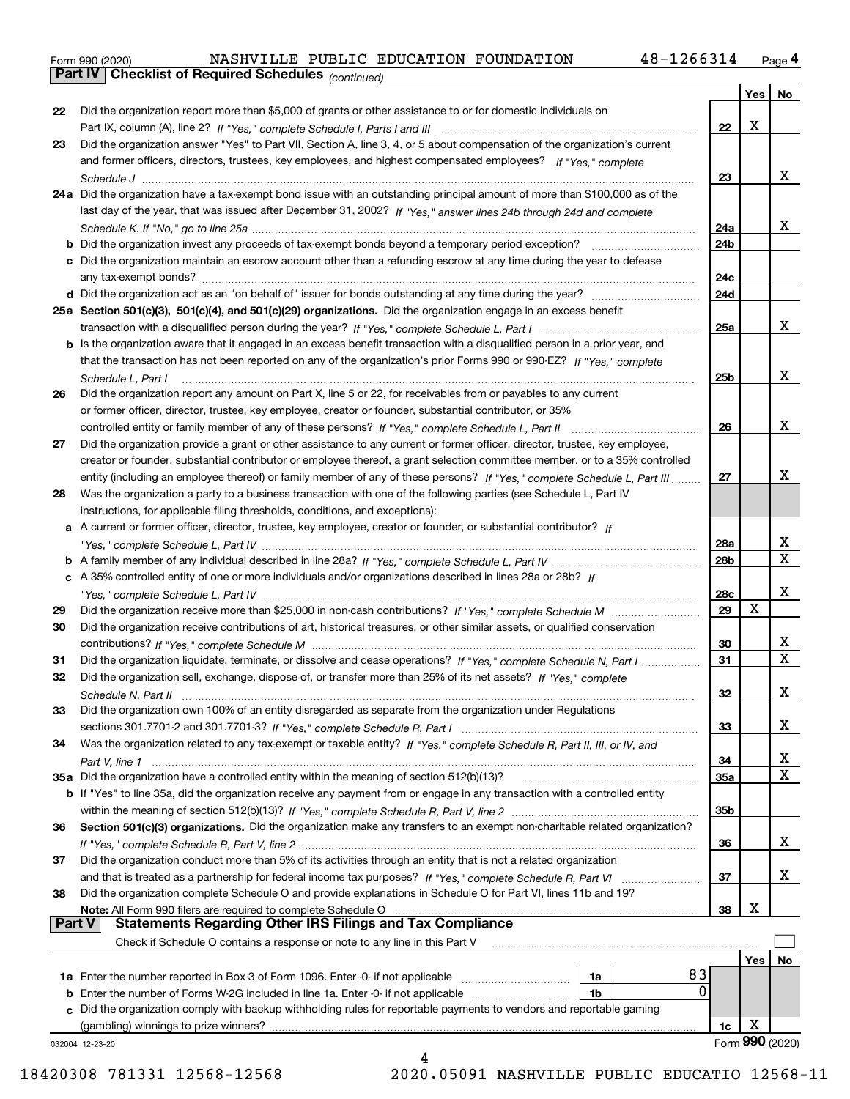|  | Form 990 (2020) |
|--|-----------------|
|  |                 |

*(continued)*

|               |                                                                                                                                                                                                    |                 | Yes | No               |  |  |  |  |  |
|---------------|----------------------------------------------------------------------------------------------------------------------------------------------------------------------------------------------------|-----------------|-----|------------------|--|--|--|--|--|
| 22            | Did the organization report more than \$5,000 of grants or other assistance to or for domestic individuals on                                                                                      |                 |     |                  |  |  |  |  |  |
|               |                                                                                                                                                                                                    | 22              | X   |                  |  |  |  |  |  |
| 23            | Did the organization answer "Yes" to Part VII, Section A, line 3, 4, or 5 about compensation of the organization's current                                                                         |                 |     |                  |  |  |  |  |  |
|               | and former officers, directors, trustees, key employees, and highest compensated employees? If "Yes," complete                                                                                     |                 |     |                  |  |  |  |  |  |
|               |                                                                                                                                                                                                    | 23              |     | x                |  |  |  |  |  |
|               | 24a Did the organization have a tax-exempt bond issue with an outstanding principal amount of more than \$100,000 as of the                                                                        |                 |     |                  |  |  |  |  |  |
|               | last day of the year, that was issued after December 31, 2002? If "Yes," answer lines 24b through 24d and complete                                                                                 |                 |     |                  |  |  |  |  |  |
|               |                                                                                                                                                                                                    | 24a             |     | х                |  |  |  |  |  |
|               | <b>b</b> Did the organization invest any proceeds of tax-exempt bonds beyond a temporary period exception?                                                                                         | 24 <sub>b</sub> |     |                  |  |  |  |  |  |
|               | c Did the organization maintain an escrow account other than a refunding escrow at any time during the year to defease                                                                             |                 |     |                  |  |  |  |  |  |
|               |                                                                                                                                                                                                    | 24c             |     |                  |  |  |  |  |  |
|               |                                                                                                                                                                                                    | 24d             |     |                  |  |  |  |  |  |
|               | 25a Section 501(c)(3), 501(c)(4), and 501(c)(29) organizations. Did the organization engage in an excess benefit                                                                                   |                 |     |                  |  |  |  |  |  |
|               |                                                                                                                                                                                                    | 25a             |     | x                |  |  |  |  |  |
|               | b Is the organization aware that it engaged in an excess benefit transaction with a disqualified person in a prior year, and                                                                       |                 |     |                  |  |  |  |  |  |
|               | that the transaction has not been reported on any of the organization's prior Forms 990 or 990-EZ? If "Yes," complete                                                                              |                 |     |                  |  |  |  |  |  |
|               | Schedule L, Part I                                                                                                                                                                                 | 25b             |     | x                |  |  |  |  |  |
| 26            | Did the organization report any amount on Part X, line 5 or 22, for receivables from or payables to any current                                                                                    |                 |     |                  |  |  |  |  |  |
|               | or former officer, director, trustee, key employee, creator or founder, substantial contributor, or 35%                                                                                            |                 |     |                  |  |  |  |  |  |
|               |                                                                                                                                                                                                    | 26              |     | x                |  |  |  |  |  |
| 27            | Did the organization provide a grant or other assistance to any current or former officer, director, trustee, key employee,                                                                        |                 |     |                  |  |  |  |  |  |
|               |                                                                                                                                                                                                    |                 |     |                  |  |  |  |  |  |
|               | creator or founder, substantial contributor or employee thereof, a grant selection committee member, or to a 35% controlled                                                                        | 27              |     | х                |  |  |  |  |  |
|               | entity (including an employee thereof) or family member of any of these persons? If "Yes," complete Schedule L, Part III                                                                           |                 |     |                  |  |  |  |  |  |
| 28            | Was the organization a party to a business transaction with one of the following parties (see Schedule L, Part IV                                                                                  |                 |     |                  |  |  |  |  |  |
|               | instructions, for applicable filing thresholds, conditions, and exceptions):<br>a A current or former officer, director, trustee, key employee, creator or founder, or substantial contributor? If |                 |     |                  |  |  |  |  |  |
|               |                                                                                                                                                                                                    |                 |     | x                |  |  |  |  |  |
|               |                                                                                                                                                                                                    | 28a             |     | X                |  |  |  |  |  |
|               |                                                                                                                                                                                                    | 28b             |     |                  |  |  |  |  |  |
|               | c A 35% controlled entity of one or more individuals and/or organizations described in lines 28a or 28b? If                                                                                        |                 |     | х                |  |  |  |  |  |
|               |                                                                                                                                                                                                    | 28c             | X   |                  |  |  |  |  |  |
| 29            |                                                                                                                                                                                                    | 29              |     |                  |  |  |  |  |  |
| 30            | Did the organization receive contributions of art, historical treasures, or other similar assets, or qualified conservation                                                                        |                 |     |                  |  |  |  |  |  |
|               |                                                                                                                                                                                                    | 30              |     | x<br>$\mathbf X$ |  |  |  |  |  |
| 31            | Did the organization liquidate, terminate, or dissolve and cease operations? If "Yes," complete Schedule N, Part I                                                                                 | 31              |     |                  |  |  |  |  |  |
| 32            | Did the organization sell, exchange, dispose of, or transfer more than 25% of its net assets? If "Yes," complete                                                                                   |                 |     |                  |  |  |  |  |  |
|               |                                                                                                                                                                                                    | 32              |     | х                |  |  |  |  |  |
| 33            | Did the organization own 100% of an entity disregarded as separate from the organization under Regulations                                                                                         |                 |     |                  |  |  |  |  |  |
|               |                                                                                                                                                                                                    | 33              |     | х                |  |  |  |  |  |
| 34            | Was the organization related to any tax-exempt or taxable entity? If "Yes," complete Schedule R, Part II, III, or IV, and                                                                          |                 |     |                  |  |  |  |  |  |
|               |                                                                                                                                                                                                    | 34              |     | х                |  |  |  |  |  |
|               | 35a Did the organization have a controlled entity within the meaning of section 512(b)(13)?                                                                                                        | 35a             |     | X                |  |  |  |  |  |
|               | <b>b</b> If "Yes" to line 35a, did the organization receive any payment from or engage in any transaction with a controlled entity                                                                 |                 |     |                  |  |  |  |  |  |
|               |                                                                                                                                                                                                    | 35b             |     |                  |  |  |  |  |  |
| 36            | Section 501(c)(3) organizations. Did the organization make any transfers to an exempt non-charitable related organization?                                                                         |                 |     |                  |  |  |  |  |  |
|               |                                                                                                                                                                                                    | 36              |     | x                |  |  |  |  |  |
| 37            | Did the organization conduct more than 5% of its activities through an entity that is not a related organization                                                                                   |                 |     |                  |  |  |  |  |  |
|               |                                                                                                                                                                                                    | 37              |     | x                |  |  |  |  |  |
| 38            | Did the organization complete Schedule O and provide explanations in Schedule O for Part VI, lines 11b and 19?                                                                                     |                 |     |                  |  |  |  |  |  |
|               | Note: All Form 990 filers are required to complete Schedule O                                                                                                                                      | 38              | х   |                  |  |  |  |  |  |
| <b>Part V</b> | <b>Statements Regarding Other IRS Filings and Tax Compliance</b>                                                                                                                                   |                 |     |                  |  |  |  |  |  |
|               | Check if Schedule O contains a response or note to any line in this Part V                                                                                                                         |                 |     |                  |  |  |  |  |  |
|               |                                                                                                                                                                                                    |                 | Yes | No               |  |  |  |  |  |
|               | 83<br>1a Enter the number reported in Box 3 of Form 1096. Enter -0- if not applicable<br>1a                                                                                                        |                 |     |                  |  |  |  |  |  |
|               | 0<br>1b                                                                                                                                                                                            |                 |     |                  |  |  |  |  |  |
|               | c Did the organization comply with backup withholding rules for reportable payments to vendors and reportable gaming                                                                               |                 |     |                  |  |  |  |  |  |
|               | (gambling) winnings to prize winners?                                                                                                                                                              | 1c              | X   |                  |  |  |  |  |  |
|               | 032004 12-23-20<br>4                                                                                                                                                                               |                 |     | Form 990 (2020)  |  |  |  |  |  |
|               |                                                                                                                                                                                                    |                 |     |                  |  |  |  |  |  |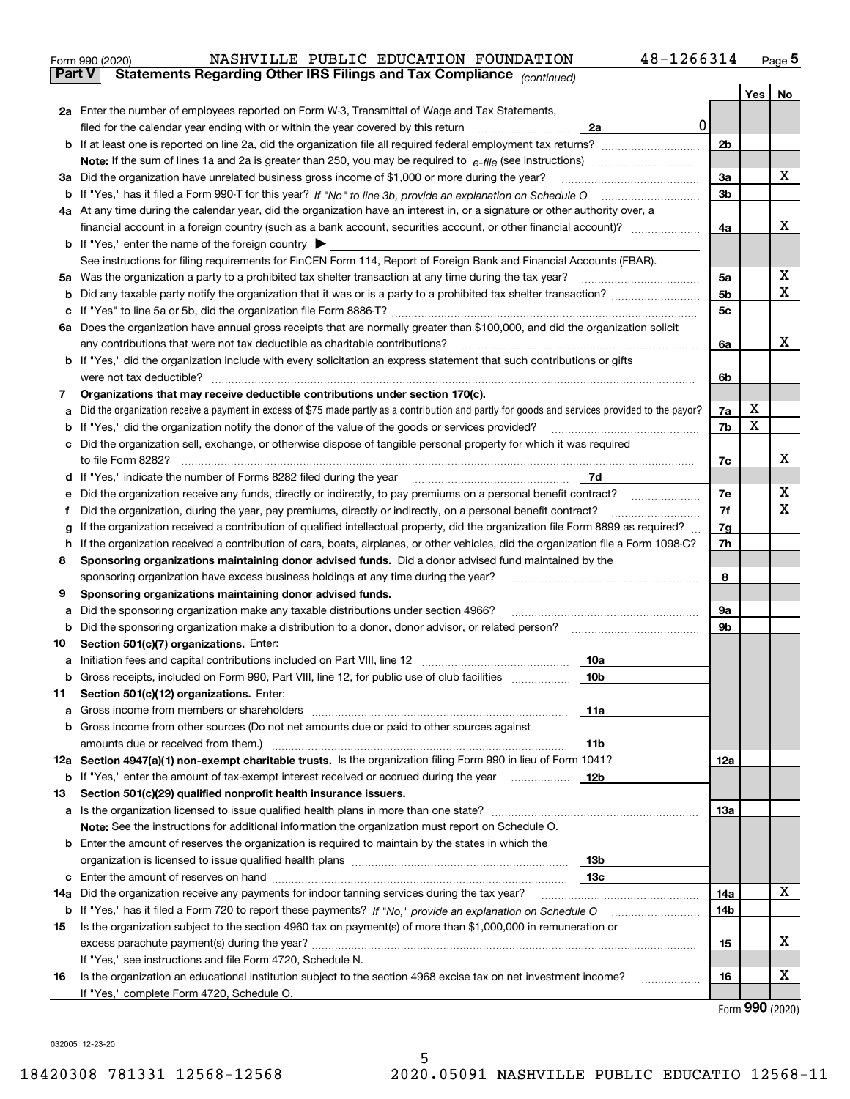|               | NASHVILLE PUBLIC EDUCATION FOUNDATION<br>48-1266314<br>Form 990 (2020)                                                                                                                                                                |            |     | $_{\text{Page}}$ 5  |  |  |  |  |  |  |
|---------------|---------------------------------------------------------------------------------------------------------------------------------------------------------------------------------------------------------------------------------------|------------|-----|---------------------|--|--|--|--|--|--|
| <b>Part V</b> | Statements Regarding Other IRS Filings and Tax Compliance (continued)                                                                                                                                                                 |            |     |                     |  |  |  |  |  |  |
|               |                                                                                                                                                                                                                                       |            | Yes | No                  |  |  |  |  |  |  |
|               | 2a Enter the number of employees reported on Form W-3, Transmittal of Wage and Tax Statements,                                                                                                                                        |            |     |                     |  |  |  |  |  |  |
|               | 0<br>filed for the calendar year ending with or within the year covered by this return<br>2a                                                                                                                                          |            |     |                     |  |  |  |  |  |  |
|               |                                                                                                                                                                                                                                       | 2b         |     |                     |  |  |  |  |  |  |
|               |                                                                                                                                                                                                                                       |            |     |                     |  |  |  |  |  |  |
|               | 3a Did the organization have unrelated business gross income of \$1,000 or more during the year?                                                                                                                                      | 3a         |     | х                   |  |  |  |  |  |  |
|               |                                                                                                                                                                                                                                       | 3b         |     |                     |  |  |  |  |  |  |
|               | 4a At any time during the calendar year, did the organization have an interest in, or a signature or other authority over, a                                                                                                          |            |     |                     |  |  |  |  |  |  |
|               |                                                                                                                                                                                                                                       |            |     |                     |  |  |  |  |  |  |
|               | <b>b</b> If "Yes," enter the name of the foreign country $\blacktriangleright$                                                                                                                                                        |            |     |                     |  |  |  |  |  |  |
|               | See instructions for filing requirements for FinCEN Form 114, Report of Foreign Bank and Financial Accounts (FBAR).                                                                                                                   |            |     |                     |  |  |  |  |  |  |
|               | 5a Was the organization a party to a prohibited tax shelter transaction at any time during the tax year?                                                                                                                              | 5а         |     | х                   |  |  |  |  |  |  |
| b             |                                                                                                                                                                                                                                       | 5b         |     | х                   |  |  |  |  |  |  |
| с             |                                                                                                                                                                                                                                       | 5c         |     |                     |  |  |  |  |  |  |
|               | 6a Does the organization have annual gross receipts that are normally greater than \$100,000, and did the organization solicit                                                                                                        |            |     |                     |  |  |  |  |  |  |
|               |                                                                                                                                                                                                                                       | 6a         |     | х                   |  |  |  |  |  |  |
|               | <b>b</b> If "Yes," did the organization include with every solicitation an express statement that such contributions or gifts                                                                                                         |            |     |                     |  |  |  |  |  |  |
|               |                                                                                                                                                                                                                                       | 6b         |     |                     |  |  |  |  |  |  |
| 7             | Organizations that may receive deductible contributions under section 170(c).                                                                                                                                                         |            |     |                     |  |  |  |  |  |  |
| a             | Did the organization receive a payment in excess of \$75 made partly as a contribution and partly for goods and services provided to the payor?                                                                                       | 7a         | х   |                     |  |  |  |  |  |  |
|               | <b>b</b> If "Yes," did the organization notify the donor of the value of the goods or services provided?                                                                                                                              | 7b         | х   |                     |  |  |  |  |  |  |
|               | c Did the organization sell, exchange, or otherwise dispose of tangible personal property for which it was required                                                                                                                   |            |     |                     |  |  |  |  |  |  |
|               |                                                                                                                                                                                                                                       | 7c         |     | х                   |  |  |  |  |  |  |
|               | 7d<br>d If "Yes," indicate the number of Forms 8282 filed during the year manufactured in the set of the set of the water                                                                                                             |            |     |                     |  |  |  |  |  |  |
| е             | Did the organization receive any funds, directly or indirectly, to pay premiums on a personal benefit contract?                                                                                                                       |            |     |                     |  |  |  |  |  |  |
|               | Did the organization, during the year, pay premiums, directly or indirectly, on a personal benefit contract?<br>f                                                                                                                     |            |     |                     |  |  |  |  |  |  |
|               | If the organization received a contribution of qualified intellectual property, did the organization file Form 8899 as required?<br>g                                                                                                 |            |     |                     |  |  |  |  |  |  |
|               | If the organization received a contribution of cars, boats, airplanes, or other vehicles, did the organization file a Form 1098-C?<br>h                                                                                               |            |     |                     |  |  |  |  |  |  |
|               | Sponsoring organizations maintaining donor advised funds. Did a donor advised fund maintained by the<br>8                                                                                                                             |            |     |                     |  |  |  |  |  |  |
|               | sponsoring organization have excess business holdings at any time during the year?                                                                                                                                                    | 8          |     |                     |  |  |  |  |  |  |
| 9             | Sponsoring organizations maintaining donor advised funds.<br>Did the sponsoring organization make any taxable distributions under section 4966?                                                                                       | 9а         |     |                     |  |  |  |  |  |  |
| а<br>b        | Did the sponsoring organization make a distribution to a donor, donor advisor, or related person? [[[[[[[[[[[                                                                                                                         | 9b         |     |                     |  |  |  |  |  |  |
| 10            | Section 501(c)(7) organizations. Enter:                                                                                                                                                                                               |            |     |                     |  |  |  |  |  |  |
|               | 10a<br>a Initiation fees and capital contributions included on Part VIII, line 12 [111] [12] [11] [12] [11] [12] [11] [12] [11] [12] [11] [12] [11] [12] [11] [12] [11] [12] [11] [12] [11] [12] [11] [12] [11] [12] [11] [12] [11] [ |            |     |                     |  |  |  |  |  |  |
|               | 10b <br>Gross receipts, included on Form 990, Part VIII, line 12, for public use of club facilities                                                                                                                                   |            |     |                     |  |  |  |  |  |  |
| 11            | Section 501(c)(12) organizations. Enter:                                                                                                                                                                                              |            |     |                     |  |  |  |  |  |  |
| a             | Gross income from members or shareholders<br>11a                                                                                                                                                                                      |            |     |                     |  |  |  |  |  |  |
|               | b Gross income from other sources (Do not net amounts due or paid to other sources against                                                                                                                                            |            |     |                     |  |  |  |  |  |  |
|               | amounts due or received from them.)<br>11b                                                                                                                                                                                            |            |     |                     |  |  |  |  |  |  |
|               | 12a Section 4947(a)(1) non-exempt charitable trusts. Is the organization filing Form 990 in lieu of Form 1041?                                                                                                                        | <b>12a</b> |     |                     |  |  |  |  |  |  |
|               | 12b<br><b>b</b> If "Yes," enter the amount of tax-exempt interest received or accrued during the year <i>manument</i>                                                                                                                 |            |     |                     |  |  |  |  |  |  |
| 13            | Section 501(c)(29) qualified nonprofit health insurance issuers.                                                                                                                                                                      |            |     |                     |  |  |  |  |  |  |
|               | a Is the organization licensed to issue qualified health plans in more than one state?                                                                                                                                                | 13a        |     |                     |  |  |  |  |  |  |
|               | Note: See the instructions for additional information the organization must report on Schedule O.                                                                                                                                     |            |     |                     |  |  |  |  |  |  |
|               | <b>b</b> Enter the amount of reserves the organization is required to maintain by the states in which the                                                                                                                             |            |     |                     |  |  |  |  |  |  |
|               | 13b                                                                                                                                                                                                                                   |            |     |                     |  |  |  |  |  |  |
|               | 13с                                                                                                                                                                                                                                   |            |     |                     |  |  |  |  |  |  |
| 14a           | Did the organization receive any payments for indoor tanning services during the tax year?                                                                                                                                            | 14a        |     | х                   |  |  |  |  |  |  |
|               | <b>b</b> If "Yes," has it filed a Form 720 to report these payments? If "No," provide an explanation on Schedule O                                                                                                                    | 14b        |     |                     |  |  |  |  |  |  |
| 15            | Is the organization subject to the section 4960 tax on payment(s) of more than \$1,000,000 in remuneration or                                                                                                                         |            |     |                     |  |  |  |  |  |  |
|               |                                                                                                                                                                                                                                       | 15         |     | х                   |  |  |  |  |  |  |
|               | If "Yes," see instructions and file Form 4720, Schedule N.                                                                                                                                                                            |            |     |                     |  |  |  |  |  |  |
| 16            | Is the organization an educational institution subject to the section 4968 excise tax on net investment income?                                                                                                                       | 16         |     | х                   |  |  |  |  |  |  |
|               | If "Yes," complete Form 4720, Schedule O.                                                                                                                                                                                             |            |     | $000 \text{ years}$ |  |  |  |  |  |  |

Form (2020) **990**

032005 12-23-20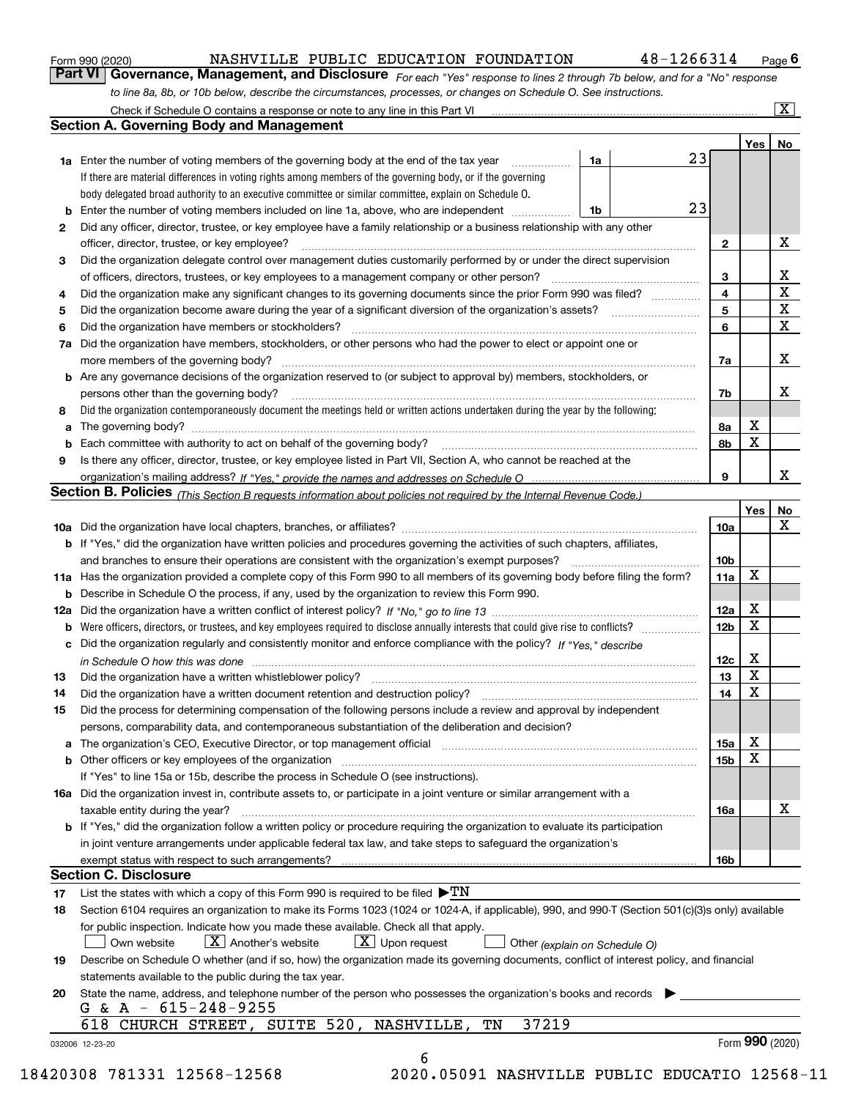| Form 990 (2020) |
|-----------------|
|-----------------|

## NASHVILLE PUBLIC EDUCATION FOUNDATION 48-1266314

*For each "Yes" response to lines 2 through 7b below, and for a "No" response to line 8a, 8b, or 10b below, describe the circumstances, processes, or changes on Schedule O. See instructions.* Form 990 (2020) **CONTRO BOO BY A STATE PUBLIC EDUCATION FOUNDATION** 188 - 1266314 Page 6<br>**Part VI Governance, Management, and Disclosure** For each "Yes" response to lines 2 through 7b below, and for a "No" response

| b  | <b>1a</b> Enter the number of voting members of the governing body at the end of the tax year                                                                                                                                  | 1a |  | 23 |                         |        |                         |  |  |  |  |
|----|--------------------------------------------------------------------------------------------------------------------------------------------------------------------------------------------------------------------------------|----|--|----|-------------------------|--------|-------------------------|--|--|--|--|
|    | If there are material differences in voting rights among members of the governing body, or if the governing                                                                                                                    |    |  |    |                         |        |                         |  |  |  |  |
|    | body delegated broad authority to an executive committee or similar committee, explain on Schedule O.                                                                                                                          |    |  |    |                         |        |                         |  |  |  |  |
|    | Enter the number of voting members included on line 1a, above, who are independent                                                                                                                                             | 1b |  | 23 |                         |        |                         |  |  |  |  |
| 2  | Did any officer, director, trustee, or key employee have a family relationship or a business relationship with any other                                                                                                       |    |  |    |                         |        |                         |  |  |  |  |
|    | officer, director, trustee, or key employee?                                                                                                                                                                                   |    |  |    | $\mathbf{2}$            |        | X                       |  |  |  |  |
| З  | Did the organization delegate control over management duties customarily performed by or under the direct supervision                                                                                                          |    |  |    |                         |        |                         |  |  |  |  |
|    | of officers, directors, trustees, or key employees to a management company or other person?                                                                                                                                    |    |  |    | 3                       |        | X                       |  |  |  |  |
| 4  | Did the organization make any significant changes to its governing documents since the prior Form 990 was filed?                                                                                                               |    |  |    | $\overline{\mathbf{4}}$ |        | $\overline{\mathbf{x}}$ |  |  |  |  |
| 5  |                                                                                                                                                                                                                                |    |  |    | 5                       |        | $\overline{\mathbf{x}}$ |  |  |  |  |
| 6  | Did the organization have members or stockholders?                                                                                                                                                                             |    |  |    |                         |        |                         |  |  |  |  |
| 7a | Did the organization have members, stockholders, or other persons who had the power to elect or appoint one or                                                                                                                 |    |  |    | 6                       |        | $\mathbf X$             |  |  |  |  |
|    |                                                                                                                                                                                                                                |    |  |    |                         |        |                         |  |  |  |  |
|    | <b>b</b> Are any governance decisions of the organization reserved to (or subject to approval by) members, stockholders, or                                                                                                    |    |  |    | 7a                      |        | X                       |  |  |  |  |
|    | persons other than the governing body?                                                                                                                                                                                         |    |  |    |                         |        | х                       |  |  |  |  |
|    | Did the organization contemporaneously document the meetings held or written actions undertaken during the year by the following:                                                                                              |    |  |    | 7b                      |        |                         |  |  |  |  |
| 8  |                                                                                                                                                                                                                                |    |  |    |                         | X      |                         |  |  |  |  |
| a  |                                                                                                                                                                                                                                |    |  |    | 8а<br>8b                | X      |                         |  |  |  |  |
| b  |                                                                                                                                                                                                                                |    |  |    |                         |        |                         |  |  |  |  |
| 9  | Is there any officer, director, trustee, or key employee listed in Part VII, Section A, who cannot be reached at the                                                                                                           |    |  |    |                         |        | X                       |  |  |  |  |
|    |                                                                                                                                                                                                                                |    |  |    | 9                       |        |                         |  |  |  |  |
|    | Section B. Policies (This Section B requests information about policies not required by the Internal Revenue Code.)                                                                                                            |    |  |    |                         |        |                         |  |  |  |  |
|    |                                                                                                                                                                                                                                |    |  |    |                         | Yes    | No<br>X                 |  |  |  |  |
|    |                                                                                                                                                                                                                                |    |  |    | 10a                     |        |                         |  |  |  |  |
|    | <b>b</b> If "Yes," did the organization have written policies and procedures governing the activities of such chapters, affiliates,                                                                                            |    |  |    |                         |        |                         |  |  |  |  |
|    |                                                                                                                                                                                                                                |    |  |    | 10 <sub>b</sub>         |        |                         |  |  |  |  |
|    | 11a Has the organization provided a complete copy of this Form 990 to all members of its governing body before filing the form?                                                                                                |    |  |    | 11a                     | X      |                         |  |  |  |  |
|    | <b>b</b> Describe in Schedule O the process, if any, used by the organization to review this Form 990.                                                                                                                         |    |  |    |                         |        |                         |  |  |  |  |
|    |                                                                                                                                                                                                                                |    |  |    | 12a<br>12 <sub>b</sub>  | X<br>х |                         |  |  |  |  |
|    | <b>b</b> Were officers, directors, or trustees, and key employees required to disclose annually interests that could give rise to conflicts?                                                                                   |    |  |    |                         |        |                         |  |  |  |  |
|    | c Did the organization regularly and consistently monitor and enforce compliance with the policy? If "Yes," describe                                                                                                           |    |  |    |                         |        |                         |  |  |  |  |
|    | in Schedule O how this was done manufactured and continuum control of the Schedule O how this was done manufactured and continuum control of the Schedule O how this was done                                                  |    |  |    | 12c                     | X      |                         |  |  |  |  |
| 13 |                                                                                                                                                                                                                                |    |  |    | 13                      | X      |                         |  |  |  |  |
| 14 |                                                                                                                                                                                                                                |    |  |    | 14                      | X      |                         |  |  |  |  |
| 15 | Did the process for determining compensation of the following persons include a review and approval by independent                                                                                                             |    |  |    |                         |        |                         |  |  |  |  |
|    | persons, comparability data, and contemporaneous substantiation of the deliberation and decision?                                                                                                                              |    |  |    |                         |        |                         |  |  |  |  |
|    | a The organization's CEO, Executive Director, or top management official manufactured content content of the organization's CEO, Executive Director, or top management official manufactured content of the state of the conte |    |  |    | 15a                     | X      |                         |  |  |  |  |
|    |                                                                                                                                                                                                                                |    |  |    | 15b                     | X      |                         |  |  |  |  |
|    | If "Yes" to line 15a or 15b, describe the process in Schedule O (see instructions).                                                                                                                                            |    |  |    |                         |        |                         |  |  |  |  |
|    | 16a Did the organization invest in, contribute assets to, or participate in a joint venture or similar arrangement with a                                                                                                      |    |  |    |                         |        |                         |  |  |  |  |
|    | taxable entity during the year?                                                                                                                                                                                                |    |  |    | 16a                     |        | X                       |  |  |  |  |
|    | b If "Yes," did the organization follow a written policy or procedure requiring the organization to evaluate its participation                                                                                                 |    |  |    |                         |        |                         |  |  |  |  |
|    | in joint venture arrangements under applicable federal tax law, and take steps to safeguard the organization's                                                                                                                 |    |  |    |                         |        |                         |  |  |  |  |
|    | exempt status with respect to such arrangements?                                                                                                                                                                               |    |  |    | 16b                     |        |                         |  |  |  |  |
|    | <b>Section C. Disclosure</b>                                                                                                                                                                                                   |    |  |    |                         |        |                         |  |  |  |  |
| 17 | List the states with which a copy of this Form 990 is required to be filed $\blacktriangleright$ TN                                                                                                                            |    |  |    |                         |        |                         |  |  |  |  |
| 18 | Section 6104 requires an organization to make its Forms 1023 (1024 or 1024-A, if applicable), 990, and 990-T (Section 501(c)(3)s only) available                                                                               |    |  |    |                         |        |                         |  |  |  |  |
|    | for public inspection. Indicate how you made these available. Check all that apply.                                                                                                                                            |    |  |    |                         |        |                         |  |  |  |  |
|    | $\lfloor x \rfloor$ Upon request<br>$X$ Another's website<br>Own website<br>Other (explain on Schedule O)                                                                                                                      |    |  |    |                         |        |                         |  |  |  |  |
| 19 | Describe on Schedule O whether (and if so, how) the organization made its governing documents, conflict of interest policy, and financial                                                                                      |    |  |    |                         |        |                         |  |  |  |  |
|    | statements available to the public during the tax year.                                                                                                                                                                        |    |  |    |                         |        |                         |  |  |  |  |
| 20 | State the name, address, and telephone number of the person who possesses the organization's books and records                                                                                                                 |    |  |    |                         |        |                         |  |  |  |  |
|    | G & A - $615-248-9255$                                                                                                                                                                                                         |    |  |    |                         |        |                         |  |  |  |  |
|    | 37219<br>618 CHURCH STREET, SUITE 520,<br>NASHVILLE,<br>TN                                                                                                                                                                     |    |  |    |                         |        |                         |  |  |  |  |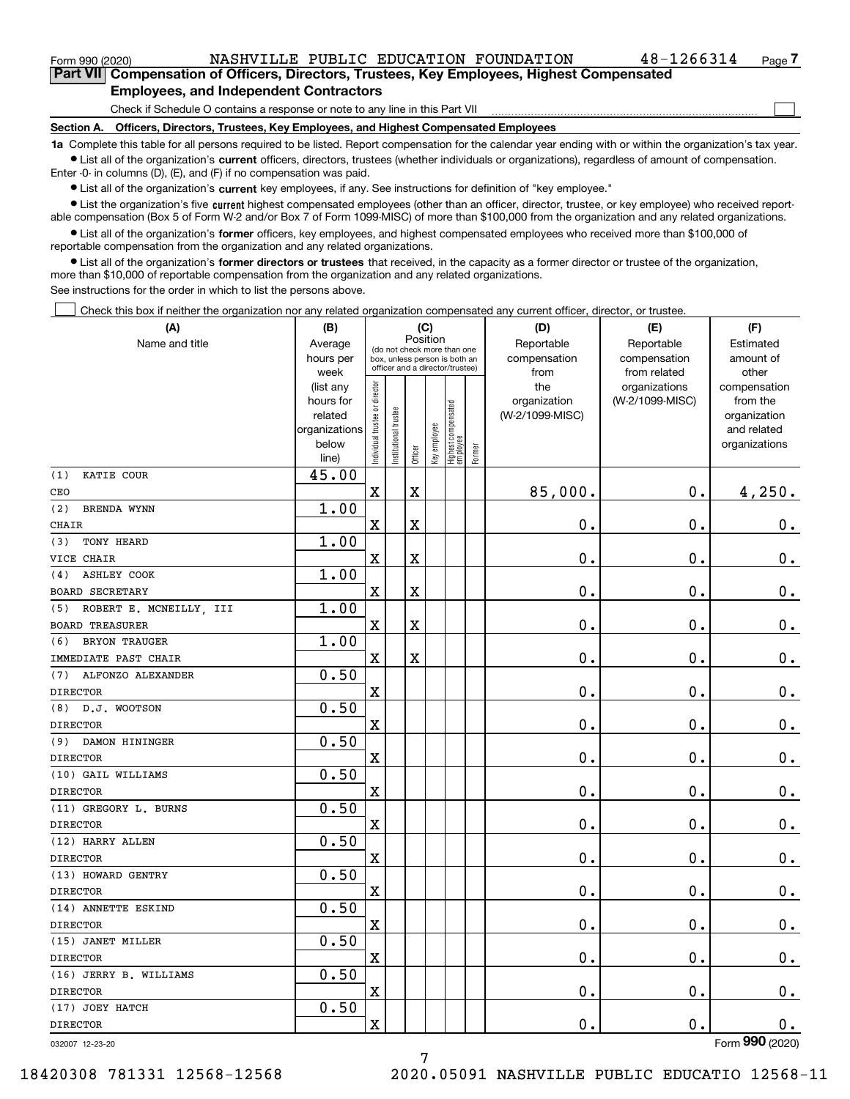$\mathcal{L}^{\text{max}}$ 

# **7Part VII Compensation of Officers, Directors, Trustees, Key Employees, Highest Compensated Employees, and Independent Contractors**

Check if Schedule O contains a response or note to any line in this Part VII

**Section A. Officers, Directors, Trustees, Key Employees, and Highest Compensated Employees**

**1a**  Complete this table for all persons required to be listed. Report compensation for the calendar year ending with or within the organization's tax year. **•** List all of the organization's current officers, directors, trustees (whether individuals or organizations), regardless of amount of compensation.

Enter -0- in columns (D), (E), and (F) if no compensation was paid.

 $\bullet$  List all of the organization's  $\,$ current key employees, if any. See instructions for definition of "key employee."

**•** List the organization's five current highest compensated employees (other than an officer, director, trustee, or key employee) who received reportable compensation (Box 5 of Form W-2 and/or Box 7 of Form 1099-MISC) of more than \$100,000 from the organization and any related organizations.

**•** List all of the organization's former officers, key employees, and highest compensated employees who received more than \$100,000 of reportable compensation from the organization and any related organizations.

**former directors or trustees**  ¥ List all of the organization's that received, in the capacity as a former director or trustee of the organization, more than \$10,000 of reportable compensation from the organization and any related organizations.

See instructions for the order in which to list the persons above.

Check this box if neither the organization nor any related organization compensated any current officer, director, or trustee.  $\mathcal{L}^{\text{max}}$ 

| (A)                            | (B)                    |                                                                  |                             | (C)                     |              |                                  |        | (D)             | (E)                           | (F)                   |
|--------------------------------|------------------------|------------------------------------------------------------------|-----------------------------|-------------------------|--------------|----------------------------------|--------|-----------------|-------------------------------|-----------------------|
| Name and title                 | Average                |                                                                  | (do not check more than one | Position                |              |                                  |        | Reportable      | Reportable                    | Estimated             |
|                                | hours per              | box, unless person is both an<br>officer and a director/trustee) |                             |                         |              |                                  |        | compensation    | compensation                  | amount of             |
|                                | week                   |                                                                  |                             |                         |              |                                  |        | from<br>the     | from related<br>organizations | other<br>compensation |
|                                | (list any<br>hours for | ndividual trustee or director                                    |                             |                         |              |                                  |        | organization    | (W-2/1099-MISC)               | from the              |
|                                | related                |                                                                  |                             |                         |              |                                  |        | (W-2/1099-MISC) |                               | organization          |
|                                | organizations          |                                                                  |                             |                         |              |                                  |        |                 |                               | and related           |
|                                | below                  |                                                                  | nstitutional trustee        |                         | Key employee | Highest compensated<br> employee |        |                 |                               | organizations         |
|                                | line)                  |                                                                  |                             | Officer                 |              |                                  | Former |                 |                               |                       |
| (1)<br>KATIE COUR              | 45.00                  |                                                                  |                             |                         |              |                                  |        |                 |                               |                       |
| CEO                            |                        | $\rm X$                                                          |                             | X                       |              |                                  |        | 85,000.         | 0.                            | 4,250.                |
| (2)<br>BRENDA WYNN             | 1.00                   |                                                                  |                             |                         |              |                                  |        |                 |                               |                       |
| CHAIR                          |                        | $\overline{\text{X}}$                                            |                             | $\overline{\textbf{X}}$ |              |                                  |        | $\mathbf 0$ .   | $\mathbf 0$ .                 | 0.                    |
| TONY HEARD<br>(3)              | 1.00                   |                                                                  |                             |                         |              |                                  |        |                 |                               |                       |
| VICE CHAIR                     |                        | $\mathbf X$                                                      |                             | $\overline{\textbf{X}}$ |              |                                  |        | $\mathbf 0$ .   | $\mathbf 0$ .                 | $0_{.}$               |
| <b>ASHLEY COOK</b><br>(4)      | 1.00                   |                                                                  |                             |                         |              |                                  |        |                 |                               |                       |
| <b>BOARD SECRETARY</b>         |                        | $\mathbf X$                                                      |                             | $\overline{\mathbf{X}}$ |              |                                  |        | 0.              | $\mathbf 0$ .                 | $\mathbf 0$ .         |
| ROBERT E. MCNEILLY, III<br>(5) | 1.00                   |                                                                  |                             |                         |              |                                  |        |                 |                               |                       |
| <b>BOARD TREASURER</b>         |                        | $\mathbf X$                                                      |                             | X                       |              |                                  |        | 0.              | $\mathbf 0$ .                 | $0_{.}$               |
| BRYON TRAUGER<br>(6)           | 1.00                   |                                                                  |                             |                         |              |                                  |        |                 |                               |                       |
| IMMEDIATE PAST CHAIR           |                        | $\mathbf X$                                                      |                             | $\overline{\text{X}}$   |              |                                  |        | $\mathbf 0$ .   | $\mathbf 0$ .                 | $0_{.}$               |
| ALFONZO ALEXANDER<br>(7)       | 0.50                   |                                                                  |                             |                         |              |                                  |        |                 |                               |                       |
| <b>DIRECTOR</b>                |                        | $\mathbf X$                                                      |                             |                         |              |                                  |        | 0.              | 0.                            | $\mathbf 0$ .         |
| D.J. WOOTSON<br>(8)            | 0.50                   |                                                                  |                             |                         |              |                                  |        |                 |                               |                       |
| <b>DIRECTOR</b>                |                        | $\mathbf X$                                                      |                             |                         |              |                                  |        | 0.              | 0.                            | $\mathbf 0$ .         |
| DAMON HININGER<br>(9)          | 0.50                   |                                                                  |                             |                         |              |                                  |        |                 |                               |                       |
| <b>DIRECTOR</b>                |                        | X                                                                |                             |                         |              |                                  |        | $\mathbf 0$ .   | $\mathbf 0$ .                 | $\mathbf 0$ .         |
| (10) GAIL WILLIAMS             | 0.50                   |                                                                  |                             |                         |              |                                  |        |                 |                               |                       |
| <b>DIRECTOR</b>                |                        | $\mathbf X$                                                      |                             |                         |              |                                  |        | $\mathbf 0$ .   | $\mathbf 0$ .                 | $0$ .                 |
| (11) GREGORY L. BURNS          | 0.50                   |                                                                  |                             |                         |              |                                  |        |                 |                               |                       |
| <b>DIRECTOR</b>                |                        | $\overline{\mathbf{X}}$                                          |                             |                         |              |                                  |        | $\mathbf 0$ .   | $\mathbf 0$ .                 | $\mathbf 0$ .         |
| (12) HARRY ALLEN               | 0.50                   |                                                                  |                             |                         |              |                                  |        |                 |                               |                       |
| <b>DIRECTOR</b>                |                        | $\mathbf X$                                                      |                             |                         |              |                                  |        | 0.              | $\mathbf 0$ .                 | $0_{.}$               |
| (13) HOWARD GENTRY             | 0.50                   |                                                                  |                             |                         |              |                                  |        |                 |                               |                       |
| <b>DIRECTOR</b>                |                        | X                                                                |                             |                         |              |                                  |        | 0.              | 0.                            | $0$ .                 |
| (14) ANNETTE ESKIND            | 0.50                   |                                                                  |                             |                         |              |                                  |        |                 |                               |                       |
| <b>DIRECTOR</b>                |                        | $\rm X$                                                          |                             |                         |              |                                  |        | $\mathbf 0$ .   | $\mathbf 0$ .                 | $\mathbf 0$ .         |
| (15) JANET MILLER              | 0.50                   |                                                                  |                             |                         |              |                                  |        |                 |                               |                       |
| <b>DIRECTOR</b>                |                        | X                                                                |                             |                         |              |                                  |        | 0.              | $\mathbf 0$ .                 | $0_{.}$               |
| (16) JERRY B. WILLIAMS         | 0.50                   |                                                                  |                             |                         |              |                                  |        |                 |                               |                       |
| <b>DIRECTOR</b>                |                        | $\rm X$                                                          |                             |                         |              |                                  |        | 0.              | 0.                            | $0_{.}$               |
| (17) JOEY HATCH                | 0.50                   |                                                                  |                             |                         |              |                                  |        |                 |                               |                       |
| <b>DIRECTOR</b>                |                        | X                                                                |                             |                         |              |                                  |        | 0.              | 0.                            | 0.                    |
|                                |                        |                                                                  |                             |                         |              |                                  |        |                 |                               | $\overline{2}$        |

7

032007 12-23-20

Form (2020) **990**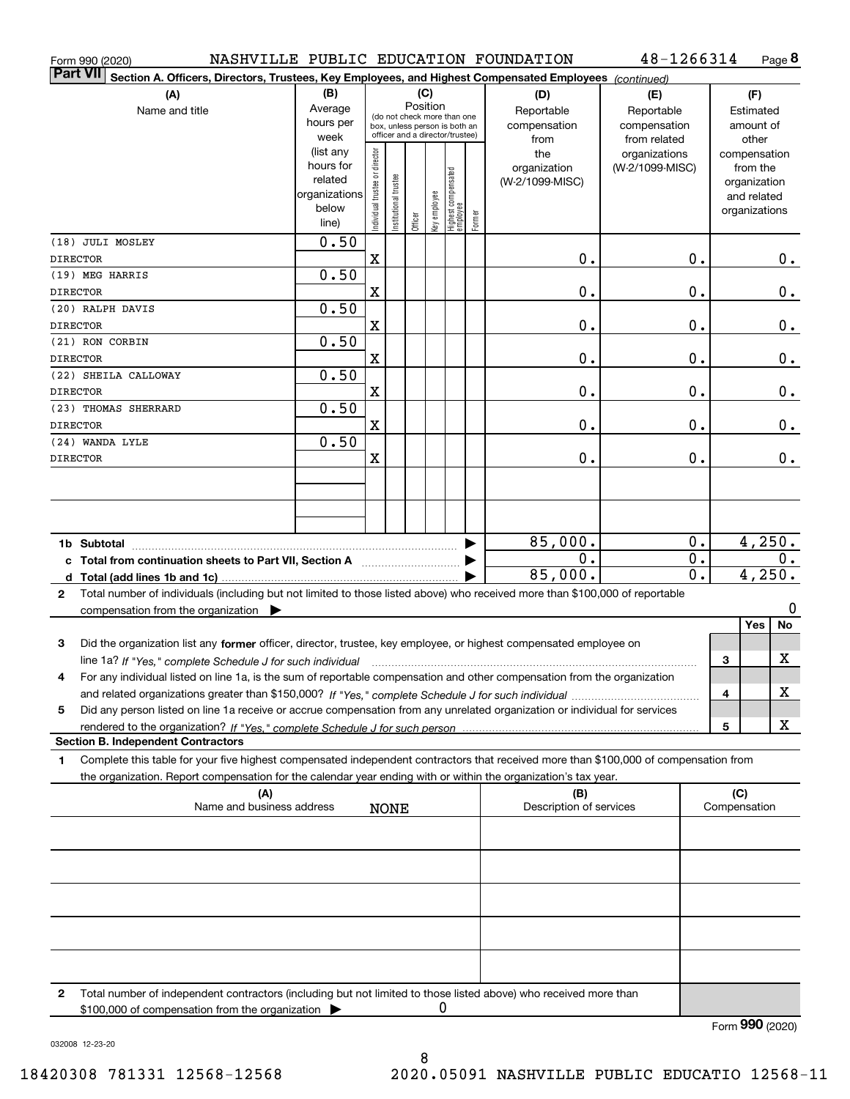| Form 990 (2020)                                                                                                                                                          |               |                                                              |                       |          |              |                                  |        | NASHVILLE PUBLIC EDUCATION FOUNDATION | 48-1266314       |   |               | Page 8 |
|--------------------------------------------------------------------------------------------------------------------------------------------------------------------------|---------------|--------------------------------------------------------------|-----------------------|----------|--------------|----------------------------------|--------|---------------------------------------|------------------|---|---------------|--------|
| <b>Part VII</b><br>Section A. Officers, Directors, Trustees, Key Employees, and Highest Compensated Employees (continued)                                                |               |                                                              |                       |          |              |                                  |        |                                       |                  |   |               |        |
| (A)                                                                                                                                                                      | (B)           |                                                              |                       | (C)      |              |                                  |        | (D)                                   | (E)              |   | (F)           |        |
| Name and title                                                                                                                                                           | Average       |                                                              |                       | Position |              |                                  |        | Reportable                            | Reportable       |   | Estimated     |        |
|                                                                                                                                                                          | hours per     | (do not check more than one<br>box, unless person is both an |                       |          |              |                                  |        | compensation                          | compensation     |   | amount of     |        |
| officer and a director/trustee)<br>week<br>from                                                                                                                          |               |                                                              |                       |          |              |                                  |        |                                       | from related     |   | other         |        |
|                                                                                                                                                                          | (list any     |                                                              |                       |          |              |                                  |        | the                                   | organizations    |   | compensation  |        |
|                                                                                                                                                                          | hours for     |                                                              |                       |          |              |                                  |        | organization                          | (W-2/1099-MISC)  |   | from the      |        |
|                                                                                                                                                                          | related       |                                                              |                       |          |              |                                  |        | (W-2/1099-MISC)                       |                  |   | organization  |        |
|                                                                                                                                                                          | organizations |                                                              |                       |          |              |                                  |        |                                       |                  |   | and related   |        |
|                                                                                                                                                                          | below         | Individual trustee or director                               | Institutional trustee |          | Key employee |                                  |        |                                       |                  |   | organizations |        |
|                                                                                                                                                                          | line)         |                                                              |                       | Officer  |              | Highest compensated<br> employee | Former |                                       |                  |   |               |        |
| (18) JULI MOSLEY                                                                                                                                                         | 0.50          |                                                              |                       |          |              |                                  |        |                                       |                  |   |               |        |
| <b>DIRECTOR</b>                                                                                                                                                          |               | X                                                            |                       |          |              |                                  |        | 0.                                    | 0.               |   |               | 0.     |
| (19) MEG HARRIS                                                                                                                                                          | 0.50          |                                                              |                       |          |              |                                  |        |                                       |                  |   |               |        |
| <b>DIRECTOR</b>                                                                                                                                                          |               | Χ                                                            |                       |          |              |                                  |        | 0.                                    | $\mathbf 0$ .    |   |               | 0.     |
| (20) RALPH DAVIS                                                                                                                                                         | 0.50          |                                                              |                       |          |              |                                  |        |                                       |                  |   |               |        |
| <b>DIRECTOR</b>                                                                                                                                                          |               | Χ                                                            |                       |          |              |                                  |        | 0.                                    | 0.               |   |               | 0.     |
| (21) RON CORBIN                                                                                                                                                          | 0.50          |                                                              |                       |          |              |                                  |        |                                       |                  |   |               |        |
| <b>DIRECTOR</b>                                                                                                                                                          |               | Χ                                                            |                       |          |              |                                  |        | 0.                                    | 0.               |   |               | 0.     |
| (22) SHEILA CALLOWAY                                                                                                                                                     | 0.50          |                                                              |                       |          |              |                                  |        |                                       |                  |   |               |        |
| <b>DIRECTOR</b>                                                                                                                                                          |               | х                                                            |                       |          |              |                                  |        | 0.                                    | 0.               |   |               | 0.     |
| (23) THOMAS SHERRARD                                                                                                                                                     | 0.50          |                                                              |                       |          |              |                                  |        |                                       |                  |   |               |        |
| <b>DIRECTOR</b>                                                                                                                                                          |               | Χ                                                            |                       |          |              |                                  |        | 0.                                    | 0.               |   |               | 0.     |
| (24) WANDA LYLE                                                                                                                                                          | 0.50          |                                                              |                       |          |              |                                  |        |                                       |                  |   |               |        |
| <b>DIRECTOR</b>                                                                                                                                                          |               | x                                                            |                       |          |              |                                  |        | 0.                                    | $\mathbf 0$ .    |   |               | 0.     |
|                                                                                                                                                                          |               |                                                              |                       |          |              |                                  |        |                                       |                  |   |               |        |
|                                                                                                                                                                          |               |                                                              |                       |          |              |                                  |        |                                       |                  |   |               |        |
|                                                                                                                                                                          |               |                                                              |                       |          |              |                                  |        |                                       |                  |   |               |        |
|                                                                                                                                                                          |               |                                                              |                       |          |              |                                  |        |                                       |                  |   |               |        |
|                                                                                                                                                                          |               |                                                              |                       |          |              |                                  |        |                                       |                  |   |               |        |
|                                                                                                                                                                          |               |                                                              |                       |          |              |                                  |        | 85,000.                               | $0$ .            |   |               | 4,250. |
| c Total from continuation sheets to Part VII, Section A manufactured in the Total from continuum                                                                         |               |                                                              |                       |          |              |                                  |        | $0$ .                                 | $\overline{0}$ . |   |               | 0.     |
|                                                                                                                                                                          |               |                                                              |                       |          |              |                                  |        | 85,000.                               | $\overline{0}$ . |   |               | 4,250. |
| Total number of individuals (including but not limited to those listed above) who received more than \$100,000 of reportable<br>$\mathbf{2}$                             |               |                                                              |                       |          |              |                                  |        |                                       |                  |   |               |        |
| compensation from the organization $\blacktriangleright$                                                                                                                 |               |                                                              |                       |          |              |                                  |        |                                       |                  |   |               | 0      |
|                                                                                                                                                                          |               |                                                              |                       |          |              |                                  |        |                                       |                  |   | Yes           | No     |
| 3<br>Did the organization list any former officer, director, trustee, key employee, or highest compensated employee on                                                   |               |                                                              |                       |          |              |                                  |        |                                       |                  |   |               |        |
| line 1a? If "Yes," complete Schedule J for such individual manufactured contained and the Ves," complete Schedule J for such individual                                  |               |                                                              |                       |          |              |                                  |        |                                       |                  | 3 |               | X      |
| For any individual listed on line 1a, is the sum of reportable compensation and other compensation from the organization                                                 |               |                                                              |                       |          |              |                                  |        |                                       |                  |   |               |        |
|                                                                                                                                                                          |               |                                                              |                       |          |              |                                  |        |                                       |                  | 4 |               | х      |
| Did any person listed on line 1a receive or accrue compensation from any unrelated organization or individual for services<br>5                                          |               |                                                              |                       |          |              |                                  |        |                                       |                  |   |               |        |
|                                                                                                                                                                          |               |                                                              |                       |          |              |                                  |        |                                       |                  | 5 |               | х      |
| <b>Section B. Independent Contractors</b>                                                                                                                                |               |                                                              |                       |          |              |                                  |        |                                       |                  |   |               |        |
| Complete this table for your five highest compensated independent contractors that received more than \$100,000 of compensation from<br>1                                |               |                                                              |                       |          |              |                                  |        |                                       |                  |   |               |        |
| the organization. Report compensation for the calendar year ending with or within the organization's tax year.                                                           |               |                                                              |                       |          |              |                                  |        |                                       |                  |   |               |        |
| (A)                                                                                                                                                                      |               |                                                              |                       |          |              |                                  |        | (B)                                   |                  |   | (C)           |        |
| Name and business address                                                                                                                                                |               |                                                              | <b>NONE</b>           |          |              |                                  |        | Description of services               |                  |   | Compensation  |        |
|                                                                                                                                                                          |               |                                                              |                       |          |              |                                  |        |                                       |                  |   |               |        |
|                                                                                                                                                                          |               |                                                              |                       |          |              |                                  |        |                                       |                  |   |               |        |
|                                                                                                                                                                          |               |                                                              |                       |          |              |                                  |        |                                       |                  |   |               |        |
|                                                                                                                                                                          |               |                                                              |                       |          |              |                                  |        |                                       |                  |   |               |        |
|                                                                                                                                                                          |               |                                                              |                       |          |              |                                  |        |                                       |                  |   |               |        |
|                                                                                                                                                                          |               |                                                              |                       |          |              |                                  |        |                                       |                  |   |               |        |
|                                                                                                                                                                          |               |                                                              |                       |          |              |                                  |        |                                       |                  |   |               |        |
|                                                                                                                                                                          |               |                                                              |                       |          |              |                                  |        |                                       |                  |   |               |        |
| Total number of independent contractors (including but not limited to those listed above) who received more than<br>2<br>\$100,000 of compensation from the organization |               |                                                              |                       |          | U            |                                  |        |                                       |                  |   |               |        |
|                                                                                                                                                                          |               |                                                              |                       |          |              |                                  |        |                                       |                  |   |               |        |

Form (2020) **990**

032008 12-23-20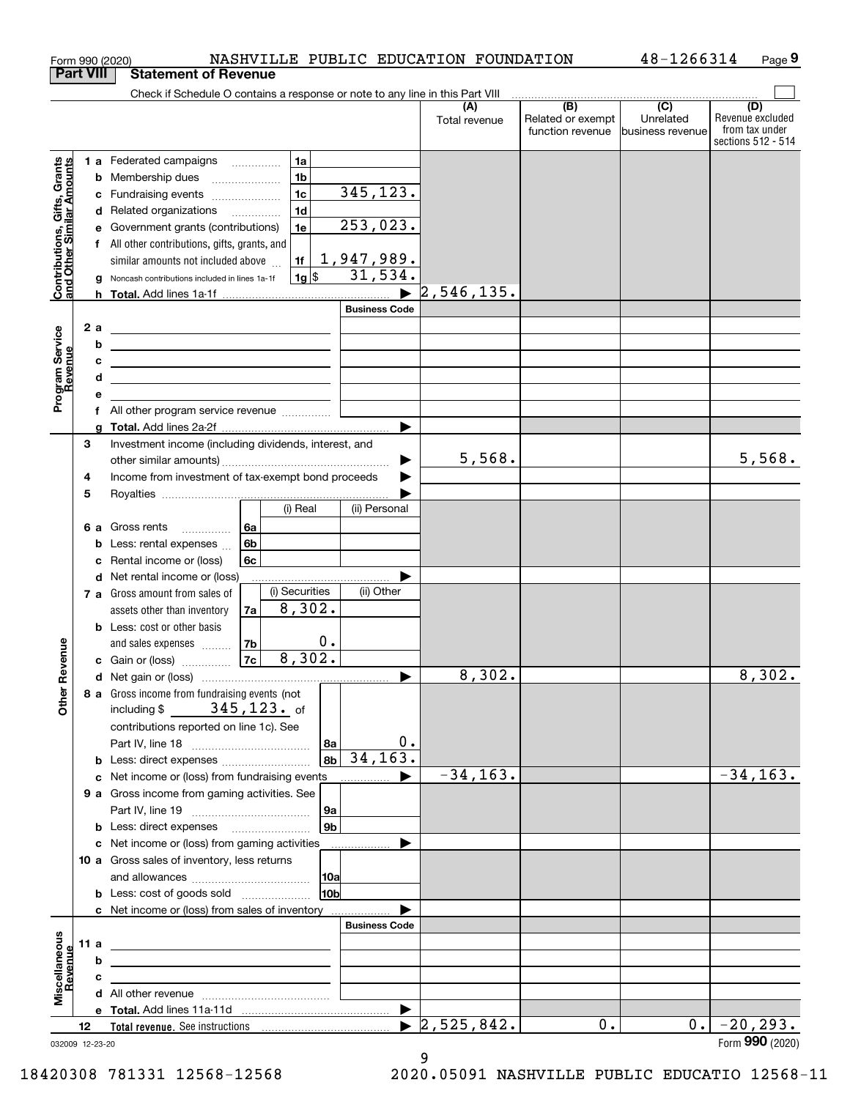|                                                           |                  | NASHVILLE PUBLIC EDUCATION FOUNDATION<br>Form 990 (2020)                                                                                                                   |                       |                                  |                                       | 48-1266314                    | Page 9                                                          |
|-----------------------------------------------------------|------------------|----------------------------------------------------------------------------------------------------------------------------------------------------------------------------|-----------------------|----------------------------------|---------------------------------------|-------------------------------|-----------------------------------------------------------------|
|                                                           | <b>Part VIII</b> | <b>Statement of Revenue</b>                                                                                                                                                |                       |                                  |                                       |                               |                                                                 |
|                                                           |                  | Check if Schedule O contains a response or note to any line in this Part VIII                                                                                              |                       |                                  | $\overbrace{ }$ (B) (C)               |                               |                                                                 |
|                                                           |                  |                                                                                                                                                                            |                       | (A)<br>Total revenue             | Related or exempt<br>function revenue | Unrelated<br>business revenue | (D)<br>Revenue excluded<br>from tax under<br>sections 512 - 514 |
|                                                           |                  | 1 a Federated campaigns<br>1a                                                                                                                                              |                       |                                  |                                       |                               |                                                                 |
|                                                           |                  | 1 <sub>b</sub><br><b>b</b> Membership dues<br>$\ldots \ldots \ldots \ldots \ldots$                                                                                         |                       |                                  |                                       |                               |                                                                 |
| Contributions, Gifts, Grants<br>and Other Similar Amounts | с                | 1 <sub>c</sub><br>Fundraising events                                                                                                                                       | 345, 123.             |                                  |                                       |                               |                                                                 |
|                                                           |                  | 1 <sub>d</sub><br>d Related organizations                                                                                                                                  |                       |                                  |                                       |                               |                                                                 |
|                                                           | е                | Government grants (contributions)<br>1e                                                                                                                                    | 253,023.              |                                  |                                       |                               |                                                                 |
|                                                           |                  | f All other contributions, gifts, grants, and                                                                                                                              |                       |                                  |                                       |                               |                                                                 |
|                                                           |                  | similar amounts not included above<br>1f                                                                                                                                   | 1,947,989.            |                                  |                                       |                               |                                                                 |
|                                                           | g                | $ 1g $ \$<br>Noncash contributions included in lines 1a-1f                                                                                                                 | 31,534.               | 2, 546, 135.                     |                                       |                               |                                                                 |
|                                                           |                  |                                                                                                                                                                            | <b>Business Code</b>  |                                  |                                       |                               |                                                                 |
|                                                           |                  |                                                                                                                                                                            |                       |                                  |                                       |                               |                                                                 |
|                                                           | 2a<br>b          | <u> 1989 - Johann Barn, fransk politik amerikansk politik (</u>                                                                                                            |                       |                                  |                                       |                               |                                                                 |
| Program Service<br>Revenue                                | c                | <u> 1989 - Johann Barn, amerikansk politiker (</u><br><u> Alexandria de la contrada de la contrada de la contrada de la contrada de la contrada de la contrada de la c</u> |                       |                                  |                                       |                               |                                                                 |
|                                                           | d                | the control of the control of the control of the control of the control of                                                                                                 |                       |                                  |                                       |                               |                                                                 |
|                                                           | е                |                                                                                                                                                                            |                       |                                  |                                       |                               |                                                                 |
|                                                           | f                | All other program service revenue                                                                                                                                          |                       |                                  |                                       |                               |                                                                 |
|                                                           | a                |                                                                                                                                                                            |                       |                                  |                                       |                               |                                                                 |
|                                                           | 3                | Investment income (including dividends, interest, and                                                                                                                      |                       |                                  |                                       |                               |                                                                 |
|                                                           |                  |                                                                                                                                                                            |                       | 5,568.                           |                                       |                               | 5,568.                                                          |
|                                                           | 4                | Income from investment of tax-exempt bond proceeds                                                                                                                         |                       |                                  |                                       |                               |                                                                 |
|                                                           | 5                |                                                                                                                                                                            |                       |                                  |                                       |                               |                                                                 |
|                                                           |                  | (i) Real                                                                                                                                                                   | (ii) Personal         |                                  |                                       |                               |                                                                 |
|                                                           |                  | 6a<br>6 a Gross rents                                                                                                                                                      |                       |                                  |                                       |                               |                                                                 |
|                                                           | b                | 6b<br>Less: rental expenses                                                                                                                                                |                       |                                  |                                       |                               |                                                                 |
|                                                           | c                | Rental income or (loss)<br>6с                                                                                                                                              |                       |                                  |                                       |                               |                                                                 |
|                                                           |                  | <b>d</b> Net rental income or (loss)<br>(i) Securities<br>7 a Gross amount from sales of                                                                                   | (ii) Other            |                                  |                                       |                               |                                                                 |
|                                                           |                  | 8,302.<br>7a<br>assets other than inventory                                                                                                                                |                       |                                  |                                       |                               |                                                                 |
|                                                           |                  | <b>b</b> Less: cost or other basis                                                                                                                                         |                       |                                  |                                       |                               |                                                                 |
|                                                           |                  | 0.<br>7b<br>and sales expenses                                                                                                                                             |                       |                                  |                                       |                               |                                                                 |
| evenue                                                    |                  | 8,302.<br>7c<br>c Gain or (loss)                                                                                                                                           |                       |                                  |                                       |                               |                                                                 |
|                                                           |                  |                                                                                                                                                                            |                       | 8,302.                           |                                       |                               | 8,302.                                                          |
| Other <sub>R</sub>                                        |                  | 8 a Gross income from fundraising events (not<br>including \$ $345, 123$ of                                                                                                |                       |                                  |                                       |                               |                                                                 |
|                                                           |                  | contributions reported on line 1c). See                                                                                                                                    |                       |                                  |                                       |                               |                                                                 |
|                                                           |                  | 8a                                                                                                                                                                         | 0.                    |                                  |                                       |                               |                                                                 |
|                                                           |                  | <b>b</b> Less: direct expenses <i></i>                                                                                                                                     | $ 8b $ 34, 163.       |                                  |                                       |                               |                                                                 |
|                                                           |                  | c Net income or (loss) from fundraising events                                                                                                                             |                       | $-34, 163.$                      |                                       |                               | $-34, 163.$                                                     |
|                                                           |                  | 9 a Gross income from gaming activities. See                                                                                                                               |                       |                                  |                                       |                               |                                                                 |
|                                                           |                  | 9a                                                                                                                                                                         |                       |                                  |                                       |                               |                                                                 |
|                                                           |                  | 9b<br><b>b</b> Less: direct expenses <b>manually</b>                                                                                                                       |                       |                                  |                                       |                               |                                                                 |
|                                                           |                  | c Net income or (loss) from gaming activities<br>.                                                                                                                         |                       |                                  |                                       |                               |                                                                 |
|                                                           |                  | 10 a Gross sales of inventory, less returns                                                                                                                                |                       |                                  |                                       |                               |                                                                 |
|                                                           |                  | 10a                                                                                                                                                                        |                       |                                  |                                       |                               |                                                                 |
|                                                           |                  | 10 <sub>b</sub>                                                                                                                                                            |                       |                                  |                                       |                               |                                                                 |
|                                                           |                  | c Net income or (loss) from sales of inventory                                                                                                                             | <b>Business Code</b>  |                                  |                                       |                               |                                                                 |
|                                                           |                  |                                                                                                                                                                            |                       |                                  |                                       |                               |                                                                 |
|                                                           | 11 a             | <u> 1989 - Johann John Stein, fransk politik (f. 1989)</u>                                                                                                                 |                       |                                  |                                       |                               |                                                                 |
|                                                           | b<br>c           | the control of the control of the control of the control of the control of the control of                                                                                  |                       |                                  |                                       |                               |                                                                 |
| Miscellaneous<br>Revenue                                  |                  | the contract of the contract of the contract of the contract of the contract of                                                                                            |                       |                                  |                                       |                               |                                                                 |
|                                                           |                  |                                                                                                                                                                            | $\blacktriangleright$ |                                  |                                       |                               |                                                                 |
|                                                           | 12               |                                                                                                                                                                            |                       | $\blacktriangleright$ 2,525,842. | 0.                                    | 0.1                           | $-20, 293.$                                                     |
|                                                           | 032009 12-23-20  |                                                                                                                                                                            |                       |                                  |                                       |                               | Form 990 (2020)                                                 |

9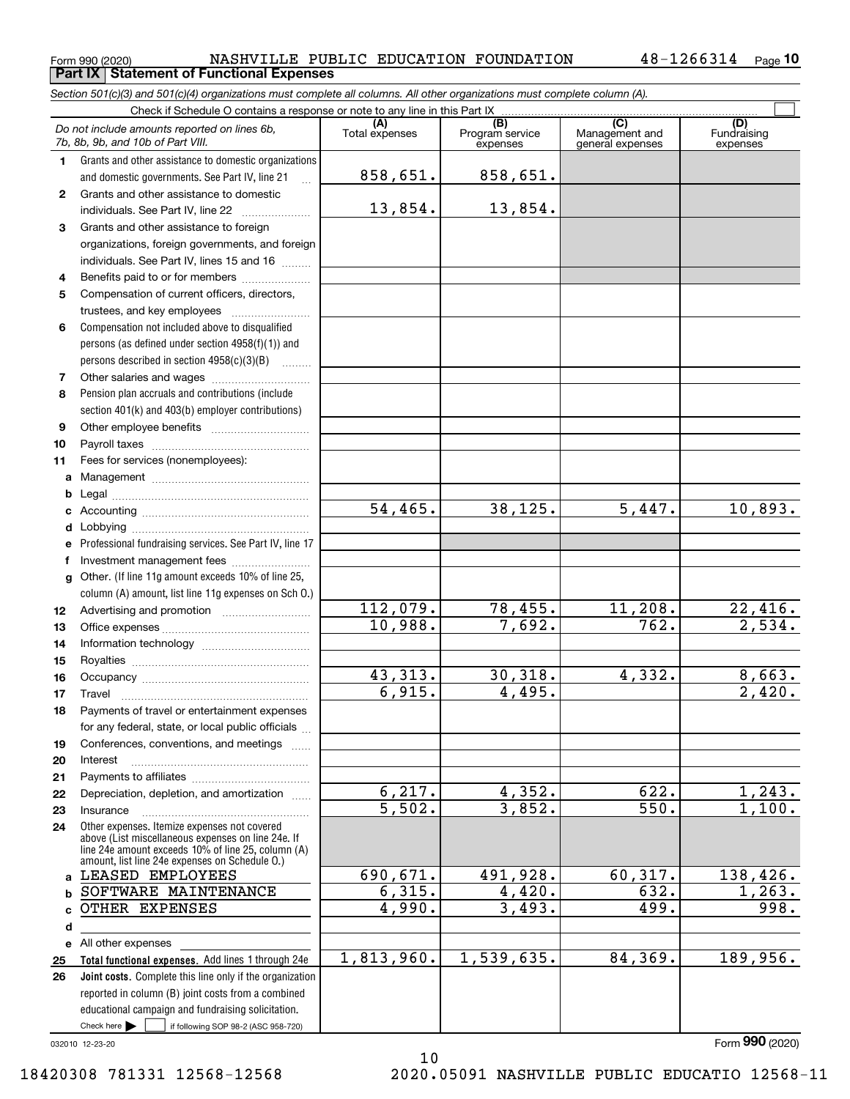$_{\rm Form}$   $_{990}$   $_{(2020)}$   $_{\rm NASHVILLE}$  PUBLIC EDUCATION FOUNDATION  $_{\rm 48-1266314}$   $_{\rm Page}$ **Part IX Statement of Functional Expenses**

|              | Section 501(c)(3) and 501(c)(4) organizations must complete all columns. All other organizations must complete column (A).                                                                                 |                        |                                                 |                                                      |                                |
|--------------|------------------------------------------------------------------------------------------------------------------------------------------------------------------------------------------------------------|------------------------|-------------------------------------------------|------------------------------------------------------|--------------------------------|
|              | Check if Schedule O contains a response or note to any line in this Part IX                                                                                                                                |                        |                                                 |                                                      |                                |
|              | Do not include amounts reported on lines 6b,<br>7b, 8b, 9b, and 10b of Part VIII.                                                                                                                          | (A)<br>Total expenses  | $\overline{(B)}$<br>Program service<br>expenses | $\overline{C}$<br>Management and<br>general expenses | (D)<br>Fundraising<br>expenses |
| 1.           | Grants and other assistance to domestic organizations                                                                                                                                                      |                        |                                                 |                                                      |                                |
|              | and domestic governments. See Part IV, line 21                                                                                                                                                             | 858,651.               | 858,651.                                        |                                                      |                                |
| $\mathbf{2}$ | Grants and other assistance to domestic                                                                                                                                                                    |                        |                                                 |                                                      |                                |
|              | individuals. See Part IV, line 22                                                                                                                                                                          | 13,854.                | 13,854.                                         |                                                      |                                |
| 3            | Grants and other assistance to foreign                                                                                                                                                                     |                        |                                                 |                                                      |                                |
|              | organizations, foreign governments, and foreign                                                                                                                                                            |                        |                                                 |                                                      |                                |
|              | individuals. See Part IV, lines 15 and 16                                                                                                                                                                  |                        |                                                 |                                                      |                                |
| 4            | Benefits paid to or for members                                                                                                                                                                            |                        |                                                 |                                                      |                                |
| 5            | Compensation of current officers, directors,                                                                                                                                                               |                        |                                                 |                                                      |                                |
|              |                                                                                                                                                                                                            |                        |                                                 |                                                      |                                |
| 6            | Compensation not included above to disqualified                                                                                                                                                            |                        |                                                 |                                                      |                                |
|              | persons (as defined under section 4958(f)(1)) and                                                                                                                                                          |                        |                                                 |                                                      |                                |
|              | persons described in section 4958(c)(3)(B)                                                                                                                                                                 |                        |                                                 |                                                      |                                |
| 7            |                                                                                                                                                                                                            |                        |                                                 |                                                      |                                |
| 8            | Pension plan accruals and contributions (include                                                                                                                                                           |                        |                                                 |                                                      |                                |
|              | section 401(k) and 403(b) employer contributions)                                                                                                                                                          |                        |                                                 |                                                      |                                |
| 9            |                                                                                                                                                                                                            |                        |                                                 |                                                      |                                |
| 10           |                                                                                                                                                                                                            |                        |                                                 |                                                      |                                |
| 11           | Fees for services (nonemployees):                                                                                                                                                                          |                        |                                                 |                                                      |                                |
| a            |                                                                                                                                                                                                            |                        |                                                 |                                                      |                                |
| b            |                                                                                                                                                                                                            |                        |                                                 |                                                      |                                |
| c            |                                                                                                                                                                                                            | $\overline{54, 465}$ . | 38, 125.                                        | 5,447.                                               | 10,893.                        |
| d            |                                                                                                                                                                                                            |                        |                                                 |                                                      |                                |
| е            | Professional fundraising services. See Part IV, line 17                                                                                                                                                    |                        |                                                 |                                                      |                                |
| f            | Investment management fees                                                                                                                                                                                 |                        |                                                 |                                                      |                                |
| g            | Other. (If line 11g amount exceeds 10% of line 25,                                                                                                                                                         |                        |                                                 |                                                      |                                |
|              | column (A) amount, list line 11g expenses on Sch O.)                                                                                                                                                       |                        |                                                 |                                                      |                                |
| 12           |                                                                                                                                                                                                            | 112,079.               | 78,455.                                         | 11,208.                                              | 22,416.                        |
| 13           |                                                                                                                                                                                                            | 10,988.                | 7,692.                                          | 762.                                                 | 2,534.                         |
| 14           |                                                                                                                                                                                                            |                        |                                                 |                                                      |                                |
| 15           |                                                                                                                                                                                                            |                        |                                                 |                                                      |                                |
| 16           |                                                                                                                                                                                                            | 43,313.                | 30,318.                                         | 4,332.                                               | 8,663.                         |
| 17           |                                                                                                                                                                                                            | 6,915.                 | 4,495.                                          |                                                      | $\overline{2,420}$ .           |
| 18           | Payments of travel or entertainment expenses                                                                                                                                                               |                        |                                                 |                                                      |                                |
|              | for any federal, state, or local public officials                                                                                                                                                          |                        |                                                 |                                                      |                                |
| 19           | Conferences, conventions, and meetings                                                                                                                                                                     |                        |                                                 |                                                      |                                |
| 20           | Interest                                                                                                                                                                                                   |                        |                                                 |                                                      |                                |
| 21           |                                                                                                                                                                                                            |                        |                                                 |                                                      |                                |
| 22           | Depreciation, depletion, and amortization                                                                                                                                                                  | 6, 217.                | 4,352.                                          | 622.                                                 | 1,243.                         |
| 23           | Insurance                                                                                                                                                                                                  | 5,502.                 | 3,852.                                          | 550.                                                 | 1,100.                         |
| 24           | Other expenses. Itemize expenses not covered<br>above (List miscellaneous expenses on line 24e. If<br>line 24e amount exceeds 10% of line 25, column (A)<br>amount, list line 24e expenses on Schedule O.) |                        |                                                 |                                                      |                                |
|              | a LEASED EMPLOYEES                                                                                                                                                                                         | 690,671.               | 491,928.                                        | 60, 317.                                             | 138,426.                       |
| b            | SOFTWARE MAINTENANCE                                                                                                                                                                                       | 6,315.                 | 4,420.                                          | 632.                                                 | 1,263.                         |
| c            | OTHER EXPENSES                                                                                                                                                                                             | 4,990.                 | 3,493.                                          | 499.                                                 | 998.                           |
| d            |                                                                                                                                                                                                            |                        |                                                 |                                                      |                                |
|              | e All other expenses                                                                                                                                                                                       |                        |                                                 |                                                      |                                |
| 25           | Total functional expenses. Add lines 1 through 24e                                                                                                                                                         | 1,813,960.             | 1,539,635.                                      | 84,369.                                              | 189,956.                       |
| 26           | <b>Joint costs.</b> Complete this line only if the organization                                                                                                                                            |                        |                                                 |                                                      |                                |
|              | reported in column (B) joint costs from a combined                                                                                                                                                         |                        |                                                 |                                                      |                                |
|              | educational campaign and fundraising solicitation.                                                                                                                                                         |                        |                                                 |                                                      |                                |
|              | Check here $\blacktriangleright$<br>if following SOP 98-2 (ASC 958-720)                                                                                                                                    |                        |                                                 |                                                      |                                |

10

032010 12-23-20

Form (2020) **990**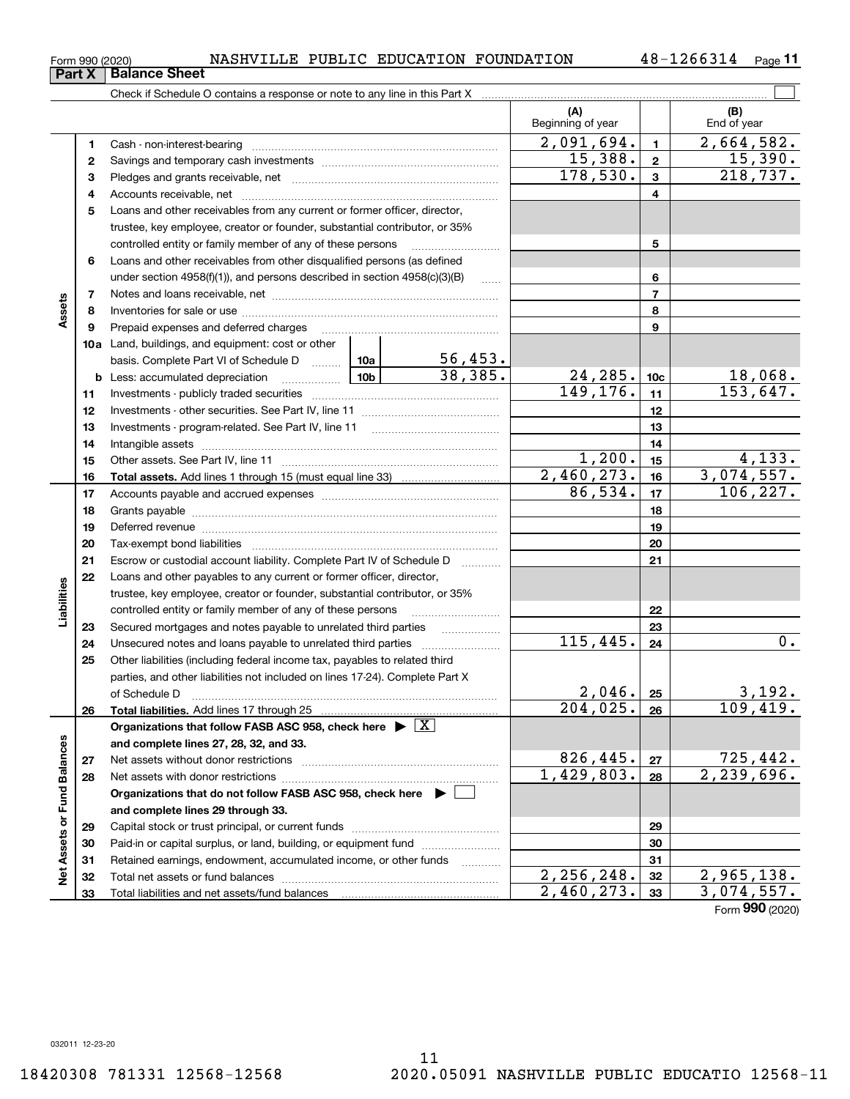| Form 990 (2020) |  | NASHVILLE PUBLIC EDUCATION FOUNDATION |  | 48-1266314 | Page 11 |
|-----------------|--|---------------------------------------|--|------------|---------|
|-----------------|--|---------------------------------------|--|------------|---------|

|                             |          | Check if Schedule O contains a response or note to any line in this Part X                 |          |                     |                          |                 |                          |
|-----------------------------|----------|--------------------------------------------------------------------------------------------|----------|---------------------|--------------------------|-----------------|--------------------------|
|                             |          |                                                                                            |          |                     | (A)<br>Beginning of year |                 | (B)<br>End of year       |
|                             | 1        |                                                                                            |          |                     | 2,091,694.               | $\mathbf{1}$    | 2,664,582.               |
|                             | 2        |                                                                                            | 15,388.  | $\mathbf{2}$        | 15,390.                  |                 |                          |
|                             | з        |                                                                                            | 178,530. | $\overline{3}$      | 218,737.                 |                 |                          |
|                             | 4        |                                                                                            |          |                     |                          | 4               |                          |
|                             | 5        | Loans and other receivables from any current or former officer, director,                  |          |                     |                          |                 |                          |
|                             |          | trustee, key employee, creator or founder, substantial contributor, or 35%                 |          |                     |                          |                 |                          |
|                             |          | controlled entity or family member of any of these persons                                 |          |                     |                          | 5               |                          |
|                             | 6        | Loans and other receivables from other disqualified persons (as defined                    |          |                     |                          |                 |                          |
|                             |          | under section 4958(f)(1)), and persons described in section 4958(c)(3)(B)                  |          | $\sim$              |                          | 6               |                          |
|                             | 7        |                                                                                            |          |                     |                          | $\overline{7}$  |                          |
| Assets                      | 8        |                                                                                            |          |                     |                          | 8               |                          |
|                             | 9        |                                                                                            |          |                     |                          | 9               |                          |
|                             |          | 10a Land, buildings, and equipment: cost or other                                          |          |                     |                          |                 |                          |
|                             |          | basis. Complete Part VI of Schedule D  10a                                                 |          | <u>56,453.</u>      |                          |                 |                          |
|                             |          |                                                                                            |          | $\frac{1}{38,385.}$ | 24,285.                  | 10 <sub>c</sub> | 18,068.                  |
|                             | 11       |                                                                                            |          |                     | 149,176.                 | 11              | 153,647.                 |
|                             | 12       |                                                                                            |          |                     | 12                       |                 |                          |
|                             | 13       |                                                                                            |          |                     |                          | 13              |                          |
|                             | 14       |                                                                                            |          | 14                  |                          |                 |                          |
|                             | 15       |                                                                                            |          |                     | 1,200.                   | 15              | 4,133.                   |
|                             | 16       |                                                                                            |          |                     | 2,460,273.               | 16              | 3,074,557.               |
|                             | 17       |                                                                                            | 86,534.  | 17                  | 106, 227.                |                 |                          |
|                             | 18       |                                                                                            |          |                     | 18                       |                 |                          |
|                             | 19       |                                                                                            |          |                     |                          | 19              |                          |
|                             | 20       |                                                                                            |          |                     |                          | 20              |                          |
|                             | 21       | Escrow or custodial account liability. Complete Part IV of Schedule D                      |          |                     |                          | 21              |                          |
|                             | 22       | Loans and other payables to any current or former officer, director,                       |          |                     |                          |                 |                          |
| Liabilities                 |          | trustee, key employee, creator or founder, substantial contributor, or 35%                 |          |                     |                          |                 |                          |
|                             |          | controlled entity or family member of any of these persons                                 |          |                     |                          | 22              |                          |
|                             | 23<br>24 | Secured mortgages and notes payable to unrelated third parties                             |          |                     | 115,445.                 | 23<br>24        | 0.                       |
|                             | 25       | Other liabilities (including federal income tax, payables to related third                 |          |                     |                          |                 |                          |
|                             |          | parties, and other liabilities not included on lines 17-24). Complete Part X               |          |                     |                          |                 |                          |
|                             |          |                                                                                            |          |                     | 2,046.                   | 25              | 3,192.                   |
|                             | 26       | Total liabilities. Add lines 17 through 25                                                 |          |                     | 204,025.                 | 26              | $\frac{109,419.}{$       |
|                             |          | Organizations that follow FASB ASC 958, check here $\blacktriangleright \lfloor X \rfloor$ |          |                     |                          |                 |                          |
|                             |          | and complete lines 27, 28, 32, and 33.                                                     |          |                     |                          |                 |                          |
|                             | 27       | Net assets without donor restrictions                                                      |          |                     | 826,445.                 | 27              | 725,442.                 |
|                             | 28       |                                                                                            |          |                     | 1,429,803.               | 28              | $\overline{2,239,696}$ . |
|                             |          | Organizations that do not follow FASB ASC 958, check here $\blacktriangleright$            |          |                     |                          |                 |                          |
|                             |          | and complete lines 29 through 33.                                                          |          |                     |                          |                 |                          |
|                             | 29       |                                                                                            |          |                     |                          | 29              |                          |
|                             | 30       | Paid-in or capital surplus, or land, building, or equipment fund                           |          |                     |                          | 30              |                          |
|                             | 31       | Retained earnings, endowment, accumulated income, or other funds                           |          | 1.1.1.1.1.1.1.1.1   |                          | 31              |                          |
| Net Assets or Fund Balances | 32       | Total net assets or fund balances                                                          |          |                     | 2, 256, 248.             | 32              | 2,965,138.               |
|                             | 33       |                                                                                            |          |                     | 2,460,273.               | 33              | 3,074,557.<br>nnn.       |

Form (2020) **990**

**Part X Balance Sheet**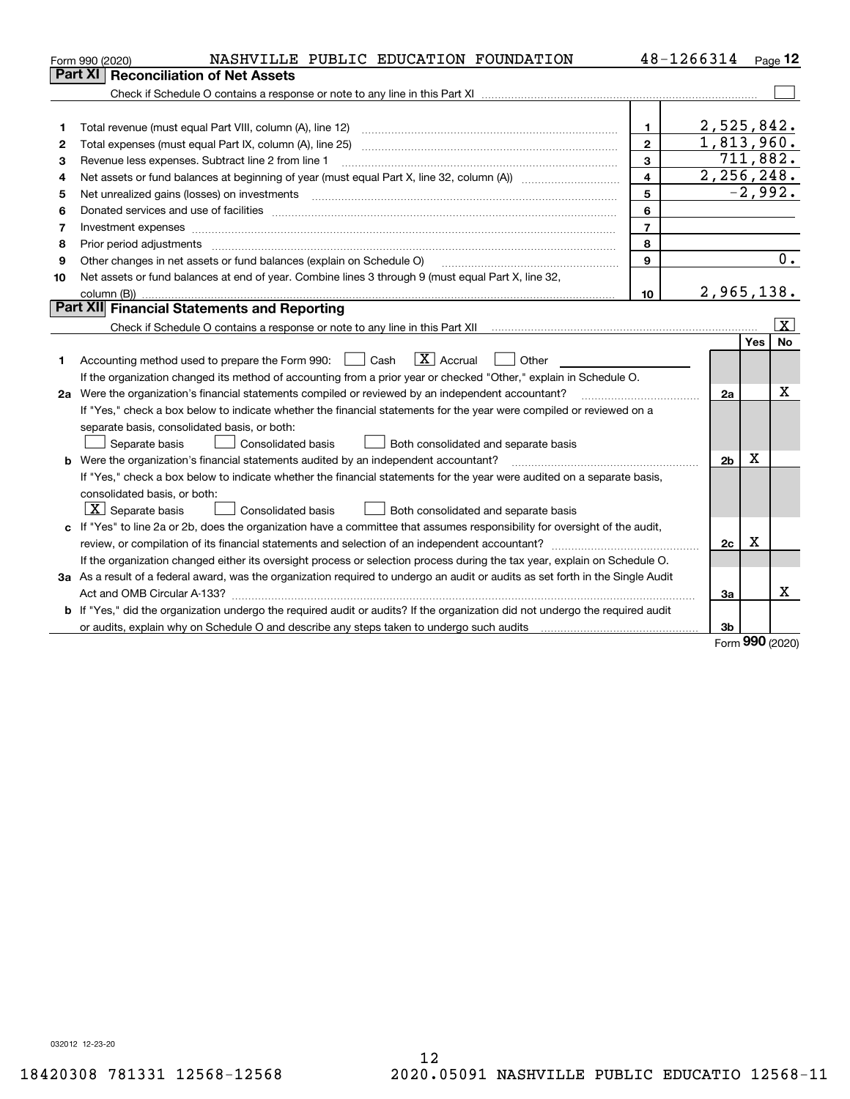|    | NASHVILLE PUBLIC EDUCATION FOUNDATION<br>Form 990 (2020)                                                                        |                         | 48-1266314     |           | $Page$ 12    |
|----|---------------------------------------------------------------------------------------------------------------------------------|-------------------------|----------------|-----------|--------------|
|    | Part XI<br><b>Reconciliation of Net Assets</b>                                                                                  |                         |                |           |              |
|    |                                                                                                                                 |                         |                |           |              |
|    |                                                                                                                                 |                         |                |           |              |
| 1  | Total revenue (must equal Part VIII, column (A), line 12)                                                                       | $\mathbf{1}$            | 2,525,842.     |           |              |
| 2  |                                                                                                                                 | $\mathbf{2}$            | 1,813,960.     |           |              |
| 3  | Revenue less expenses. Subtract line 2 from line 1                                                                              | 3                       |                | 711,882.  |              |
| 4  |                                                                                                                                 | $\overline{\mathbf{4}}$ | 2,256,248.     |           |              |
| 5  |                                                                                                                                 | 5                       |                | $-2,992.$ |              |
| 6  |                                                                                                                                 | 6                       |                |           |              |
| 7  |                                                                                                                                 | $\overline{7}$          |                |           |              |
| 8  | Prior period adjustments                                                                                                        | 8                       |                |           |              |
| 9  | Other changes in net assets or fund balances (explain on Schedule O)                                                            | 9                       |                |           | 0.           |
| 10 | Net assets or fund balances at end of year. Combine lines 3 through 9 (must equal Part X, line 32,                              |                         |                |           |              |
|    |                                                                                                                                 | 10                      | 2,965,138.     |           |              |
|    | Part XII Financial Statements and Reporting                                                                                     |                         |                |           |              |
|    |                                                                                                                                 |                         |                |           | $\mathbf{X}$ |
|    |                                                                                                                                 |                         |                | Yes       | <b>No</b>    |
| 1. | $\boxed{\mathbf{X}}$ Accrual<br>Accounting method used to prepare the Form 990: <u>June</u> Cash<br>Other                       |                         |                |           |              |
|    | If the organization changed its method of accounting from a prior year or checked "Other," explain in Schedule O.               |                         |                |           |              |
|    | 2a Were the organization's financial statements compiled or reviewed by an independent accountant?                              |                         | 2a             |           | x            |
|    | If "Yes," check a box below to indicate whether the financial statements for the year were compiled or reviewed on a            |                         |                |           |              |
|    | separate basis, consolidated basis, or both:                                                                                    |                         |                |           |              |
|    | Separate basis<br>Consolidated basis<br>Both consolidated and separate basis                                                    |                         |                |           |              |
|    | <b>b</b> Were the organization's financial statements audited by an independent accountant?                                     |                         | 2 <sub>b</sub> | x         |              |
|    | If "Yes," check a box below to indicate whether the financial statements for the year were audited on a separate basis,         |                         |                |           |              |
|    | consolidated basis, or both:                                                                                                    |                         |                |           |              |
|    | $ \mathbf{X} $ Separate basis<br>Consolidated basis<br>Both consolidated and separate basis                                     |                         |                |           |              |
|    | c If "Yes" to line 2a or 2b, does the organization have a committee that assumes responsibility for oversight of the audit,     |                         |                |           |              |
|    |                                                                                                                                 |                         | 2c             | x         |              |
|    | If the organization changed either its oversight process or selection process during the tax year, explain on Schedule O.       |                         |                |           |              |
|    | 3a As a result of a federal award, was the organization required to undergo an audit or audits as set forth in the Single Audit |                         |                |           |              |
|    |                                                                                                                                 |                         | За             |           | Χ            |
|    | b If "Yes," did the organization undergo the required audit or audits? If the organization did not undergo the required audit   |                         |                |           |              |
|    |                                                                                                                                 |                         | 3b             |           |              |

Form (2020) **990**

032012 12-23-20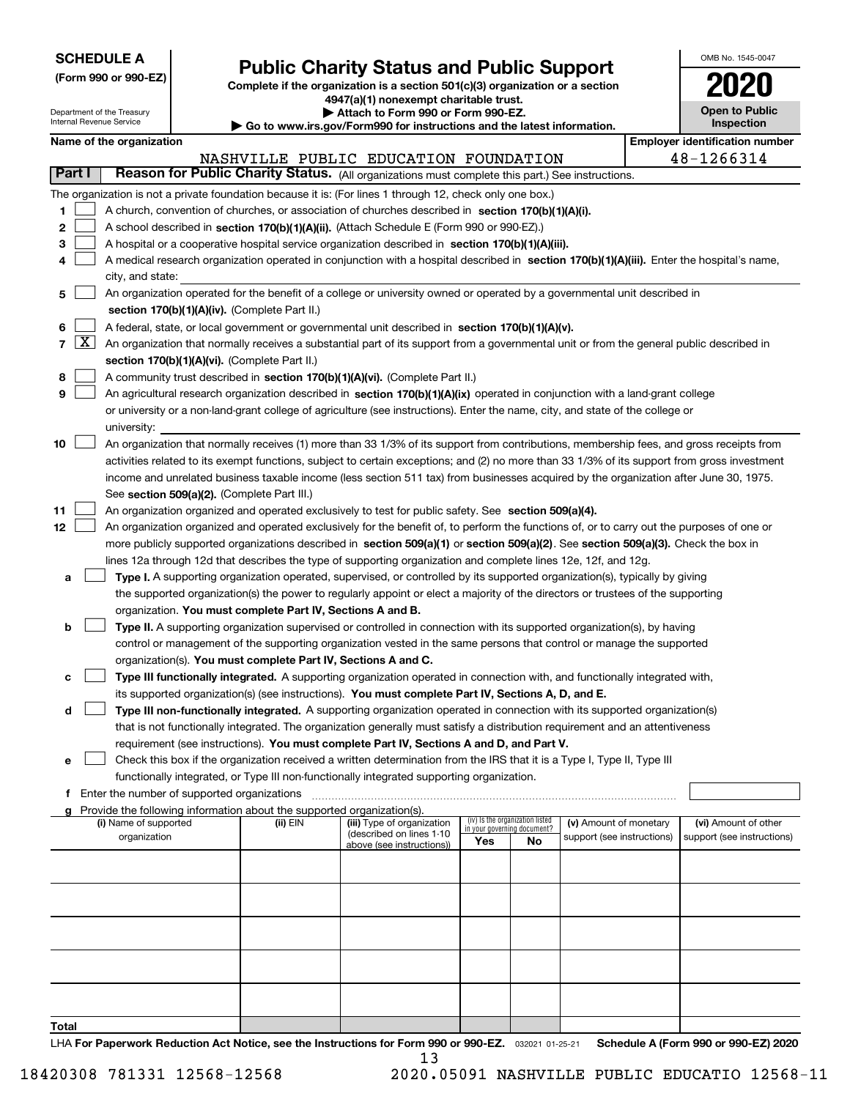| <b>SCHEDULE A</b> |  |
|-------------------|--|
|-------------------|--|

Department of the Treasury

**(Form 990 or 990-EZ)**

## **Public Charity Status and Public Support**

**Complete if the organization is a section 501(c)(3) organization or a section 4947(a)(1) nonexempt charitable trust. | Attach to Form 990 or Form 990-EZ.** 

| OMB No 1545-0047                    |
|-------------------------------------|
| 2020                                |
| <b>Open to Public</b><br>Inspection |

 $\overline{\phantom{a}}$ 

| Internal Revenue Service |                     | Go to www.irs.gov/Form990 for instructions and the latest information. |                                             |                                                                        |                                                                                                                                                                                                                                               |                             |                                 | Inspection                 |  |  |                                       |
|--------------------------|---------------------|------------------------------------------------------------------------|---------------------------------------------|------------------------------------------------------------------------|-----------------------------------------------------------------------------------------------------------------------------------------------------------------------------------------------------------------------------------------------|-----------------------------|---------------------------------|----------------------------|--|--|---------------------------------------|
|                          |                     | Name of the organization                                               |                                             |                                                                        |                                                                                                                                                                                                                                               |                             |                                 |                            |  |  | <b>Employer identification number</b> |
|                          |                     |                                                                        |                                             |                                                                        | NASHVILLE PUBLIC EDUCATION FOUNDATION                                                                                                                                                                                                         |                             |                                 |                            |  |  | 48-1266314                            |
|                          | Part I              |                                                                        |                                             |                                                                        | Reason for Public Charity Status. (All organizations must complete this part.) See instructions.                                                                                                                                              |                             |                                 |                            |  |  |                                       |
|                          |                     |                                                                        |                                             |                                                                        | The organization is not a private foundation because it is: (For lines 1 through 12, check only one box.)                                                                                                                                     |                             |                                 |                            |  |  |                                       |
| 1                        |                     |                                                                        |                                             |                                                                        | A church, convention of churches, or association of churches described in section 170(b)(1)(A)(i).                                                                                                                                            |                             |                                 |                            |  |  |                                       |
| 2                        |                     |                                                                        |                                             |                                                                        | A school described in section 170(b)(1)(A)(ii). (Attach Schedule E (Form 990 or 990-EZ).)                                                                                                                                                     |                             |                                 |                            |  |  |                                       |
| 3                        |                     |                                                                        |                                             |                                                                        | A hospital or a cooperative hospital service organization described in section 170(b)(1)(A)(iii).                                                                                                                                             |                             |                                 |                            |  |  |                                       |
| 4                        |                     |                                                                        |                                             |                                                                        | A medical research organization operated in conjunction with a hospital described in section 170(b)(1)(A)(iii). Enter the hospital's name,                                                                                                    |                             |                                 |                            |  |  |                                       |
|                          |                     | city, and state:                                                       |                                             |                                                                        |                                                                                                                                                                                                                                               |                             |                                 |                            |  |  |                                       |
| 5                        |                     |                                                                        |                                             |                                                                        | An organization operated for the benefit of a college or university owned or operated by a governmental unit described in                                                                                                                     |                             |                                 |                            |  |  |                                       |
|                          |                     |                                                                        |                                             | section 170(b)(1)(A)(iv). (Complete Part II.)                          |                                                                                                                                                                                                                                               |                             |                                 |                            |  |  |                                       |
| 6                        |                     |                                                                        |                                             |                                                                        | A federal, state, or local government or governmental unit described in section 170(b)(1)(A)(v).                                                                                                                                              |                             |                                 |                            |  |  |                                       |
| 7                        | $\lfloor x \rfloor$ |                                                                        |                                             |                                                                        | An organization that normally receives a substantial part of its support from a governmental unit or from the general public described in                                                                                                     |                             |                                 |                            |  |  |                                       |
|                          |                     |                                                                        |                                             | section 170(b)(1)(A)(vi). (Complete Part II.)                          |                                                                                                                                                                                                                                               |                             |                                 |                            |  |  |                                       |
| 8                        |                     |                                                                        |                                             |                                                                        | A community trust described in section 170(b)(1)(A)(vi). (Complete Part II.)                                                                                                                                                                  |                             |                                 |                            |  |  |                                       |
| 9                        |                     |                                                                        |                                             |                                                                        | An agricultural research organization described in section 170(b)(1)(A)(ix) operated in conjunction with a land-grant college                                                                                                                 |                             |                                 |                            |  |  |                                       |
|                          |                     |                                                                        |                                             |                                                                        | or university or a non-land-grant college of agriculture (see instructions). Enter the name, city, and state of the college or                                                                                                                |                             |                                 |                            |  |  |                                       |
|                          |                     | university:                                                            |                                             |                                                                        |                                                                                                                                                                                                                                               |                             |                                 |                            |  |  |                                       |
| 10                       |                     |                                                                        |                                             |                                                                        | An organization that normally receives (1) more than 33 1/3% of its support from contributions, membership fees, and gross receipts from                                                                                                      |                             |                                 |                            |  |  |                                       |
|                          |                     |                                                                        |                                             |                                                                        | activities related to its exempt functions, subject to certain exceptions; and (2) no more than 33 1/3% of its support from gross investment                                                                                                  |                             |                                 |                            |  |  |                                       |
|                          |                     |                                                                        |                                             |                                                                        | income and unrelated business taxable income (less section 511 tax) from businesses acquired by the organization after June 30, 1975.                                                                                                         |                             |                                 |                            |  |  |                                       |
|                          |                     |                                                                        |                                             | See section 509(a)(2). (Complete Part III.)                            |                                                                                                                                                                                                                                               |                             |                                 |                            |  |  |                                       |
| 11                       |                     |                                                                        |                                             |                                                                        | An organization organized and operated exclusively to test for public safety. See section 509(a)(4).                                                                                                                                          |                             |                                 |                            |  |  |                                       |
| 12                       |                     |                                                                        |                                             |                                                                        | An organization organized and operated exclusively for the benefit of, to perform the functions of, or to carry out the purposes of one or                                                                                                    |                             |                                 |                            |  |  |                                       |
|                          |                     |                                                                        |                                             |                                                                        | more publicly supported organizations described in section 509(a)(1) or section 509(a)(2). See section 509(a)(3). Check the box in                                                                                                            |                             |                                 |                            |  |  |                                       |
|                          |                     |                                                                        |                                             |                                                                        | lines 12a through 12d that describes the type of supporting organization and complete lines 12e, 12f, and 12g.<br>Type I. A supporting organization operated, supervised, or controlled by its supported organization(s), typically by giving |                             |                                 |                            |  |  |                                       |
| а                        |                     |                                                                        |                                             |                                                                        | the supported organization(s) the power to regularly appoint or elect a majority of the directors or trustees of the supporting                                                                                                               |                             |                                 |                            |  |  |                                       |
|                          |                     |                                                                        |                                             | organization. You must complete Part IV, Sections A and B.             |                                                                                                                                                                                                                                               |                             |                                 |                            |  |  |                                       |
| b                        |                     |                                                                        |                                             |                                                                        | Type II. A supporting organization supervised or controlled in connection with its supported organization(s), by having                                                                                                                       |                             |                                 |                            |  |  |                                       |
|                          |                     |                                                                        |                                             |                                                                        | control or management of the supporting organization vested in the same persons that control or manage the supported                                                                                                                          |                             |                                 |                            |  |  |                                       |
|                          |                     |                                                                        |                                             | organization(s). You must complete Part IV, Sections A and C.          |                                                                                                                                                                                                                                               |                             |                                 |                            |  |  |                                       |
| с                        |                     |                                                                        |                                             |                                                                        | Type III functionally integrated. A supporting organization operated in connection with, and functionally integrated with,                                                                                                                    |                             |                                 |                            |  |  |                                       |
|                          |                     |                                                                        |                                             |                                                                        | its supported organization(s) (see instructions). You must complete Part IV, Sections A, D, and E.                                                                                                                                            |                             |                                 |                            |  |  |                                       |
| d                        |                     |                                                                        |                                             |                                                                        | Type III non-functionally integrated. A supporting organization operated in connection with its supported organization(s)                                                                                                                     |                             |                                 |                            |  |  |                                       |
|                          |                     |                                                                        |                                             |                                                                        | that is not functionally integrated. The organization generally must satisfy a distribution requirement and an attentiveness                                                                                                                  |                             |                                 |                            |  |  |                                       |
|                          |                     |                                                                        |                                             |                                                                        | requirement (see instructions). You must complete Part IV, Sections A and D, and Part V.                                                                                                                                                      |                             |                                 |                            |  |  |                                       |
| е                        |                     |                                                                        |                                             |                                                                        | Check this box if the organization received a written determination from the IRS that it is a Type I, Type II, Type III                                                                                                                       |                             |                                 |                            |  |  |                                       |
|                          |                     |                                                                        |                                             |                                                                        | functionally integrated, or Type III non-functionally integrated supporting organization.                                                                                                                                                     |                             |                                 |                            |  |  |                                       |
| f                        |                     |                                                                        | Enter the number of supported organizations |                                                                        |                                                                                                                                                                                                                                               |                             |                                 |                            |  |  |                                       |
|                          |                     |                                                                        |                                             | Provide the following information about the supported organization(s). |                                                                                                                                                                                                                                               |                             |                                 |                            |  |  |                                       |
|                          |                     | (i) Name of supported                                                  |                                             | (ii) EIN                                                               | (iii) Type of organization<br>(described on lines 1-10                                                                                                                                                                                        | in your governing document? | (iv) Is the organization listed | (v) Amount of monetary     |  |  | (vi) Amount of other                  |
|                          |                     | organization                                                           |                                             |                                                                        | above (see instructions))                                                                                                                                                                                                                     | Yes                         | No                              | support (see instructions) |  |  | support (see instructions)            |
|                          |                     |                                                                        |                                             |                                                                        |                                                                                                                                                                                                                                               |                             |                                 |                            |  |  |                                       |
|                          |                     |                                                                        |                                             |                                                                        |                                                                                                                                                                                                                                               |                             |                                 |                            |  |  |                                       |
|                          |                     |                                                                        |                                             |                                                                        |                                                                                                                                                                                                                                               |                             |                                 |                            |  |  |                                       |
|                          |                     |                                                                        |                                             |                                                                        |                                                                                                                                                                                                                                               |                             |                                 |                            |  |  |                                       |
|                          |                     |                                                                        |                                             |                                                                        |                                                                                                                                                                                                                                               |                             |                                 |                            |  |  |                                       |
|                          |                     |                                                                        |                                             |                                                                        |                                                                                                                                                                                                                                               |                             |                                 |                            |  |  |                                       |
|                          |                     |                                                                        |                                             |                                                                        |                                                                                                                                                                                                                                               |                             |                                 |                            |  |  |                                       |
|                          |                     |                                                                        |                                             |                                                                        |                                                                                                                                                                                                                                               |                             |                                 |                            |  |  |                                       |
|                          |                     |                                                                        |                                             |                                                                        |                                                                                                                                                                                                                                               |                             |                                 |                            |  |  |                                       |
| Total                    |                     |                                                                        |                                             |                                                                        |                                                                                                                                                                                                                                               |                             |                                 |                            |  |  |                                       |

LHA For Paperwork Reduction Act Notice, see the Instructions for Form 990 or 990-EZ. <sub>032021</sub> o1-25-21 Schedule A (Form 990 or 990-EZ) 2020 13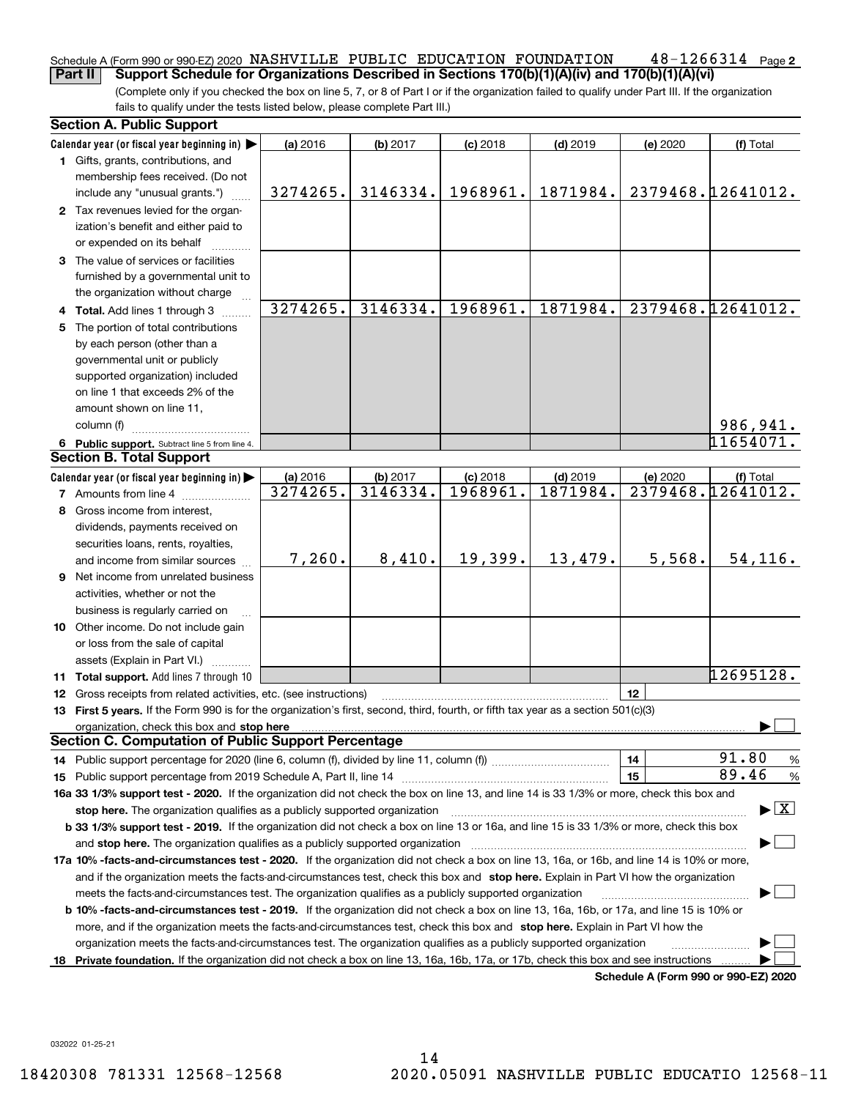#### $48 - 1266314$  Page 2 Schedule A (Form 990 or 990-EZ) 2020  $\,$  <code>NASHVILLE PUBLIC EDUCATION FOUNDATION</code>  $\,$  <code>48–1266314</code>  $\,$  <code>Page</code> **Part II Support Schedule for Organizations Described in Sections 170(b)(1)(A)(iv) and 170(b)(1)(A)(vi)**

(Complete only if you checked the box on line 5, 7, or 8 of Part I or if the organization failed to qualify under Part III. If the organization fails to qualify under the tests listed below, please complete Part III.)

|    | <b>Section A. Public Support</b>                                                                                                                                                                                               |          |          |            |            |                                      |                                          |
|----|--------------------------------------------------------------------------------------------------------------------------------------------------------------------------------------------------------------------------------|----------|----------|------------|------------|--------------------------------------|------------------------------------------|
|    | Calendar year (or fiscal year beginning in) $\blacktriangleright$                                                                                                                                                              | (a) 2016 | (b) 2017 | $(c)$ 2018 | $(d)$ 2019 | (e) 2020                             | (f) Total                                |
|    | 1 Gifts, grants, contributions, and                                                                                                                                                                                            |          |          |            |            |                                      |                                          |
|    | membership fees received. (Do not                                                                                                                                                                                              |          |          |            |            |                                      |                                          |
|    | include any "unusual grants.")                                                                                                                                                                                                 | 3274265. | 3146334. | 1968961.   | 1871984.   |                                      | 2379468.12641012.                        |
|    | 2 Tax revenues levied for the organ-                                                                                                                                                                                           |          |          |            |            |                                      |                                          |
|    | ization's benefit and either paid to                                                                                                                                                                                           |          |          |            |            |                                      |                                          |
|    | or expended on its behalf                                                                                                                                                                                                      |          |          |            |            |                                      |                                          |
|    | 3 The value of services or facilities                                                                                                                                                                                          |          |          |            |            |                                      |                                          |
|    | furnished by a governmental unit to                                                                                                                                                                                            |          |          |            |            |                                      |                                          |
|    | the organization without charge                                                                                                                                                                                                |          |          |            |            |                                      |                                          |
|    | 4 Total. Add lines 1 through 3                                                                                                                                                                                                 | 3274265. | 3146334. | 1968961.   | 1871984.   |                                      | 2379468.12641012.                        |
|    | 5 The portion of total contributions                                                                                                                                                                                           |          |          |            |            |                                      |                                          |
|    | by each person (other than a                                                                                                                                                                                                   |          |          |            |            |                                      |                                          |
|    | governmental unit or publicly                                                                                                                                                                                                  |          |          |            |            |                                      |                                          |
|    | supported organization) included                                                                                                                                                                                               |          |          |            |            |                                      |                                          |
|    | on line 1 that exceeds 2% of the                                                                                                                                                                                               |          |          |            |            |                                      |                                          |
|    | amount shown on line 11,                                                                                                                                                                                                       |          |          |            |            |                                      |                                          |
|    | column (f)                                                                                                                                                                                                                     |          |          |            |            |                                      | 986,941.                                 |
|    | 6 Public support. Subtract line 5 from line 4.                                                                                                                                                                                 |          |          |            |            |                                      | 11654071.                                |
|    | <b>Section B. Total Support</b>                                                                                                                                                                                                |          |          |            |            |                                      |                                          |
|    | Calendar year (or fiscal year beginning in)                                                                                                                                                                                    | (a) 2016 | (b) 2017 | $(c)$ 2018 | $(d)$ 2019 | (e) 2020                             | (f) Total                                |
|    | <b>7</b> Amounts from line 4                                                                                                                                                                                                   | 3274265. | 3146334. | 1968961.   | 1871984.   |                                      | 2379468.12641012.                        |
| 8  | Gross income from interest,                                                                                                                                                                                                    |          |          |            |            |                                      |                                          |
|    | dividends, payments received on                                                                                                                                                                                                |          |          |            |            |                                      |                                          |
|    | securities loans, rents, royalties,                                                                                                                                                                                            |          |          |            |            |                                      |                                          |
|    | and income from similar sources                                                                                                                                                                                                | 7,260.   | 8,410.   | 19,399.    | 13,479.    | 5,568.                               | 54, 116.                                 |
|    | <b>9</b> Net income from unrelated business                                                                                                                                                                                    |          |          |            |            |                                      |                                          |
|    | activities, whether or not the                                                                                                                                                                                                 |          |          |            |            |                                      |                                          |
|    | business is regularly carried on                                                                                                                                                                                               |          |          |            |            |                                      |                                          |
|    | 10 Other income. Do not include gain                                                                                                                                                                                           |          |          |            |            |                                      |                                          |
|    | or loss from the sale of capital                                                                                                                                                                                               |          |          |            |            |                                      |                                          |
|    | assets (Explain in Part VI.)                                                                                                                                                                                                   |          |          |            |            |                                      |                                          |
|    | 11 Total support. Add lines 7 through 10                                                                                                                                                                                       |          |          |            |            |                                      | 12695128.                                |
|    | 12 Gross receipts from related activities, etc. (see instructions)                                                                                                                                                             |          |          |            |            | 12                                   |                                          |
|    | 13 First 5 years. If the Form 990 is for the organization's first, second, third, fourth, or fifth tax year as a section 501(c)(3)                                                                                             |          |          |            |            |                                      |                                          |
|    | organization, check this box and stop here manufactured and stop here and stop here are all the control of the state of the state of the state of the state of the state of the state of the state of the state of the state o |          |          |            |            |                                      |                                          |
|    | <b>Section C. Computation of Public Support Percentage</b>                                                                                                                                                                     |          |          |            |            |                                      |                                          |
|    |                                                                                                                                                                                                                                |          |          |            |            | 14                                   | 91.80<br>%                               |
|    |                                                                                                                                                                                                                                |          |          |            |            | 15                                   | 89.46<br>$\%$                            |
|    | 16a 33 1/3% support test - 2020. If the organization did not check the box on line 13, and line 14 is 33 1/3% or more, check this box and                                                                                      |          |          |            |            |                                      |                                          |
|    | stop here. The organization qualifies as a publicly supported organization                                                                                                                                                     |          |          |            |            |                                      | $\blacktriangleright$ $\boxed{\text{X}}$ |
|    | b 33 1/3% support test - 2019. If the organization did not check a box on line 13 or 16a, and line 15 is 33 1/3% or more, check this box                                                                                       |          |          |            |            |                                      |                                          |
|    | and stop here. The organization qualifies as a publicly supported organization                                                                                                                                                 |          |          |            |            |                                      |                                          |
|    | 17a 10% -facts-and-circumstances test - 2020. If the organization did not check a box on line 13, 16a, or 16b, and line 14 is 10% or more,                                                                                     |          |          |            |            |                                      |                                          |
|    | and if the organization meets the facts-and-circumstances test, check this box and stop here. Explain in Part VI how the organization                                                                                          |          |          |            |            |                                      |                                          |
|    | meets the facts-and-circumstances test. The organization qualifies as a publicly supported organization                                                                                                                        |          |          |            |            |                                      |                                          |
|    | <b>b 10% -facts-and-circumstances test - 2019.</b> If the organization did not check a box on line 13, 16a, 16b, or 17a, and line 15 is 10% or                                                                                 |          |          |            |            |                                      |                                          |
|    | more, and if the organization meets the facts-and-circumstances test, check this box and stop here. Explain in Part VI how the                                                                                                 |          |          |            |            |                                      |                                          |
|    | organization meets the facts-and-circumstances test. The organization qualifies as a publicly supported organization                                                                                                           |          |          |            |            |                                      |                                          |
| 18 | Private foundation. If the organization did not check a box on line 13, 16a, 16b, 17a, or 17b, check this box and see instructions                                                                                             |          |          |            |            |                                      |                                          |
|    |                                                                                                                                                                                                                                |          |          |            |            | Schedule A (Form 990 or 990-EZ) 2020 |                                          |

**Schedule A (Form 990 or 990-EZ) 2020**

032022 01-25-21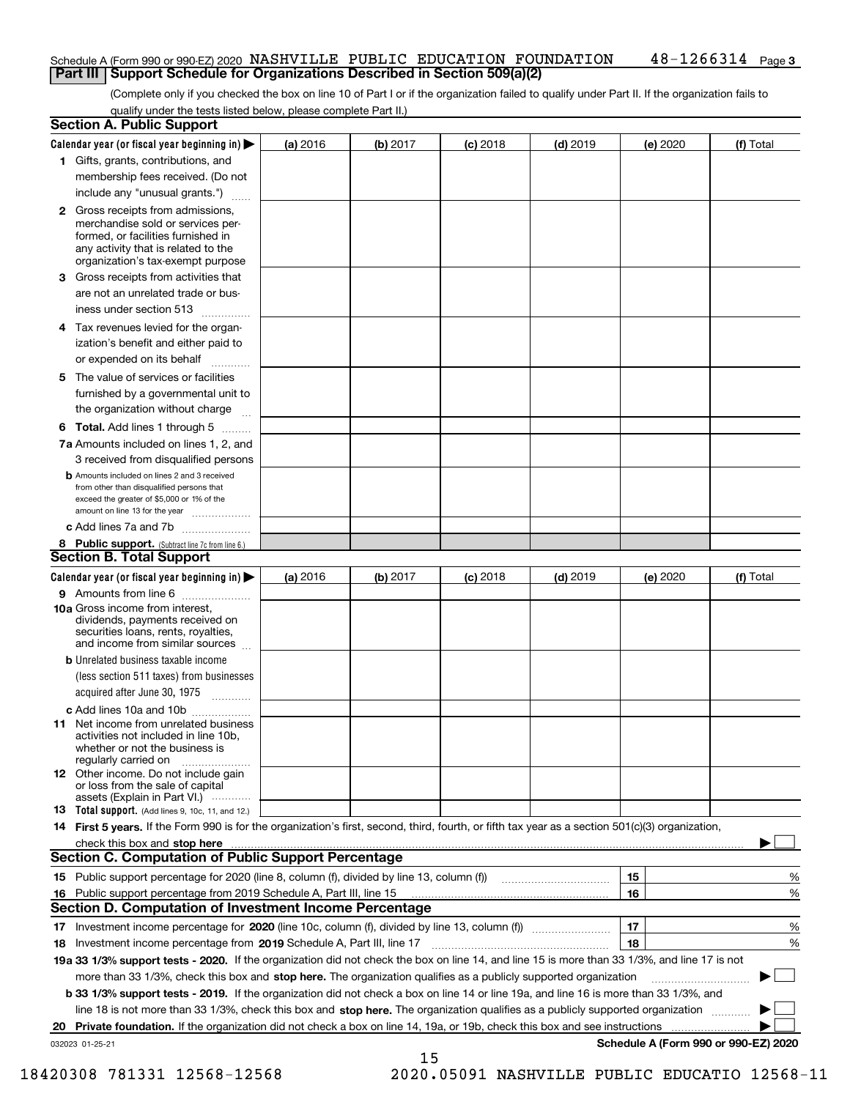#### **3** Schedule A (Form 990 or 990-EZ) 2020  $\,$  <code>NASHVILLE PUBLIC EDUCATION FOUNDATION</code>  $\,$  <code>48–1266314</code>  $\,$  <code>Page</code> **Part III Support Schedule for Organizations Described in Section 509(a)(2)**

(Complete only if you checked the box on line 10 of Part I or if the organization failed to qualify under Part II. If the organization fails to qualify under the tests listed below, please complete Part II.)

|    | <b>Section A. Public Support</b>                                                                                                                                                                                                      |          |          |            |            |                                      |           |
|----|---------------------------------------------------------------------------------------------------------------------------------------------------------------------------------------------------------------------------------------|----------|----------|------------|------------|--------------------------------------|-----------|
|    | Calendar year (or fiscal year beginning in) $\blacktriangleright$                                                                                                                                                                     | (a) 2016 | (b) 2017 | $(c)$ 2018 | $(d)$ 2019 | (e) 2020                             | (f) Total |
|    | 1 Gifts, grants, contributions, and                                                                                                                                                                                                   |          |          |            |            |                                      |           |
|    | membership fees received. (Do not                                                                                                                                                                                                     |          |          |            |            |                                      |           |
|    | include any "unusual grants.")                                                                                                                                                                                                        |          |          |            |            |                                      |           |
|    | 2 Gross receipts from admissions,<br>merchandise sold or services per-<br>formed, or facilities furnished in<br>any activity that is related to the<br>organization's tax-exempt purpose                                              |          |          |            |            |                                      |           |
|    | 3 Gross receipts from activities that<br>are not an unrelated trade or bus-<br>iness under section 513                                                                                                                                |          |          |            |            |                                      |           |
|    | 4 Tax revenues levied for the organ-<br>ization's benefit and either paid to                                                                                                                                                          |          |          |            |            |                                      |           |
|    | or expended on its behalf<br>.                                                                                                                                                                                                        |          |          |            |            |                                      |           |
|    | 5 The value of services or facilities                                                                                                                                                                                                 |          |          |            |            |                                      |           |
|    | furnished by a governmental unit to                                                                                                                                                                                                   |          |          |            |            |                                      |           |
|    | the organization without charge                                                                                                                                                                                                       |          |          |            |            |                                      |           |
|    | <b>6 Total.</b> Add lines 1 through 5                                                                                                                                                                                                 |          |          |            |            |                                      |           |
|    | 7a Amounts included on lines 1, 2, and                                                                                                                                                                                                |          |          |            |            |                                      |           |
|    | 3 received from disqualified persons<br><b>b</b> Amounts included on lines 2 and 3 received                                                                                                                                           |          |          |            |            |                                      |           |
|    | from other than disqualified persons that                                                                                                                                                                                             |          |          |            |            |                                      |           |
|    | exceed the greater of \$5,000 or 1% of the<br>amount on line 13 for the year                                                                                                                                                          |          |          |            |            |                                      |           |
|    | c Add lines 7a and 7b                                                                                                                                                                                                                 |          |          |            |            |                                      |           |
|    | 8 Public support. (Subtract line 7c from line 6.)                                                                                                                                                                                     |          |          |            |            |                                      |           |
|    | <b>Section B. Total Support</b>                                                                                                                                                                                                       |          |          |            |            |                                      |           |
|    | Calendar year (or fiscal year beginning in) $\blacktriangleright$                                                                                                                                                                     | (a) 2016 | (b) 2017 | $(c)$ 2018 | $(d)$ 2019 | (e) 2020                             | (f) Total |
|    | 9 Amounts from line 6                                                                                                                                                                                                                 |          |          |            |            |                                      |           |
|    | 10a Gross income from interest,<br>dividends, payments received on<br>securities loans, rents, royalties,<br>and income from similar sources                                                                                          |          |          |            |            |                                      |           |
|    | <b>b</b> Unrelated business taxable income                                                                                                                                                                                            |          |          |            |            |                                      |           |
|    | (less section 511 taxes) from businesses                                                                                                                                                                                              |          |          |            |            |                                      |           |
|    | acquired after June 30, 1975                                                                                                                                                                                                          |          |          |            |            |                                      |           |
|    | c Add lines 10a and 10b<br>11 Net income from unrelated business<br>activities not included in line 10b,<br>whether or not the business is<br>regularly carried on                                                                    |          |          |            |            |                                      |           |
|    | <b>12</b> Other income. Do not include gain<br>or loss from the sale of capital<br>assets (Explain in Part VI.)                                                                                                                       |          |          |            |            |                                      |           |
|    | <b>13</b> Total support. (Add lines 9, 10c, 11, and 12.)                                                                                                                                                                              |          |          |            |            |                                      |           |
|    | 14 First 5 years. If the Form 990 is for the organization's first, second, third, fourth, or fifth tax year as a section 501(c)(3) organization,                                                                                      |          |          |            |            |                                      |           |
|    | check this box and stop here with the continuum control to the change of the state of the state of the change of the state of the change of the change of the state of the change of the change of the change of the change of        |          |          |            |            |                                      |           |
|    | <b>Section C. Computation of Public Support Percentage</b>                                                                                                                                                                            |          |          |            |            |                                      |           |
|    | 15 Public support percentage for 2020 (line 8, column (f), divided by line 13, column (f))                                                                                                                                            |          |          |            |            | 15                                   | %         |
|    | 16 Public support percentage from 2019 Schedule A, Part III, line 15<br><b>Section D. Computation of Investment Income Percentage</b>                                                                                                 |          |          |            |            | 16                                   | %         |
|    |                                                                                                                                                                                                                                       |          |          |            |            | 17                                   |           |
|    | 17 Investment income percentage for 2020 (line 10c, column (f), divided by line 13, column (f))                                                                                                                                       |          |          |            |            | 18                                   | %         |
|    | <b>18</b> Investment income percentage from <b>2019</b> Schedule A, Part III, line 17<br>19a 33 1/3% support tests - 2020. If the organization did not check the box on line 14, and line 15 is more than 33 1/3%, and line 17 is not |          |          |            |            |                                      | %         |
|    | more than 33 1/3%, check this box and stop here. The organization qualifies as a publicly supported organization                                                                                                                      |          |          |            |            |                                      | ▶         |
|    | b 33 1/3% support tests - 2019. If the organization did not check a box on line 14 or line 19a, and line 16 is more than 33 1/3%, and                                                                                                 |          |          |            |            |                                      |           |
|    | line 18 is not more than 33 1/3%, check this box and stop here. The organization qualifies as a publicly supported organization                                                                                                       |          |          |            |            |                                      |           |
| 20 | Private foundation. If the organization did not check a box on line 14, 19a, or 19b, check this box and see instructions                                                                                                              |          |          |            |            | .                                    |           |
|    | 032023 01-25-21                                                                                                                                                                                                                       |          |          |            |            | Schedule A (Form 990 or 990-EZ) 2020 |           |

15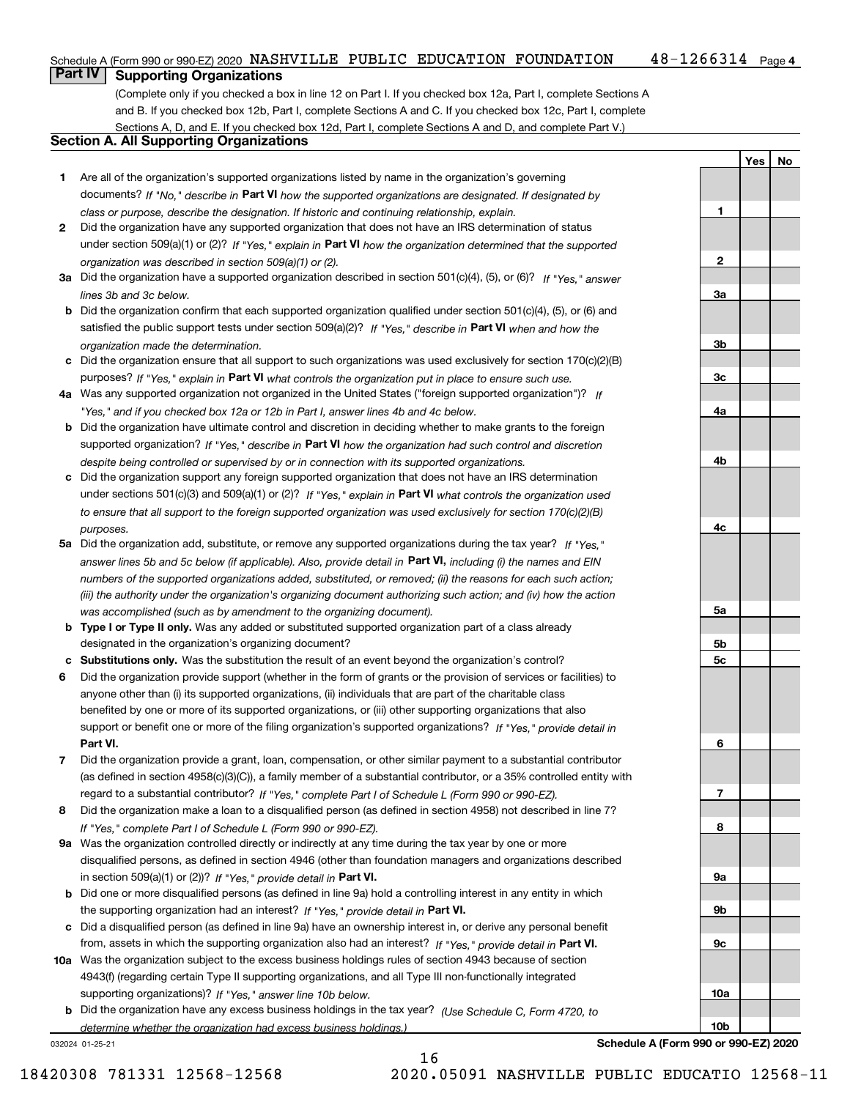#### $48 - 1266314$  Page 4 Schedule A (Form 990 or 990-EZ) 2020  $\,$  <code>NASHVILLE PUBLIC EDUCATION FOUNDATION</code>  $\,$  <code>48–1266314</code>  $\,$  <code>Page</code>

## **Part IV Supporting Organizations**

(Complete only if you checked a box in line 12 on Part I. If you checked box 12a, Part I, complete Sections A and B. If you checked box 12b, Part I, complete Sections A and C. If you checked box 12c, Part I, complete Sections A, D, and E. If you checked box 12d, Part I, complete Sections A and D, and complete Part V.)

## **Section A. All Supporting Organizations**

- **1** Are all of the organization's supported organizations listed by name in the organization's governing documents? If "No," describe in **Part VI** how the supported organizations are designated. If designated by *class or purpose, describe the designation. If historic and continuing relationship, explain.*
- **2** Did the organization have any supported organization that does not have an IRS determination of status under section 509(a)(1) or (2)? If "Yes," explain in Part VI how the organization determined that the supported *organization was described in section 509(a)(1) or (2).*
- **3a** Did the organization have a supported organization described in section 501(c)(4), (5), or (6)? If "Yes," answer *lines 3b and 3c below.*
- **b** Did the organization confirm that each supported organization qualified under section 501(c)(4), (5), or (6) and satisfied the public support tests under section 509(a)(2)? If "Yes," describe in **Part VI** when and how the *organization made the determination.*
- **c**Did the organization ensure that all support to such organizations was used exclusively for section 170(c)(2)(B) purposes? If "Yes," explain in **Part VI** what controls the organization put in place to ensure such use.
- **4a***If* Was any supported organization not organized in the United States ("foreign supported organization")? *"Yes," and if you checked box 12a or 12b in Part I, answer lines 4b and 4c below.*
- **b** Did the organization have ultimate control and discretion in deciding whether to make grants to the foreign supported organization? If "Yes," describe in **Part VI** how the organization had such control and discretion *despite being controlled or supervised by or in connection with its supported organizations.*
- **c** Did the organization support any foreign supported organization that does not have an IRS determination under sections 501(c)(3) and 509(a)(1) or (2)? If "Yes," explain in **Part VI** what controls the organization used *to ensure that all support to the foreign supported organization was used exclusively for section 170(c)(2)(B) purposes.*
- **5a** Did the organization add, substitute, or remove any supported organizations during the tax year? If "Yes," answer lines 5b and 5c below (if applicable). Also, provide detail in **Part VI,** including (i) the names and EIN *numbers of the supported organizations added, substituted, or removed; (ii) the reasons for each such action; (iii) the authority under the organization's organizing document authorizing such action; and (iv) how the action was accomplished (such as by amendment to the organizing document).*
- **b** Type I or Type II only. Was any added or substituted supported organization part of a class already designated in the organization's organizing document?
- **cSubstitutions only.**  Was the substitution the result of an event beyond the organization's control?
- **6** Did the organization provide support (whether in the form of grants or the provision of services or facilities) to **Part VI.** *If "Yes," provide detail in* support or benefit one or more of the filing organization's supported organizations? anyone other than (i) its supported organizations, (ii) individuals that are part of the charitable class benefited by one or more of its supported organizations, or (iii) other supporting organizations that also
- **7**Did the organization provide a grant, loan, compensation, or other similar payment to a substantial contributor *If "Yes," complete Part I of Schedule L (Form 990 or 990-EZ).* regard to a substantial contributor? (as defined in section 4958(c)(3)(C)), a family member of a substantial contributor, or a 35% controlled entity with
- **8** Did the organization make a loan to a disqualified person (as defined in section 4958) not described in line 7? *If "Yes," complete Part I of Schedule L (Form 990 or 990-EZ).*
- **9a** Was the organization controlled directly or indirectly at any time during the tax year by one or more in section 509(a)(1) or (2))? If "Yes," *provide detail in* <code>Part VI.</code> disqualified persons, as defined in section 4946 (other than foundation managers and organizations described
- **b** Did one or more disqualified persons (as defined in line 9a) hold a controlling interest in any entity in which the supporting organization had an interest? If "Yes," provide detail in P**art VI**.
- **c**Did a disqualified person (as defined in line 9a) have an ownership interest in, or derive any personal benefit from, assets in which the supporting organization also had an interest? If "Yes," provide detail in P**art VI.**
- **10a** Was the organization subject to the excess business holdings rules of section 4943 because of section supporting organizations)? If "Yes," answer line 10b below. 4943(f) (regarding certain Type II supporting organizations, and all Type III non-functionally integrated
- **b** Did the organization have any excess business holdings in the tax year? (Use Schedule C, Form 4720, to *determine whether the organization had excess business holdings.)*

16

032024 01-25-21

**Schedule A (Form 990 or 990-EZ) 2020**

**YesNo**

**1**

**2**

**3a**

**3b**

**3c**

**4a**

**4b**

**4c**

**5a**

**5b5c**

**6**

**7**

**8**

**9a**

**9b**

**9c**

**10a**

**10b**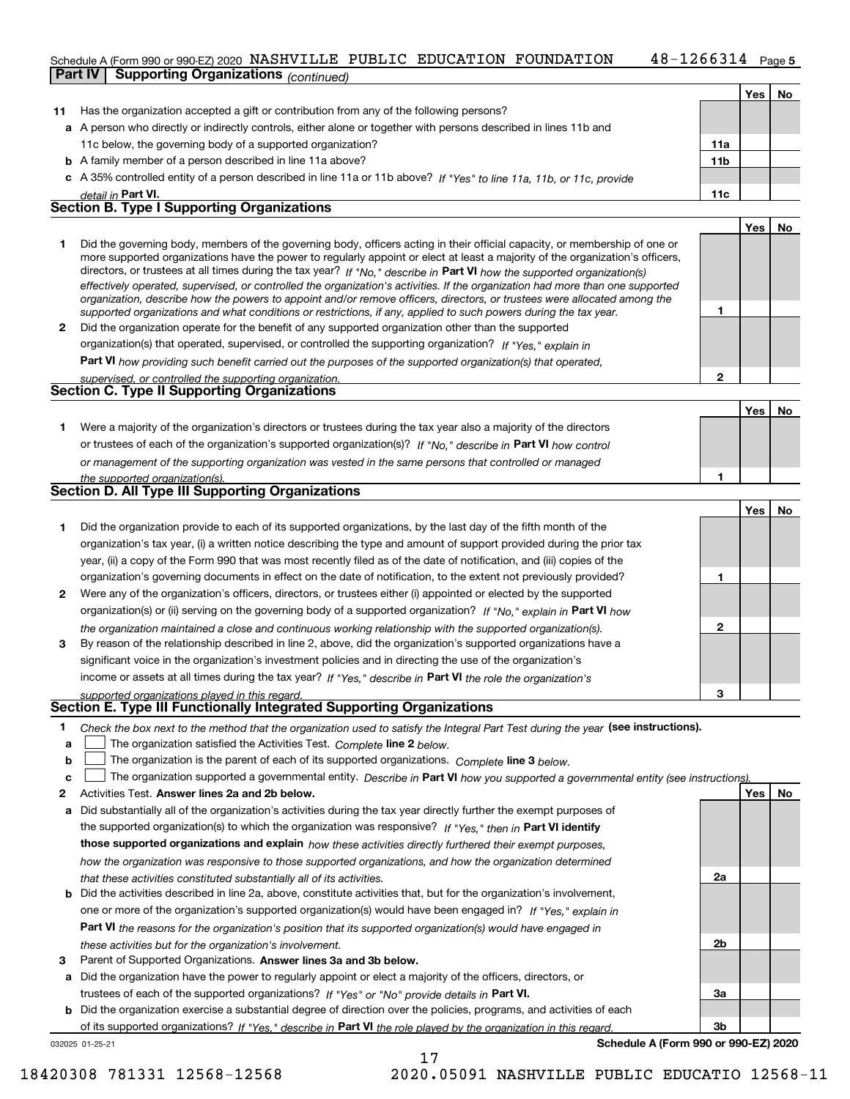#### 48-1266314 Page 5 Schedule A (Form 990 or 990-EZ) 2020  $\,$  <code>NASHVILLE PUBLIC EDUCATION FOUNDATION</code>  $\,$  <code>48–1266314</code>  $\,$  <code>Page</code> **Part IV Supporting Organizations** *(continued)*

|    | ---------                                                                                                                                                                                                                                    |                 |            |           |
|----|----------------------------------------------------------------------------------------------------------------------------------------------------------------------------------------------------------------------------------------------|-----------------|------------|-----------|
|    |                                                                                                                                                                                                                                              |                 | Yes        | No        |
| 11 | Has the organization accepted a gift or contribution from any of the following persons?                                                                                                                                                      |                 |            |           |
|    | a A person who directly or indirectly controls, either alone or together with persons described in lines 11b and                                                                                                                             |                 |            |           |
|    | 11c below, the governing body of a supported organization?                                                                                                                                                                                   | 11a             |            |           |
|    | <b>b</b> A family member of a person described in line 11a above?                                                                                                                                                                            | 11 <sub>b</sub> |            |           |
|    | c A 35% controlled entity of a person described in line 11a or 11b above? If "Yes" to line 11a, 11b, or 11c, provide                                                                                                                         |                 |            |           |
|    | detail in Part VI.                                                                                                                                                                                                                           | 11c             |            |           |
|    | <b>Section B. Type I Supporting Organizations</b>                                                                                                                                                                                            |                 |            |           |
|    |                                                                                                                                                                                                                                              |                 | <b>Yes</b> | <b>No</b> |
|    | Did the governing body, members of the governing body, officers acting in their official capacity, or membership of one or<br>arang ang patagpalang kang diang anggotang nagalang anggota ang pagkat pagkantang at dianggalang nagalang atta |                 |            |           |

|   | more supported organizations have the power to regularly appoint or elect at least a majority of the organization's officers,  |
|---|--------------------------------------------------------------------------------------------------------------------------------|
|   | directors, or trustees at all times during the tax year? If "No," describe in Part VI how the supported organization(s)        |
|   | effectively operated, supervised, or controlled the organization's activities. If the organization had more than one supported |
|   | organization, describe how the powers to appoint and/or remove officers, directors, or trustees were allocated among the       |
|   | supported organizations and what conditions or restrictions, if any, applied to such powers during the tax year.               |
| 2 | Did the organization operate for the benefit of any supported organization other than the supported                            |
|   | organization(s) that operated, supervised, or controlled the supporting organization? If "Yes," explain in                     |
|   |                                                                                                                                |

**Part VI**  *how providing such benefit carried out the purposes of the supported organization(s) that operated,*

| supervised, or controlled the supporting organization. |  |
|--------------------------------------------------------|--|
| <b>Section C. Type II Supporting Organizations</b>     |  |

**Yes No 1**or trustees of each of the organization's supported organization(s)? If "No," describe in **Part VI** how control **1***or management of the supporting organization was vested in the same persons that controlled or managed* Were a majority of the organization's directors or trustees during the tax year also a majority of the directors

|                                                         | the supported organization(s).                                                                                         |  |  |
|---------------------------------------------------------|------------------------------------------------------------------------------------------------------------------------|--|--|
| <b>Section D. All Type III Supporting Organizations</b> |                                                                                                                        |  |  |
|                                                         |                                                                                                                        |  |  |
|                                                         | Did the organization provide to each of its supported organizations, by the last day of the fifth month of the         |  |  |
|                                                         | organization's tax year, (i) a written notice describing the type and amount of support provided during the prior tax  |  |  |
|                                                         | year, (ii) a copy of the Form 990 that was most recently filed as of the date of notification, and (iii) copies of the |  |  |
|                                                         | organization's governing documents in effect on the date of notification, to the extent not previously provided?       |  |  |

- **2** Were any of the organization's officers, directors, or trustees either (i) appointed or elected by the supported organization(s) or (ii) serving on the governing body of a supported organization? If "No," explain in **Part VI** how *the organization maintained a close and continuous working relationship with the supported organization(s).*
- **3**income or assets at all times during the tax year? If "Yes," describe in **Part VI** the role the organization's By reason of the relationship described in line 2, above, did the organization's supported organizations have a significant voice in the organization's investment policies and in directing the use of the organization's

*supported organizations played in this regard.*

## **Section E. Type III Functionally Integrated Supporting Organizations**

- **1**Check the box next to the method that the organization used to satisfy the Integral Part Test during the year (see instructions).
- **alinupy** The organization satisfied the Activities Test. Complete line 2 below.
- **bThe organization is the parent of each of its supported organizations. Complete line 3 below.**

|  |  | The organization supported a governmental entity. Describe in Part VI how you supported a governmental entity (see instructions). |  |  |  |  |  |
|--|--|-----------------------------------------------------------------------------------------------------------------------------------|--|--|--|--|--|
|--|--|-----------------------------------------------------------------------------------------------------------------------------------|--|--|--|--|--|

17

- **2Answer lines 2a and 2b below. Yes No** Activities Test.
- **a** Did substantially all of the organization's activities during the tax year directly further the exempt purposes of the supported organization(s) to which the organization was responsive? If "Yes," then in **Part VI identify those supported organizations and explain**  *how these activities directly furthered their exempt purposes, how the organization was responsive to those supported organizations, and how the organization determined that these activities constituted substantially all of its activities.*
- **b** Did the activities described in line 2a, above, constitute activities that, but for the organization's involvement, **Part VI**  *the reasons for the organization's position that its supported organization(s) would have engaged in* one or more of the organization's supported organization(s) would have been engaged in? If "Yes," e*xplain in these activities but for the organization's involvement.*
- **3**Parent of Supported Organizations. Answer lines 3a and 3b below.

**a** Did the organization have the power to regularly appoint or elect a majority of the officers, directors, or trustees of each of the supported organizations? If "Yes" or "No" provide details in **Part VI.** 

**b** Did the organization exercise a substantial degree of direction over the policies, programs, and activities of each of its supported organizations? If "Yes," describe in Part VI the role played by the organization in this regard.

032025 01-25-21

**Schedule A (Form 990 or 990-EZ) 2020**

**1**

**2**

**1**

**2**

**3**

**2a**

**2b**

**3a**

**3b**

**YesNo**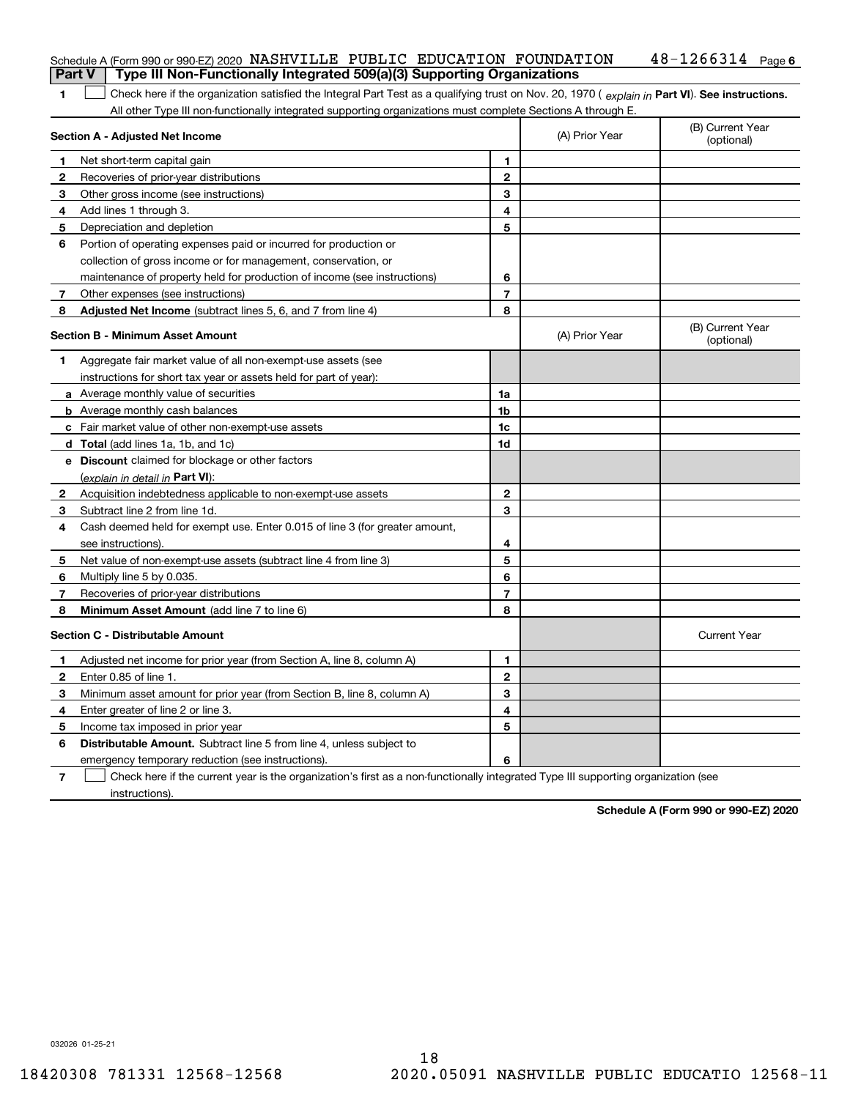| <b>Part V</b> | Schedule A (Form 990 or 990-EZ) 2020 NASHVILLE PUBLIC EDUCATION FOUNDATION<br>Type III Non-Functionally Integrated 509(a)(3) Supporting Organizations |                |                | $48 - 1266314$ Page 6          |
|---------------|-------------------------------------------------------------------------------------------------------------------------------------------------------|----------------|----------------|--------------------------------|
|               |                                                                                                                                                       |                |                |                                |
| 1             | Check here if the organization satisfied the Integral Part Test as a qualifying trust on Nov. 20, 1970 (explain in Part VI). See instructions.        |                |                |                                |
|               | All other Type III non-functionally integrated supporting organizations must complete Sections A through E.<br>Section A - Adjusted Net Income        |                | (A) Prior Year | (B) Current Year<br>(optional) |
| 1             | Net short-term capital gain                                                                                                                           | 1              |                |                                |
| 2             | Recoveries of prior-year distributions                                                                                                                | $\mathbf{2}$   |                |                                |
| 3             | Other gross income (see instructions)                                                                                                                 | 3              |                |                                |
| 4             | Add lines 1 through 3.                                                                                                                                | 4              |                |                                |
| 5             | Depreciation and depletion                                                                                                                            | 5              |                |                                |
| 6             | Portion of operating expenses paid or incurred for production or                                                                                      |                |                |                                |
|               | collection of gross income or for management, conservation, or                                                                                        |                |                |                                |
|               | maintenance of property held for production of income (see instructions)                                                                              | 6              |                |                                |
| 7             | Other expenses (see instructions)                                                                                                                     | $\overline{7}$ |                |                                |
| 8             | Adjusted Net Income (subtract lines 5, 6, and 7 from line 4)                                                                                          | 8              |                |                                |
|               | <b>Section B - Minimum Asset Amount</b>                                                                                                               |                | (A) Prior Year | (B) Current Year<br>(optional) |
| 1.            | Aggregate fair market value of all non-exempt-use assets (see                                                                                         |                |                |                                |
|               | instructions for short tax year or assets held for part of year):                                                                                     |                |                |                                |
|               | <b>a</b> Average monthly value of securities                                                                                                          | 1a             |                |                                |
|               | <b>b</b> Average monthly cash balances                                                                                                                | 1b             |                |                                |
|               | c Fair market value of other non-exempt-use assets                                                                                                    | 1c             |                |                                |
|               | d Total (add lines 1a, 1b, and 1c)                                                                                                                    | 1d             |                |                                |
|               | e Discount claimed for blockage or other factors                                                                                                      |                |                |                                |
|               | (explain in detail in Part VI):                                                                                                                       |                |                |                                |
| 2             | Acquisition indebtedness applicable to non-exempt-use assets                                                                                          | $\mathbf{2}$   |                |                                |
| 3             | Subtract line 2 from line 1d.                                                                                                                         | 3              |                |                                |
| 4             | Cash deemed held for exempt use. Enter 0.015 of line 3 (for greater amount,                                                                           |                |                |                                |
|               | see instructions).                                                                                                                                    | 4              |                |                                |
| 5             | Net value of non-exempt-use assets (subtract line 4 from line 3)                                                                                      | 5              |                |                                |
| 6             | Multiply line 5 by 0.035.                                                                                                                             | 6              |                |                                |
| 7             | Recoveries of prior-year distributions                                                                                                                | $\overline{7}$ |                |                                |
| 8             | Minimum Asset Amount (add line 7 to line 6)                                                                                                           | 8              |                |                                |
|               | <b>Section C - Distributable Amount</b>                                                                                                               |                |                | <b>Current Year</b>            |
|               | Adjusted net income for prior year (from Section A, line 8, column A)                                                                                 | 1              |                |                                |
| 2             | Enter 0.85 of line 1.                                                                                                                                 | 2              |                |                                |
| 3             | Minimum asset amount for prior year (from Section B, line 8, column A)                                                                                | 3              |                |                                |
| 4             | Enter greater of line 2 or line 3.                                                                                                                    | 4              |                |                                |
| 5             | Income tax imposed in prior year                                                                                                                      | 5              |                |                                |
| 6             | <b>Distributable Amount.</b> Subtract line 5 from line 4, unless subject to                                                                           |                |                |                                |
|               | emergency temporary reduction (see instructions).                                                                                                     | 6              |                |                                |
| 7             | Check here if the current year is the organization's first as a non-functionally integrated Type III supporting organization (see                     |                |                |                                |

**Schedule A (Form 990 or 990-EZ) 2020**

032026 01-25-21

instructions).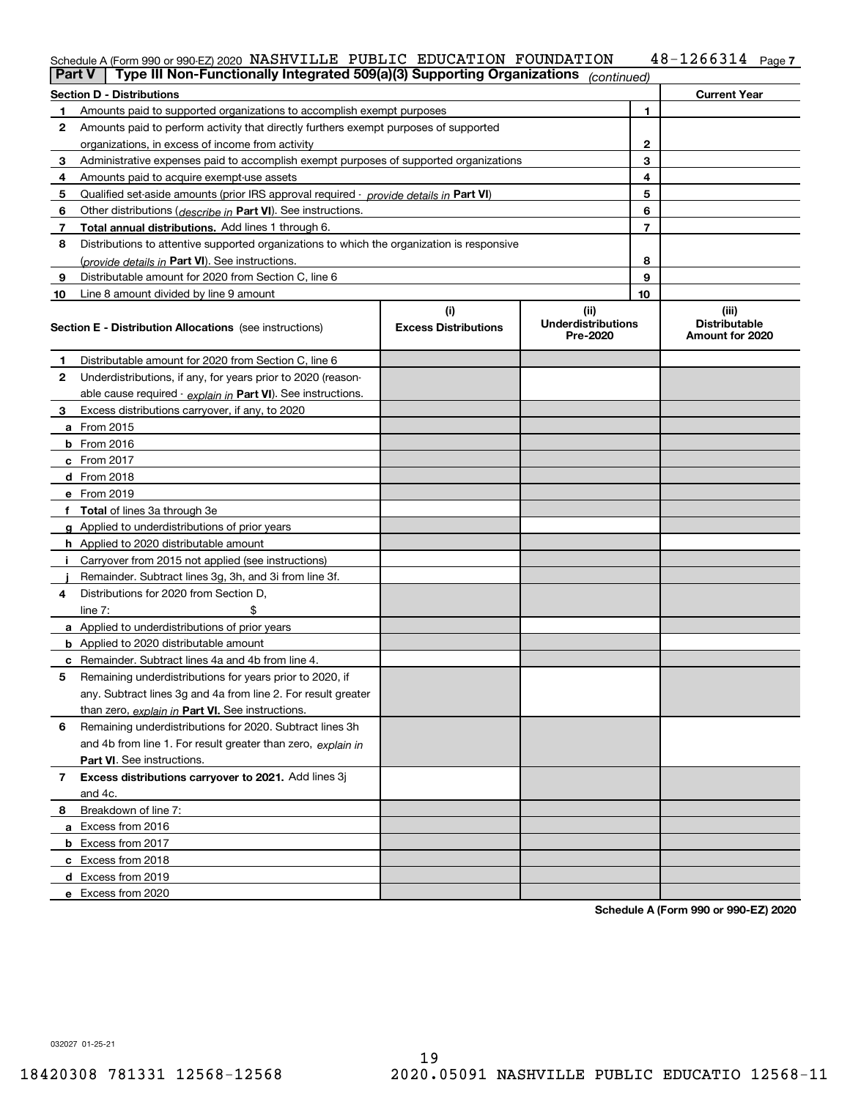#### **7** Schedule A (Form 990 or 990-EZ) 2020  $\,$  <code>NASHVILLE PUBLIC EDUCATION FOUNDATION</code>  $\,$  <code>48–1266314</code>  $\,$  <code>Page</code>

|    | Type III Non-Functionally Integrated 509(a)(3) Supporting Organizations<br>Part V<br>(continued) |                             |                                       |    |                                         |  |
|----|--------------------------------------------------------------------------------------------------|-----------------------------|---------------------------------------|----|-----------------------------------------|--|
|    | <b>Section D - Distributions</b>                                                                 |                             |                                       |    | <b>Current Year</b>                     |  |
|    | Amounts paid to supported organizations to accomplish exempt purposes                            |                             | 1                                     |    |                                         |  |
| 2  | Amounts paid to perform activity that directly furthers exempt purposes of supported             |                             |                                       |    |                                         |  |
|    | organizations, in excess of income from activity                                                 | $\mathbf{2}$                |                                       |    |                                         |  |
| 3  | Administrative expenses paid to accomplish exempt purposes of supported organizations            |                             |                                       | 3  |                                         |  |
| 4  | Amounts paid to acquire exempt-use assets                                                        |                             |                                       | 4  |                                         |  |
| 5  | Qualified set-aside amounts (prior IRS approval required - <i>provide details in</i> Part VI)    |                             |                                       | 5  |                                         |  |
| 6  | Other distributions ( <i>describe in</i> Part VI). See instructions.                             |                             |                                       | 6  |                                         |  |
| 7  | Total annual distributions. Add lines 1 through 6.                                               |                             |                                       | 7  |                                         |  |
| 8  | Distributions to attentive supported organizations to which the organization is responsive       |                             |                                       |    |                                         |  |
|    | (provide details in Part VI). See instructions.                                                  |                             |                                       | 8  |                                         |  |
| 9  | Distributable amount for 2020 from Section C, line 6                                             |                             |                                       | 9  |                                         |  |
| 10 | Line 8 amount divided by line 9 amount                                                           |                             |                                       | 10 |                                         |  |
|    |                                                                                                  | (i)                         | (ii)                                  |    | (iii)                                   |  |
|    | <b>Section E - Distribution Allocations</b> (see instructions)                                   | <b>Excess Distributions</b> | <b>Underdistributions</b><br>Pre-2020 |    | <b>Distributable</b><br>Amount for 2020 |  |
| 1  | Distributable amount for 2020 from Section C, line 6                                             |                             |                                       |    |                                         |  |
| 2  | Underdistributions, if any, for years prior to 2020 (reason-                                     |                             |                                       |    |                                         |  |
|    | able cause required - explain in Part VI). See instructions.                                     |                             |                                       |    |                                         |  |
| 3  | Excess distributions carryover, if any, to 2020                                                  |                             |                                       |    |                                         |  |
|    | a From 2015                                                                                      |                             |                                       |    |                                         |  |
|    | $b$ From 2016                                                                                    |                             |                                       |    |                                         |  |
|    | $c$ From 2017                                                                                    |                             |                                       |    |                                         |  |
|    | <b>d</b> From 2018                                                                               |                             |                                       |    |                                         |  |
|    | e From 2019                                                                                      |                             |                                       |    |                                         |  |
|    | f Total of lines 3a through 3e                                                                   |                             |                                       |    |                                         |  |
|    | g Applied to underdistributions of prior years                                                   |                             |                                       |    |                                         |  |
|    | h Applied to 2020 distributable amount                                                           |                             |                                       |    |                                         |  |
|    | Carryover from 2015 not applied (see instructions)                                               |                             |                                       |    |                                         |  |
|    | Remainder. Subtract lines 3g, 3h, and 3i from line 3f.                                           |                             |                                       |    |                                         |  |
| 4  | Distributions for 2020 from Section D,                                                           |                             |                                       |    |                                         |  |
|    | line $7:$                                                                                        |                             |                                       |    |                                         |  |
|    | a Applied to underdistributions of prior years                                                   |                             |                                       |    |                                         |  |
|    | <b>b</b> Applied to 2020 distributable amount                                                    |                             |                                       |    |                                         |  |
|    | c Remainder. Subtract lines 4a and 4b from line 4.                                               |                             |                                       |    |                                         |  |
| 5  | Remaining underdistributions for years prior to 2020, if                                         |                             |                                       |    |                                         |  |
|    | any. Subtract lines 3g and 4a from line 2. For result greater                                    |                             |                                       |    |                                         |  |
|    | than zero, explain in Part VI. See instructions.                                                 |                             |                                       |    |                                         |  |
| 6  | Remaining underdistributions for 2020. Subtract lines 3h                                         |                             |                                       |    |                                         |  |
|    | and 4b from line 1. For result greater than zero, explain in                                     |                             |                                       |    |                                         |  |
|    | Part VI. See instructions.                                                                       |                             |                                       |    |                                         |  |
| 7  | Excess distributions carryover to 2021. Add lines 3j                                             |                             |                                       |    |                                         |  |
|    | and 4c.                                                                                          |                             |                                       |    |                                         |  |
| 8  | Breakdown of line 7:                                                                             |                             |                                       |    |                                         |  |
|    | a Excess from 2016                                                                               |                             |                                       |    |                                         |  |
|    | <b>b</b> Excess from 2017                                                                        |                             |                                       |    |                                         |  |
|    | c Excess from 2018                                                                               |                             |                                       |    |                                         |  |
|    | d Excess from 2019                                                                               |                             |                                       |    |                                         |  |
|    | e Excess from 2020                                                                               |                             |                                       |    |                                         |  |

**Schedule A (Form 990 or 990-EZ) 2020**

032027 01-25-21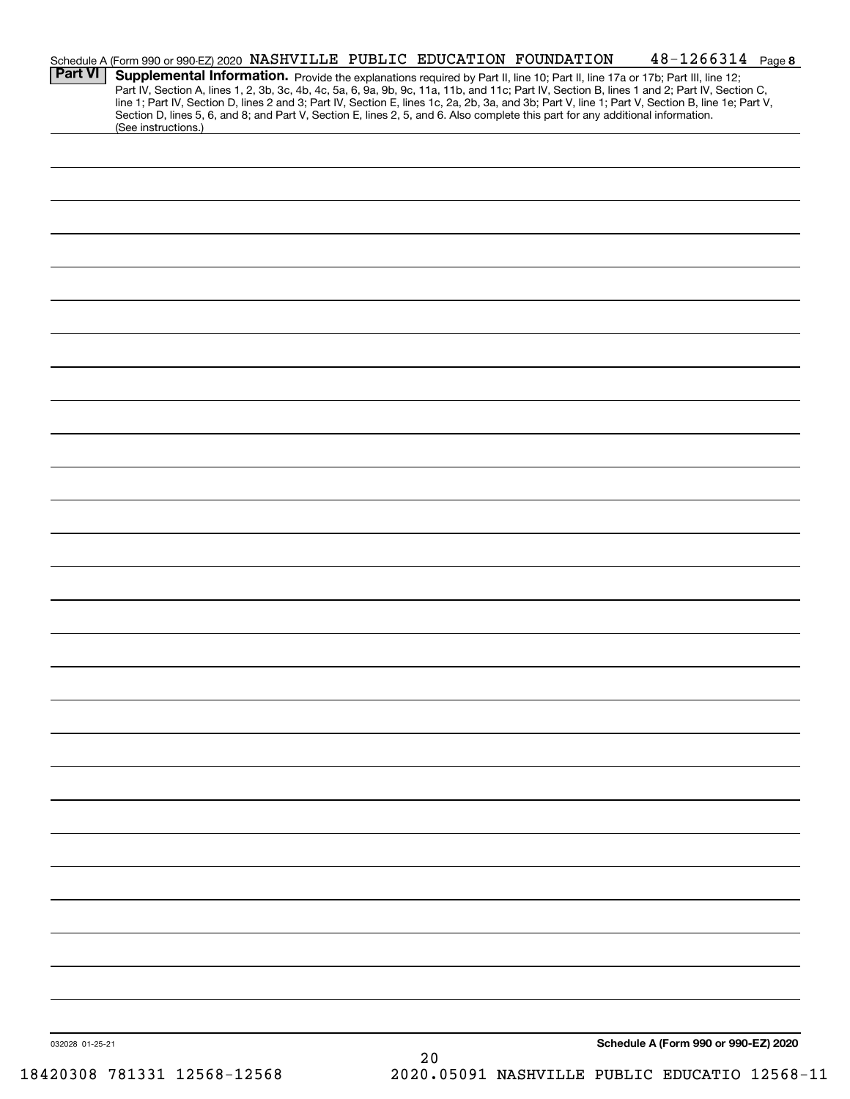| <b>Part VI</b>  | Schedule A (Form 990 or 990-EZ) 2020 NASHVILLE PUBLIC EDUCATION FOUNDATION<br>(See instructions.) |  |    | Supplemental Information. Provide the explanations required by Part II, line 10; Part II, line 17a or 17b; Part III, line 12;<br>Section D, lines 5, 6, and 8; and Part V, Section E, lines 2, 5, and 6. Also complete this part for any additional information. | $48 - 1266314$ Page 8<br>Part IV, Section A, lines 1, 2, 3b, 3c, 4b, 4c, 5a, 6, 9a, 9b, 9c, 11a, 11b, and 11c; Part IV, Section B, lines 1 and 2; Part IV, Section C,<br>line 1; Part IV, Section D, lines 2 and 3; Part IV, Section E, lines 1c, 2a, 2b, 3a, and 3b; Part V, line 1; Part V, Section B, line 1e; Part V, |
|-----------------|---------------------------------------------------------------------------------------------------|--|----|------------------------------------------------------------------------------------------------------------------------------------------------------------------------------------------------------------------------------------------------------------------|---------------------------------------------------------------------------------------------------------------------------------------------------------------------------------------------------------------------------------------------------------------------------------------------------------------------------|
|                 |                                                                                                   |  |    |                                                                                                                                                                                                                                                                  |                                                                                                                                                                                                                                                                                                                           |
|                 |                                                                                                   |  |    |                                                                                                                                                                                                                                                                  |                                                                                                                                                                                                                                                                                                                           |
|                 |                                                                                                   |  |    |                                                                                                                                                                                                                                                                  |                                                                                                                                                                                                                                                                                                                           |
|                 |                                                                                                   |  |    |                                                                                                                                                                                                                                                                  |                                                                                                                                                                                                                                                                                                                           |
|                 |                                                                                                   |  |    |                                                                                                                                                                                                                                                                  |                                                                                                                                                                                                                                                                                                                           |
|                 |                                                                                                   |  |    |                                                                                                                                                                                                                                                                  |                                                                                                                                                                                                                                                                                                                           |
|                 |                                                                                                   |  |    |                                                                                                                                                                                                                                                                  |                                                                                                                                                                                                                                                                                                                           |
|                 |                                                                                                   |  |    |                                                                                                                                                                                                                                                                  |                                                                                                                                                                                                                                                                                                                           |
|                 |                                                                                                   |  |    |                                                                                                                                                                                                                                                                  |                                                                                                                                                                                                                                                                                                                           |
|                 |                                                                                                   |  |    |                                                                                                                                                                                                                                                                  |                                                                                                                                                                                                                                                                                                                           |
|                 |                                                                                                   |  |    |                                                                                                                                                                                                                                                                  |                                                                                                                                                                                                                                                                                                                           |
|                 |                                                                                                   |  |    |                                                                                                                                                                                                                                                                  |                                                                                                                                                                                                                                                                                                                           |
|                 |                                                                                                   |  |    |                                                                                                                                                                                                                                                                  |                                                                                                                                                                                                                                                                                                                           |
|                 |                                                                                                   |  |    |                                                                                                                                                                                                                                                                  |                                                                                                                                                                                                                                                                                                                           |
|                 |                                                                                                   |  |    |                                                                                                                                                                                                                                                                  |                                                                                                                                                                                                                                                                                                                           |
|                 |                                                                                                   |  |    |                                                                                                                                                                                                                                                                  |                                                                                                                                                                                                                                                                                                                           |
|                 |                                                                                                   |  |    |                                                                                                                                                                                                                                                                  |                                                                                                                                                                                                                                                                                                                           |
|                 |                                                                                                   |  |    |                                                                                                                                                                                                                                                                  |                                                                                                                                                                                                                                                                                                                           |
|                 |                                                                                                   |  |    |                                                                                                                                                                                                                                                                  |                                                                                                                                                                                                                                                                                                                           |
|                 |                                                                                                   |  |    |                                                                                                                                                                                                                                                                  |                                                                                                                                                                                                                                                                                                                           |
|                 |                                                                                                   |  |    |                                                                                                                                                                                                                                                                  |                                                                                                                                                                                                                                                                                                                           |
|                 |                                                                                                   |  |    |                                                                                                                                                                                                                                                                  |                                                                                                                                                                                                                                                                                                                           |
|                 |                                                                                                   |  |    |                                                                                                                                                                                                                                                                  |                                                                                                                                                                                                                                                                                                                           |
| 032028 01-25-21 |                                                                                                   |  |    |                                                                                                                                                                                                                                                                  | Schedule A (Form 990 or 990-EZ) 2020                                                                                                                                                                                                                                                                                      |
|                 |                                                                                                   |  | 20 |                                                                                                                                                                                                                                                                  |                                                                                                                                                                                                                                                                                                                           |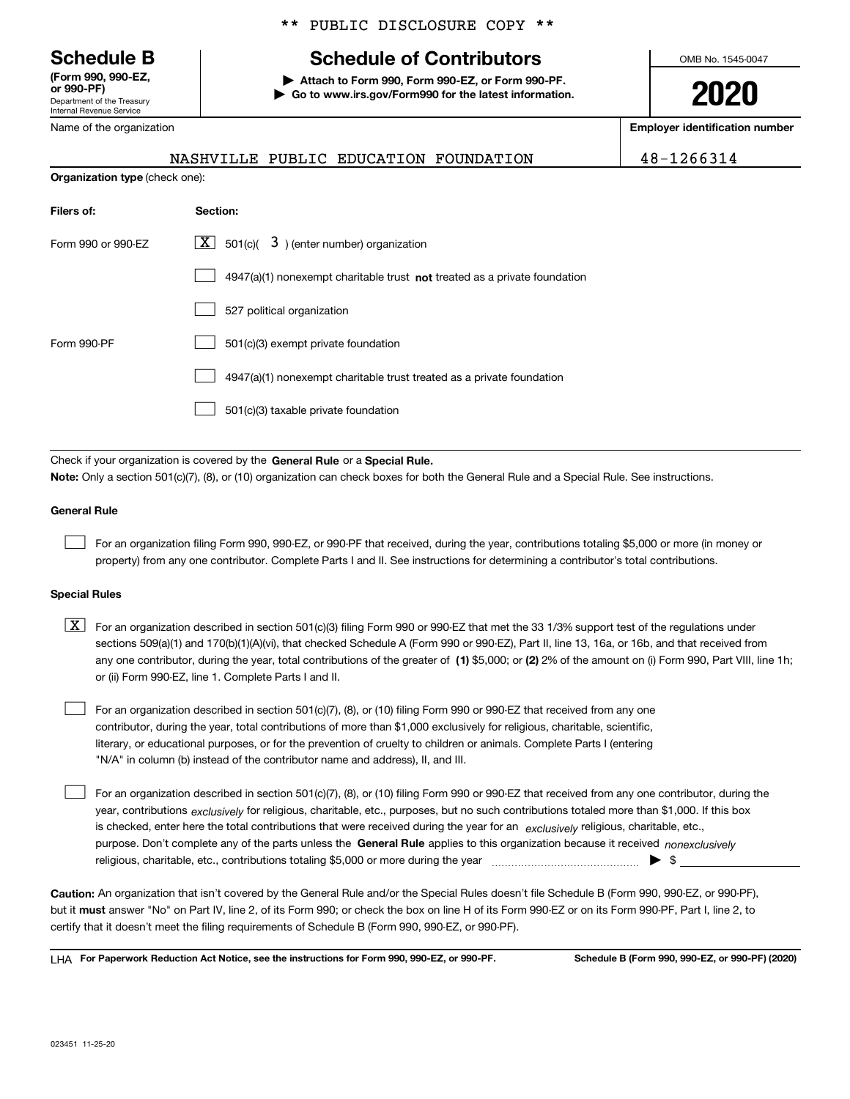Department of the Treasury Internal Revenue Service **(Form 990, 990-EZ, or 990-PF)**

# **Schedule B Schedule of Contributors**

\*\* PUBLIC DISCLOSURE COPY \*\*

**| Attach to Form 990, Form 990-EZ, or Form 990-PF. | Go to www.irs.gov/Form990 for the latest information.** OMB No. 1545-0047

**2020**

**Employer identification number**

| 48-1266314 |  |
|------------|--|
|------------|--|

| OF SSU-FFI                 |
|----------------------------|
| Department of the Treasury |
| Internal Revenue Service   |
| Name of the organization   |

**Organization type** (check one):

# NASHVILLE PUBLIC EDUCATION FOUNDATION

| Filers of:         | Section:                                                                           |
|--------------------|------------------------------------------------------------------------------------|
| Form 990 or 990-FZ | $ \mathbf{X} $ 501(c)( 3) (enter number) organization                              |
|                    | $4947(a)(1)$ nonexempt charitable trust <b>not</b> treated as a private foundation |
|                    | 527 political organization                                                         |
| Form 990-PF        | 501(c)(3) exempt private foundation                                                |
|                    | 4947(a)(1) nonexempt charitable trust treated as a private foundation              |
|                    | 501(c)(3) taxable private foundation                                               |

Check if your organization is covered by the **General Rule** or a **Special Rule. Note:**  Only a section 501(c)(7), (8), or (10) organization can check boxes for both the General Rule and a Special Rule. See instructions.

### **General Rule**

 $\mathcal{L}^{\text{max}}$ 

For an organization filing Form 990, 990-EZ, or 990-PF that received, during the year, contributions totaling \$5,000 or more (in money or property) from any one contributor. Complete Parts I and II. See instructions for determining a contributor's total contributions.

### **Special Rules**

any one contributor, during the year, total contributions of the greater of  $\,$  (1) \$5,000; or **(2)** 2% of the amount on (i) Form 990, Part VIII, line 1h;  $\boxed{\textbf{X}}$  For an organization described in section 501(c)(3) filing Form 990 or 990-EZ that met the 33 1/3% support test of the regulations under sections 509(a)(1) and 170(b)(1)(A)(vi), that checked Schedule A (Form 990 or 990-EZ), Part II, line 13, 16a, or 16b, and that received from or (ii) Form 990-EZ, line 1. Complete Parts I and II.

For an organization described in section 501(c)(7), (8), or (10) filing Form 990 or 990-EZ that received from any one contributor, during the year, total contributions of more than \$1,000 exclusively for religious, charitable, scientific, literary, or educational purposes, or for the prevention of cruelty to children or animals. Complete Parts I (entering "N/A" in column (b) instead of the contributor name and address), II, and III.  $\mathcal{L}^{\text{max}}$ 

purpose. Don't complete any of the parts unless the **General Rule** applies to this organization because it received *nonexclusively* year, contributions <sub>exclusively</sub> for religious, charitable, etc., purposes, but no such contributions totaled more than \$1,000. If this box is checked, enter here the total contributions that were received during the year for an  $\;$ exclusively religious, charitable, etc., For an organization described in section 501(c)(7), (8), or (10) filing Form 990 or 990-EZ that received from any one contributor, during the religious, charitable, etc., contributions totaling \$5,000 or more during the year ~~~~~~~~~~~~~~~ | \$  $\mathcal{L}^{\text{max}}$ 

**Caution:**  An organization that isn't covered by the General Rule and/or the Special Rules doesn't file Schedule B (Form 990, 990-EZ, or 990-PF),  **must** but it answer "No" on Part IV, line 2, of its Form 990; or check the box on line H of its Form 990-EZ or on its Form 990-PF, Part I, line 2, to certify that it doesn't meet the filing requirements of Schedule B (Form 990, 990-EZ, or 990-PF).

**For Paperwork Reduction Act Notice, see the instructions for Form 990, 990-EZ, or 990-PF. Schedule B (Form 990, 990-EZ, or 990-PF) (2020)** LHA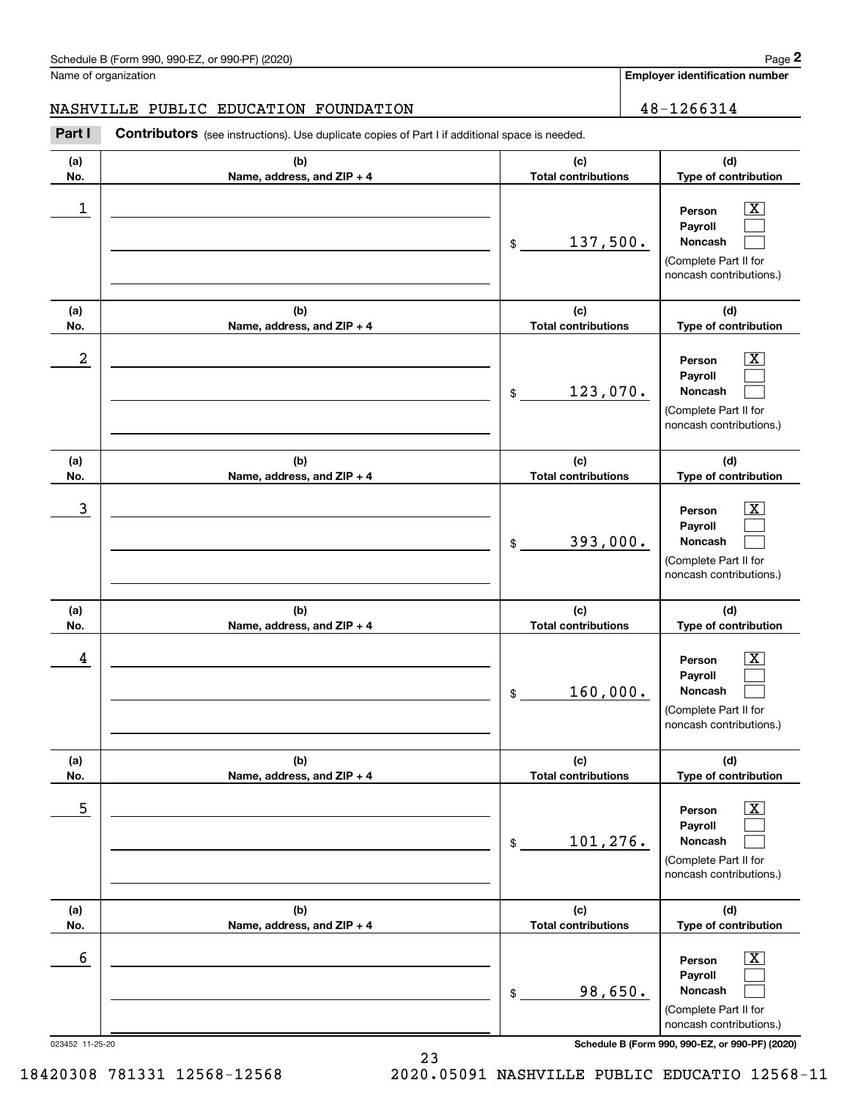**Employer identification number**

### NASHVILLE PUBLIC EDUCATION FOUNDATION 48-1266314

**(a)No.(b)Name, address, and ZIP + 4 (c)Total contributions (d)Type of contribution PersonPayrollNoncash (a)No.(b)Name, address, and ZIP + 4 (c)Total contributions (d)Type of contribution PersonPayrollNoncash (a)No.(b)Name, address, and ZIP + 4 (c)Total contributions (d)Type of contribution PersonPayrollNoncash (a) No.(b) Name, address, and ZIP + 4 (c) Total contributions (d) Type of contribution PersonPayrollNoncash (a) No.(b) Name, address, and ZIP + 4 (c) Total contributions (d) Type of contribution PersonPayrollNoncash(a) No.(b)Name, address, and ZIP + 4 (c) Total contributions (d)Type of contribution PersonPayrollNoncash Contributors** (see instructions). Use duplicate copies of Part I if additional space is needed. \$(Complete Part II for noncash contributions.) \$(Complete Part II for noncash contributions.) \$(Complete Part II for noncash contributions.) \$(Complete Part II for noncash contributions.) \$(Complete Part II for noncash contributions.) \$(Complete Part II for noncash contributions.) Chedule B (Form 990, 990-EZ, or 990-PF) (2020)<br>Iame of organization<br>**2Part I 2Part I 2Part I Contributors** (see instructions). Use duplicate copies of Part I if additional space is needed.  $|X|$  $\mathcal{L}^{\text{max}}$  $\mathcal{L}^{\text{max}}$  $\boxed{\text{X}}$  $\mathcal{L}^{\text{max}}$  $\mathcal{L}^{\text{max}}$  $|X|$  $\mathcal{L}^{\text{max}}$  $\mathcal{L}^{\text{max}}$  $\boxed{\text{X}}$  $\mathcal{L}^{\text{max}}$  $\mathcal{L}^{\text{max}}$  $\boxed{\text{X}}$  $\mathcal{L}^{\text{max}}$  $\mathcal{L}^{\text{max}}$  $\boxed{\text{X}}$  $\mathcal{L}^{\text{max}}$  $\mathcal{L}^{\text{max}}$  $\begin{array}{c|c|c|c|c|c} 1 & \hspace{1.5cm} & \hspace{1.5cm} & \hspace{1.5cm} & \hspace{1.5cm} & \hspace{1.5cm} & \hspace{1.5cm} & \hspace{1.5cm} & \hspace{1.5cm} & \hspace{1.5cm} & \hspace{1.5cm} & \hspace{1.5cm} & \hspace{1.5cm} & \hspace{1.5cm} & \hspace{1.5cm} & \hspace{1.5cm} & \hspace{1.5cm} & \hspace{1.5cm} & \hspace{1.5cm} & \hspace{1.5cm} & \hspace{1.5cm} &$ 137,500.  $2$  | Person  $\overline{\text{X}}$ 123,070.  $\overline{3}$  | Person  $\overline{X}$ 393,000.  $4$  | Person  $\overline{\text{X}}$ 160,000.  $\sim$  5 | Person X 101,276.  $\sim$  6 | Person X 98,650.

023452 11-25-20 **Schedule B (Form 990, 990-EZ, or 990-PF) (2020)**

18420308 781331 12568-12568 2020.05091 NASHVILLE PUBLIC EDUCATIO 12568-11

23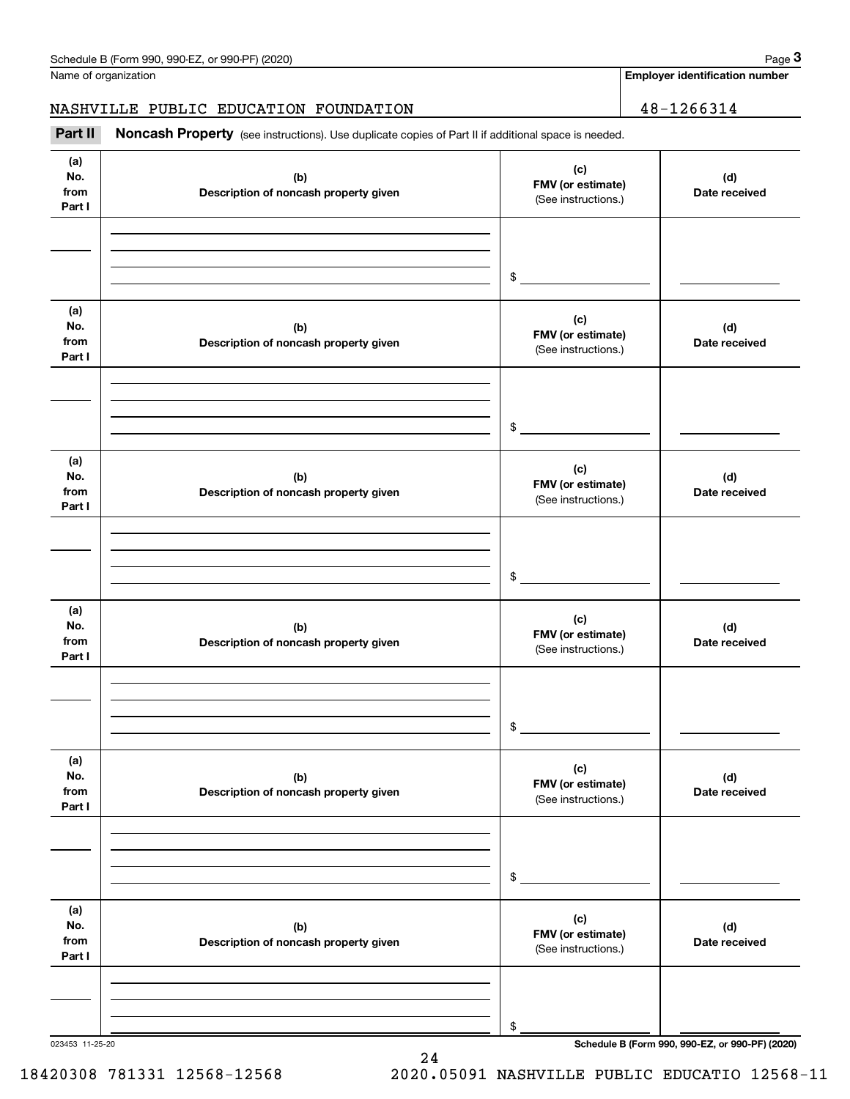**Employer identification number**

## NASHVILLE PUBLIC EDUCATION FOUNDATION 48-1266314

Chedule B (Form 990, 990-EZ, or 990-PF) (2020)<br> **2020 ame of organization**<br> **3Part II Noncash Property** (see instructions). Use duplicate copies of Part II if additional space is needed.<br> **28-1266314**<br> **28-1266314** 

| (a)<br>No.<br>from<br>Part I | (b)<br>Description of noncash property given | (c)<br>FMV (or estimate)<br>(See instructions.) | (d)<br>Date received |
|------------------------------|----------------------------------------------|-------------------------------------------------|----------------------|
|                              |                                              | $\frac{1}{2}$                                   |                      |
| (a)<br>No.<br>from<br>Part I | (b)<br>Description of noncash property given | (c)<br>FMV (or estimate)<br>(See instructions.) | (d)<br>Date received |
|                              |                                              | $\frac{1}{2}$                                   |                      |
| (a)<br>No.<br>from<br>Part I | (b)<br>Description of noncash property given | (c)<br>FMV (or estimate)<br>(See instructions.) | (d)<br>Date received |
|                              |                                              | $\frac{1}{2}$                                   |                      |
| (a)<br>No.<br>from<br>Part I | (b)<br>Description of noncash property given | (c)<br>FMV (or estimate)<br>(See instructions.) | (d)<br>Date received |
|                              |                                              | $\frac{1}{2}$                                   |                      |
| (a)<br>No.<br>from<br>Part I | (b)<br>Description of noncash property given | (c)<br>FMV (or estimate)<br>(See instructions.) | (d)<br>Date received |
|                              |                                              | \$                                              |                      |
| (a)<br>No.<br>from<br>Part I | (b)<br>Description of noncash property given | (c)<br>FMV (or estimate)<br>(See instructions.) | (d)<br>Date received |
|                              |                                              | \$                                              |                      |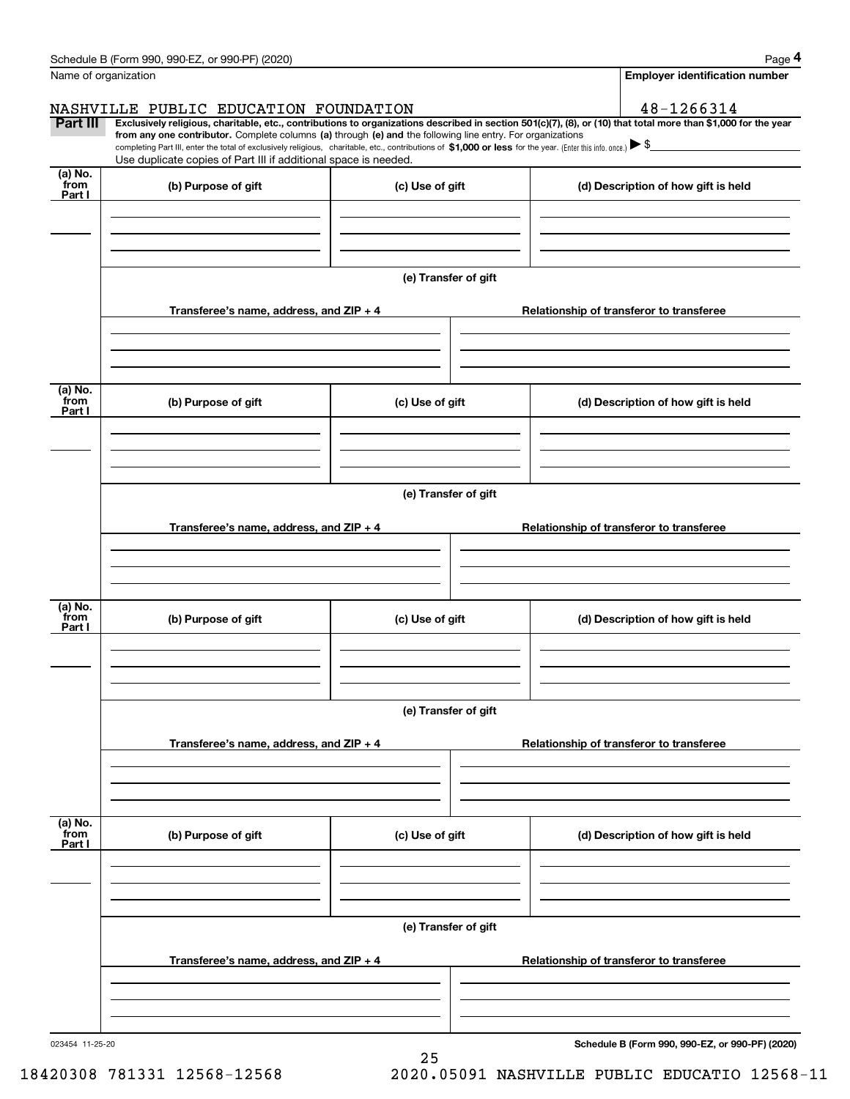|                      | Schedule B (Form 990, 990-EZ, or 990-PF) (2020)                                                                                                                                   |                      | Page 4                                                                                                                                                         |  |  |
|----------------------|-----------------------------------------------------------------------------------------------------------------------------------------------------------------------------------|----------------------|----------------------------------------------------------------------------------------------------------------------------------------------------------------|--|--|
| Name of organization |                                                                                                                                                                                   |                      | <b>Employer identification number</b>                                                                                                                          |  |  |
|                      | NASHVILLE PUBLIC EDUCATION FOUNDATION                                                                                                                                             |                      | 48-1266314                                                                                                                                                     |  |  |
| <b>Part III</b>      | from any one contributor. Complete columns (a) through (e) and the following line entry. For organizations                                                                        |                      | Exclusively religious, charitable, etc., contributions to organizations described in section 501(c)(7), (8), or (10) that total more than \$1,000 for the year |  |  |
|                      | completing Part III, enter the total of exclusively religious, charitable, etc., contributions of \$1,000 or less for the year. (Enter this info. once.) $\blacktriangleright$ \$ |                      |                                                                                                                                                                |  |  |
| $(a)$ No.            | Use duplicate copies of Part III if additional space is needed.                                                                                                                   |                      |                                                                                                                                                                |  |  |
| from<br>Part I       | (b) Purpose of gift                                                                                                                                                               | (c) Use of gift      | (d) Description of how gift is held                                                                                                                            |  |  |
|                      |                                                                                                                                                                                   |                      |                                                                                                                                                                |  |  |
|                      |                                                                                                                                                                                   |                      |                                                                                                                                                                |  |  |
|                      |                                                                                                                                                                                   |                      |                                                                                                                                                                |  |  |
|                      |                                                                                                                                                                                   | (e) Transfer of gift |                                                                                                                                                                |  |  |
|                      |                                                                                                                                                                                   |                      |                                                                                                                                                                |  |  |
|                      | Transferee's name, address, and ZIP + 4                                                                                                                                           |                      | Relationship of transferor to transferee                                                                                                                       |  |  |
|                      |                                                                                                                                                                                   |                      |                                                                                                                                                                |  |  |
|                      |                                                                                                                                                                                   |                      |                                                                                                                                                                |  |  |
| (a) No.              |                                                                                                                                                                                   |                      |                                                                                                                                                                |  |  |
| from<br>Part I       | (b) Purpose of gift                                                                                                                                                               | (c) Use of gift      | (d) Description of how gift is held                                                                                                                            |  |  |
|                      |                                                                                                                                                                                   |                      |                                                                                                                                                                |  |  |
|                      |                                                                                                                                                                                   |                      |                                                                                                                                                                |  |  |
|                      |                                                                                                                                                                                   |                      |                                                                                                                                                                |  |  |
|                      |                                                                                                                                                                                   | (e) Transfer of gift |                                                                                                                                                                |  |  |
|                      | Transferee's name, address, and ZIP + 4<br>Relationship of transferor to transferee                                                                                               |                      |                                                                                                                                                                |  |  |
|                      |                                                                                                                                                                                   |                      |                                                                                                                                                                |  |  |
|                      |                                                                                                                                                                                   |                      |                                                                                                                                                                |  |  |
|                      |                                                                                                                                                                                   |                      |                                                                                                                                                                |  |  |
| (a) No.<br>from      | (b) Purpose of gift                                                                                                                                                               | (c) Use of gift      | (d) Description of how gift is held                                                                                                                            |  |  |
| Part I               |                                                                                                                                                                                   |                      |                                                                                                                                                                |  |  |
|                      |                                                                                                                                                                                   |                      |                                                                                                                                                                |  |  |
|                      |                                                                                                                                                                                   |                      |                                                                                                                                                                |  |  |
|                      |                                                                                                                                                                                   |                      |                                                                                                                                                                |  |  |
|                      |                                                                                                                                                                                   | (e) Transfer of gift |                                                                                                                                                                |  |  |
|                      | Transferee's name, address, and $ZIP + 4$                                                                                                                                         |                      | Relationship of transferor to transferee                                                                                                                       |  |  |
|                      |                                                                                                                                                                                   |                      |                                                                                                                                                                |  |  |
|                      |                                                                                                                                                                                   |                      |                                                                                                                                                                |  |  |
|                      |                                                                                                                                                                                   |                      |                                                                                                                                                                |  |  |
| (a) No.<br>from      | (b) Purpose of gift                                                                                                                                                               | (c) Use of gift      | (d) Description of how gift is held                                                                                                                            |  |  |
| Part I               |                                                                                                                                                                                   |                      |                                                                                                                                                                |  |  |
|                      |                                                                                                                                                                                   |                      |                                                                                                                                                                |  |  |
|                      |                                                                                                                                                                                   |                      |                                                                                                                                                                |  |  |
|                      |                                                                                                                                                                                   | (e) Transfer of gift |                                                                                                                                                                |  |  |
|                      |                                                                                                                                                                                   |                      |                                                                                                                                                                |  |  |
|                      | Transferee's name, address, and ZIP + 4                                                                                                                                           |                      | Relationship of transferor to transferee                                                                                                                       |  |  |
|                      |                                                                                                                                                                                   |                      |                                                                                                                                                                |  |  |
|                      |                                                                                                                                                                                   |                      |                                                                                                                                                                |  |  |
|                      |                                                                                                                                                                                   |                      |                                                                                                                                                                |  |  |

25

023454 11-25-20

**Schedule B (Form 990, 990-EZ, or 990-PF) (2020)**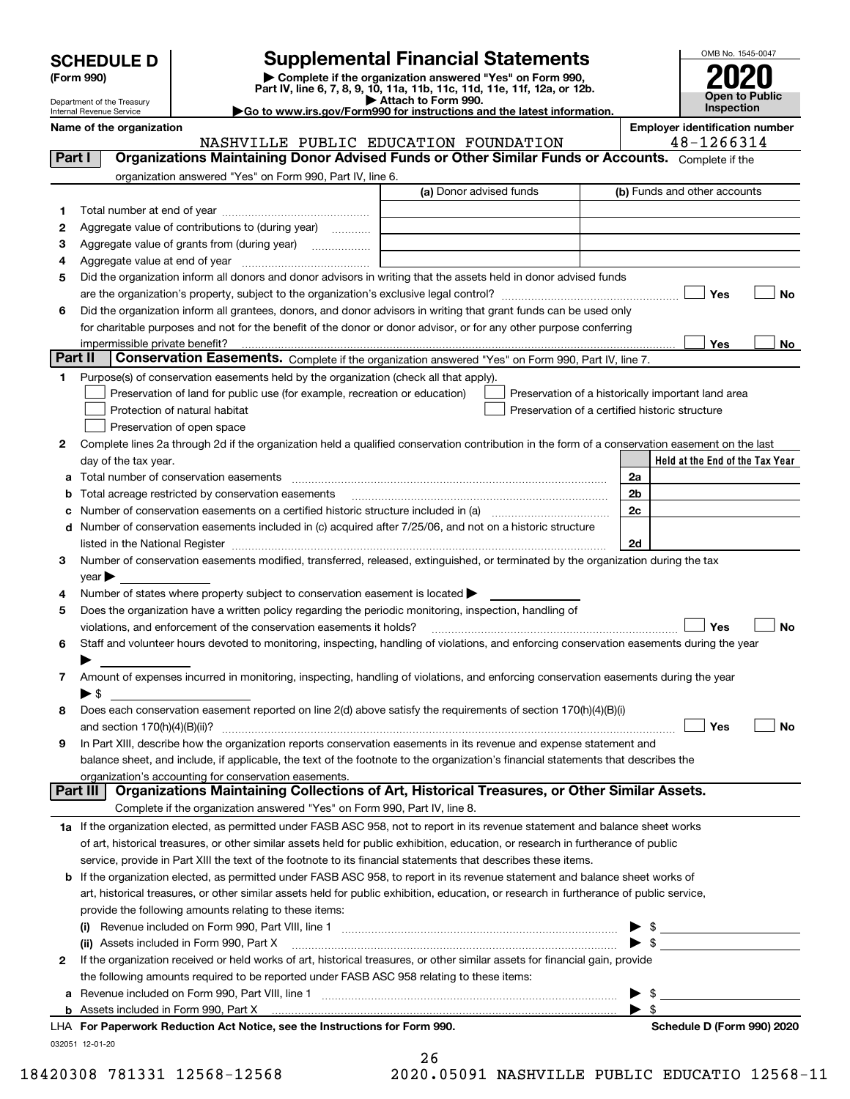| <b>SCHEDULE D</b> |  |
|-------------------|--|
|-------------------|--|

Department of the Treasury Internal Revenue Service

| (Form 990) |  |
|------------|--|
|------------|--|

# **SCHEDULE D Supplemental Financial Statements**

(Form 990)<br>
Pepartment of the Treasury<br>
Department of the Treasury<br>
Department of the Treasury<br>
Department of the Treasury<br> **Co to www.irs.gov/Form990 for instructions and the latest information.**<br> **Co to www.irs.gov/Form9** 

|--|



|          | Name of the organization                                                                                                                       | NASHVILLE PUBLIC EDUCATION FOUNDATION | <b>Employer identification number</b><br>48-1266314 |
|----------|------------------------------------------------------------------------------------------------------------------------------------------------|---------------------------------------|-----------------------------------------------------|
| Part I   | Organizations Maintaining Donor Advised Funds or Other Similar Funds or Accounts. Complete if the                                              |                                       |                                                     |
|          | organization answered "Yes" on Form 990, Part IV, line 6.                                                                                      |                                       |                                                     |
|          |                                                                                                                                                | (a) Donor advised funds               | (b) Funds and other accounts                        |
| 1        |                                                                                                                                                |                                       |                                                     |
| 2        | Aggregate value of contributions to (during year)                                                                                              |                                       |                                                     |
| з        | Aggregate value of grants from (during year)                                                                                                   |                                       |                                                     |
| 4        |                                                                                                                                                |                                       |                                                     |
| 5        | Did the organization inform all donors and donor advisors in writing that the assets held in donor advised funds                               |                                       |                                                     |
|          |                                                                                                                                                |                                       | Yes<br>No                                           |
| 6        | Did the organization inform all grantees, donors, and donor advisors in writing that grant funds can be used only                              |                                       |                                                     |
|          | for charitable purposes and not for the benefit of the donor or donor advisor, or for any other purpose conferring                             |                                       |                                                     |
|          | impermissible private benefit?                                                                                                                 |                                       | Yes<br>No                                           |
| Part II  | Conservation Easements. Complete if the organization answered "Yes" on Form 990, Part IV, line 7.                                              |                                       |                                                     |
| 1.       | Purpose(s) of conservation easements held by the organization (check all that apply).                                                          |                                       |                                                     |
|          | Preservation of land for public use (for example, recreation or education)                                                                     |                                       | Preservation of a historically important land area  |
|          | Protection of natural habitat                                                                                                                  |                                       | Preservation of a certified historic structure      |
|          | Preservation of open space                                                                                                                     |                                       |                                                     |
| 2        | Complete lines 2a through 2d if the organization held a qualified conservation contribution in the form of a conservation easement on the last |                                       |                                                     |
|          | day of the tax year.                                                                                                                           |                                       | Held at the End of the Tax Year                     |
| а        | Total number of conservation easements                                                                                                         |                                       | 2a                                                  |
| b        | Total acreage restricted by conservation easements                                                                                             |                                       | 2 <sub>b</sub>                                      |
| с        | Number of conservation easements on a certified historic structure included in (a) manufacture included in (a)                                 |                                       | 2 <sub>c</sub>                                      |
| d        | Number of conservation easements included in (c) acquired after 7/25/06, and not on a historic structure                                       |                                       |                                                     |
|          | listed in the National Register [111] increases the National Property of the National Register [11] increases                                  |                                       | 2d                                                  |
| 3        | Number of conservation easements modified, transferred, released, extinguished, or terminated by the organization during the tax               |                                       |                                                     |
|          | year                                                                                                                                           |                                       |                                                     |
| 4        | Number of states where property subject to conservation easement is located >                                                                  |                                       |                                                     |
| 5        | Does the organization have a written policy regarding the periodic monitoring, inspection, handling of                                         |                                       |                                                     |
|          | violations, and enforcement of the conservation easements it holds?                                                                            |                                       | Yes<br>No                                           |
| 6        | Staff and volunteer hours devoted to monitoring, inspecting, handling of violations, and enforcing conservation easements during the year      |                                       |                                                     |
|          |                                                                                                                                                |                                       |                                                     |
| 7        | Amount of expenses incurred in monitoring, inspecting, handling of violations, and enforcing conservation easements during the year            |                                       |                                                     |
|          | ► \$                                                                                                                                           |                                       |                                                     |
| 8        | Does each conservation easement reported on line 2(d) above satisfy the requirements of section 170(h)(4)(B)(i)                                |                                       |                                                     |
|          |                                                                                                                                                |                                       | Yes<br>No                                           |
|          | In Part XIII, describe how the organization reports conservation easements in its revenue and expense statement and                            |                                       |                                                     |
|          | balance sheet, and include, if applicable, the text of the footnote to the organization's financial statements that describes the              |                                       |                                                     |
|          | organization's accounting for conservation easements.                                                                                          |                                       |                                                     |
| Part III | Organizations Maintaining Collections of Art, Historical Treasures, or Other Similar Assets.                                                   |                                       |                                                     |
|          | Complete if the organization answered "Yes" on Form 990, Part IV, line 8.                                                                      |                                       |                                                     |
|          | 1a If the organization elected, as permitted under FASB ASC 958, not to report in its revenue statement and balance sheet works                |                                       |                                                     |
|          | of art, historical treasures, or other similar assets held for public exhibition, education, or research in furtherance of public              |                                       |                                                     |
|          | service, provide in Part XIII the text of the footnote to its financial statements that describes these items.                                 |                                       |                                                     |
| b        | If the organization elected, as permitted under FASB ASC 958, to report in its revenue statement and balance sheet works of                    |                                       |                                                     |
|          | art, historical treasures, or other similar assets held for public exhibition, education, or research in furtherance of public service,        |                                       |                                                     |
|          | provide the following amounts relating to these items:                                                                                         |                                       |                                                     |
|          |                                                                                                                                                |                                       | $\mathfrak{S}$<br>▶                                 |
|          | (ii) Assets included in Form 990, Part X                                                                                                       |                                       | $\triangleright$ \$                                 |
| 2        | If the organization received or held works of art, historical treasures, or other similar assets for financial gain, provide                   |                                       |                                                     |
|          | the following amounts required to be reported under FASB ASC 958 relating to these items:                                                      |                                       |                                                     |
| а        |                                                                                                                                                |                                       | \$<br>▶                                             |
|          |                                                                                                                                                |                                       | $\blacktriangleright$ s                             |
|          | LHA For Paperwork Reduction Act Notice, see the Instructions for Form 990.                                                                     |                                       | Schedule D (Form 990) 2020                          |

032051 12-01-20

26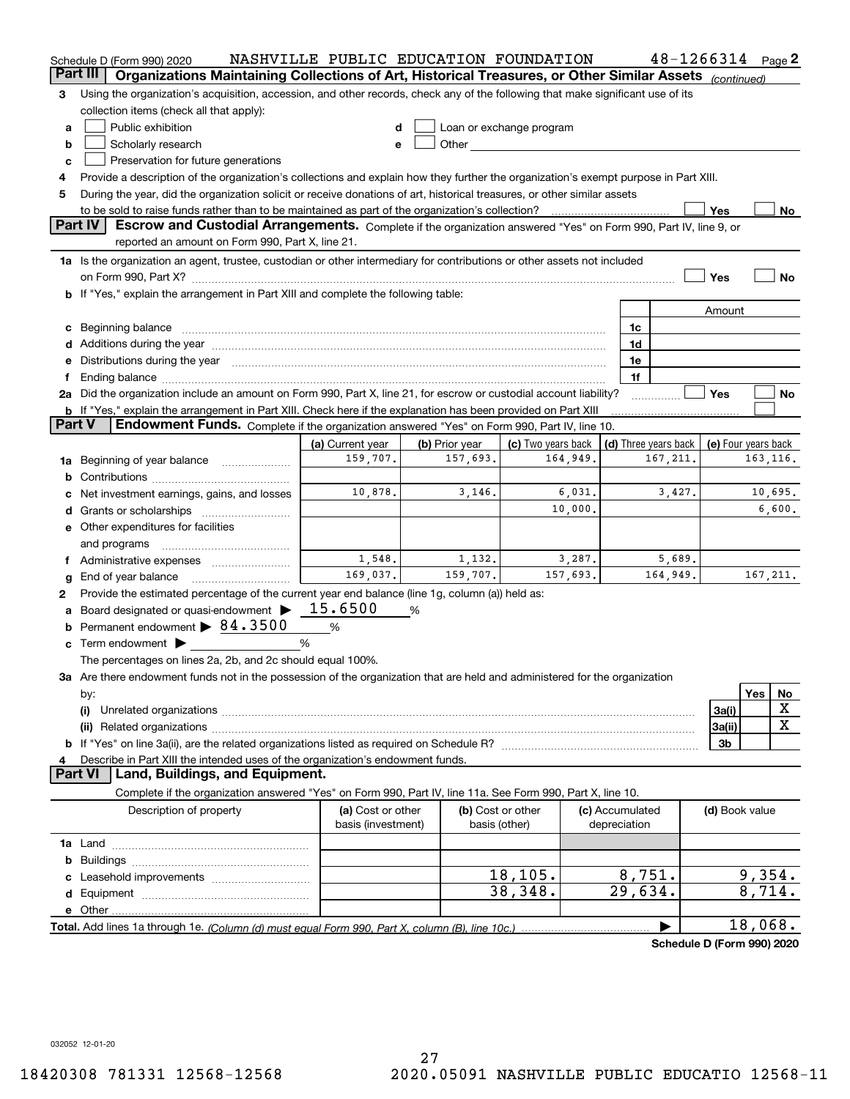|          | Schedule D (Form 990) 2020                                                                                                                                                                                                     | NASHVILLE PUBLIC EDUCATION FOUNDATION |                |                          |                      | $48 - 1266314$ Page 2      |                     |           |         |
|----------|--------------------------------------------------------------------------------------------------------------------------------------------------------------------------------------------------------------------------------|---------------------------------------|----------------|--------------------------|----------------------|----------------------------|---------------------|-----------|---------|
| Part III | Organizations Maintaining Collections of Art, Historical Treasures, or Other Similar Assets (continued)                                                                                                                        |                                       |                |                          |                      |                            |                     |           |         |
| З        | Using the organization's acquisition, accession, and other records, check any of the following that make significant use of its                                                                                                |                                       |                |                          |                      |                            |                     |           |         |
|          | collection items (check all that apply):                                                                                                                                                                                       |                                       |                |                          |                      |                            |                     |           |         |
| a        | Public exhibition                                                                                                                                                                                                              | d                                     |                | Loan or exchange program |                      |                            |                     |           |         |
| b        | Scholarly research                                                                                                                                                                                                             | e                                     |                |                          |                      |                            |                     |           |         |
| c        | Preservation for future generations                                                                                                                                                                                            |                                       |                |                          |                      |                            |                     |           |         |
| 4        | Provide a description of the organization's collections and explain how they further the organization's exempt purpose in Part XIII.                                                                                           |                                       |                |                          |                      |                            |                     |           |         |
| 5        | During the year, did the organization solicit or receive donations of art, historical treasures, or other similar assets                                                                                                       |                                       |                |                          |                      |                            |                     |           |         |
|          | to be sold to raise funds rather than to be maintained as part of the organization's collection?                                                                                                                               |                                       |                |                          |                      |                            | Yes                 |           | No      |
|          | Part IV<br>Escrow and Custodial Arrangements. Complete if the organization answered "Yes" on Form 990, Part IV, line 9, or                                                                                                     |                                       |                |                          |                      |                            |                     |           |         |
|          | reported an amount on Form 990, Part X, line 21.                                                                                                                                                                               |                                       |                |                          |                      |                            |                     |           |         |
|          | 1a Is the organization an agent, trustee, custodian or other intermediary for contributions or other assets not included                                                                                                       |                                       |                |                          |                      |                            |                     |           |         |
|          | on Form 990, Part X? [11] matter contracts and contracts and contracts are contracted to the set of the set of                                                                                                                 |                                       |                |                          |                      |                            | Yes                 |           | No      |
|          | If "Yes," explain the arrangement in Part XIII and complete the following table:                                                                                                                                               |                                       |                |                          |                      |                            |                     |           |         |
|          |                                                                                                                                                                                                                                |                                       |                |                          |                      |                            | Amount              |           |         |
|          |                                                                                                                                                                                                                                |                                       |                |                          | 1c                   |                            |                     |           |         |
| с        | Beginning balance                                                                                                                                                                                                              |                                       |                |                          | 1d                   |                            |                     |           |         |
| d<br>е   | Additions during the year manufactured and an annual contract of the year manufactured and all the year manufactured and all the year manufactured and all the year manufactured and all the year manufactured and all the yea |                                       |                |                          | 1e                   |                            |                     |           |         |
|          | Distributions during the year manufactured and an account of the year manufactured and the year manufactured and the year manufactured and the year manufactured and the year manufactured and the year manufactured and the y |                                       |                |                          | 1f                   |                            |                     |           |         |
|          | 2a Did the organization include an amount on Form 990, Part X, line 21, for escrow or custodial account liability?                                                                                                             |                                       |                |                          |                      |                            | Yes                 |           | No      |
|          | <b>b</b> If "Yes," explain the arrangement in Part XIII. Check here if the explanation has been provided on Part XIII                                                                                                          |                                       |                |                          |                      |                            |                     |           |         |
| Part V   | Endowment Funds. Complete if the organization answered "Yes" on Form 990, Part IV, line 10.                                                                                                                                    |                                       |                |                          |                      |                            |                     |           |         |
|          |                                                                                                                                                                                                                                | (a) Current year                      | (b) Prior year | (c) Two years back       | (d) Three years back |                            | (e) Four years back |           |         |
|          |                                                                                                                                                                                                                                | 159,707.                              | 157,693.       | 164,949.                 |                      | 167,211.                   |                     | 163, 116. |         |
| 1a       | Beginning of year balance                                                                                                                                                                                                      |                                       |                |                          |                      |                            |                     |           |         |
| b        |                                                                                                                                                                                                                                | 10,878.                               | 3,146.         | 6,031.                   |                      | 3,427.                     |                     |           | 10,695. |
|          | Net investment earnings, gains, and losses                                                                                                                                                                                     |                                       |                | 10,000.                  |                      |                            |                     |           | 6,600.  |
| d        |                                                                                                                                                                                                                                |                                       |                |                          |                      |                            |                     |           |         |
|          | e Other expenditures for facilities                                                                                                                                                                                            |                                       |                |                          |                      |                            |                     |           |         |
|          | and programs                                                                                                                                                                                                                   |                                       |                |                          |                      |                            |                     |           |         |
|          | f Administrative expenses                                                                                                                                                                                                      | 1,548.                                | 1,132.         | 3,287.                   |                      | 5,689.                     |                     |           |         |
| g        | End of year balance                                                                                                                                                                                                            | 169,037.                              | 159,707.       | 157,693.                 |                      | 164,949.                   |                     | 167, 211. |         |
| 2        | Provide the estimated percentage of the current year end balance (line 1g, column (a)) held as:                                                                                                                                |                                       |                |                          |                      |                            |                     |           |         |
| а        | Board designated or quasi-endowment $\blacktriangleright$ 15.6500                                                                                                                                                              |                                       | %              |                          |                      |                            |                     |           |         |
| b        | Permanent endowment > 84.3500                                                                                                                                                                                                  | %                                     |                |                          |                      |                            |                     |           |         |
| c        | Term endowment $\blacktriangleright$                                                                                                                                                                                           | %                                     |                |                          |                      |                            |                     |           |         |
|          | The percentages on lines 2a, 2b, and 2c should equal 100%.                                                                                                                                                                     |                                       |                |                          |                      |                            |                     |           |         |
|          | 3a Are there endowment funds not in the possession of the organization that are held and administered for the organization                                                                                                     |                                       |                |                          |                      |                            |                     |           |         |
|          | by:                                                                                                                                                                                                                            |                                       |                |                          |                      |                            |                     | Yes       | No      |
|          | (i)                                                                                                                                                                                                                            |                                       |                |                          |                      |                            | 3a(i)               |           | х       |
|          |                                                                                                                                                                                                                                |                                       |                |                          |                      |                            | 3a(ii)              |           | X       |
| b        |                                                                                                                                                                                                                                |                                       |                |                          |                      |                            | 3b                  |           |         |
|          | Describe in Part XIII the intended uses of the organization's endowment funds.                                                                                                                                                 |                                       |                |                          |                      |                            |                     |           |         |
|          | Land, Buildings, and Equipment.<br><b>Part VI</b>                                                                                                                                                                              |                                       |                |                          |                      |                            |                     |           |         |
|          | Complete if the organization answered "Yes" on Form 990, Part IV, line 11a. See Form 990, Part X, line 10.                                                                                                                     |                                       |                |                          |                      |                            |                     |           |         |
|          | Description of property                                                                                                                                                                                                        | (a) Cost or other                     |                | (b) Cost or other        | (c) Accumulated      |                            | (d) Book value      |           |         |
|          |                                                                                                                                                                                                                                | basis (investment)                    |                | basis (other)            | depreciation         |                            |                     |           |         |
|          |                                                                                                                                                                                                                                |                                       |                |                          |                      |                            |                     |           |         |
| b        |                                                                                                                                                                                                                                |                                       |                |                          |                      |                            |                     |           |         |
|          |                                                                                                                                                                                                                                |                                       |                | 18,105.                  | 8,751.               |                            |                     | 9,354.    |         |
| d        |                                                                                                                                                                                                                                |                                       |                | 38,348.                  | 29,634.              |                            |                     | 8,714.    |         |
|          | e Other                                                                                                                                                                                                                        |                                       |                |                          |                      |                            |                     |           |         |
|          | Total. Add lines 1a through 1e. (Column (d) must equal Form 990. Part X, column (B), line 10c.)                                                                                                                                |                                       |                |                          |                      |                            |                     | 18,068.   |         |
|          |                                                                                                                                                                                                                                |                                       |                |                          |                      | Schedule D (Form 990) 2020 |                     |           |         |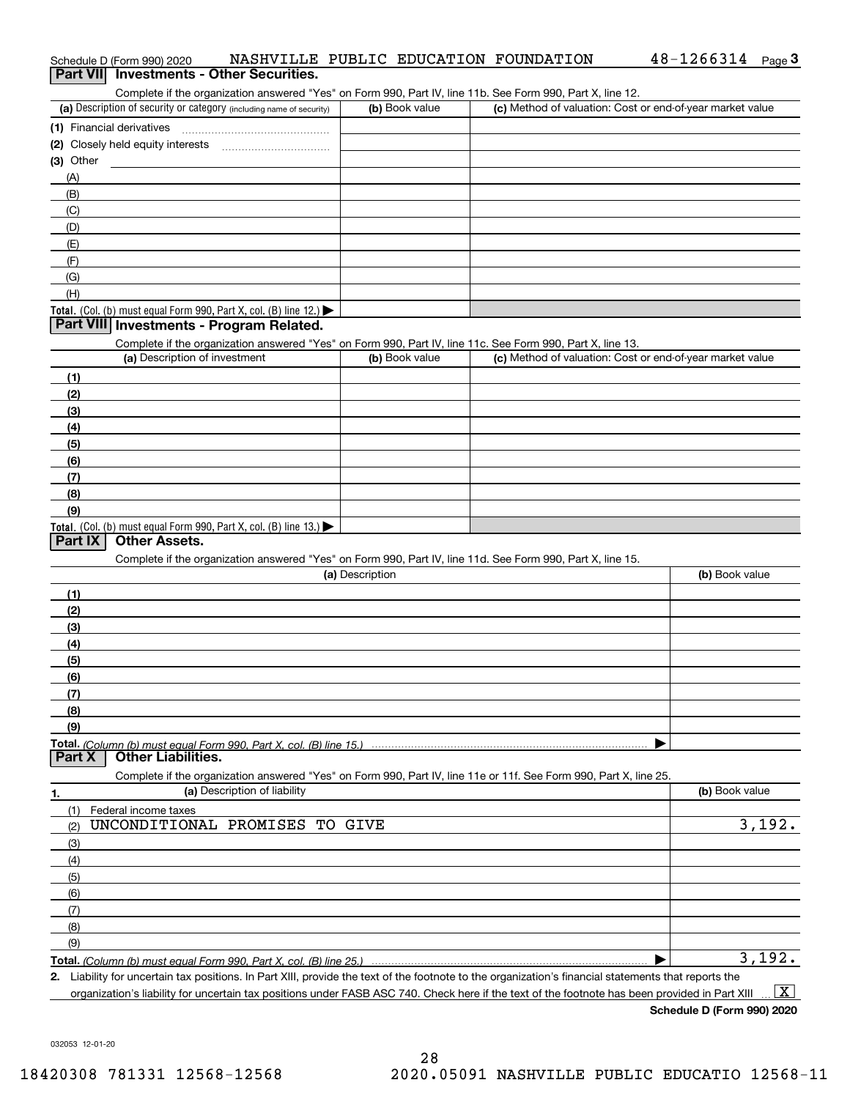| <u>s san passo a more saguramente un carso su</u>                                                                                                    |                 | <b></b> , . <b></b> , <b>.</b> . <b>.</b> .               |                |
|------------------------------------------------------------------------------------------------------------------------------------------------------|-----------------|-----------------------------------------------------------|----------------|
| (a) Description of security or category (including name of security)                                                                                 | (b) Book value  | (c) Method of valuation: Cost or end-of-year market value |                |
| (1) Financial derivatives                                                                                                                            |                 |                                                           |                |
| (2) Closely held equity interests                                                                                                                    |                 |                                                           |                |
| $(3)$ Other                                                                                                                                          |                 |                                                           |                |
| (A)                                                                                                                                                  |                 |                                                           |                |
| (B)                                                                                                                                                  |                 |                                                           |                |
| (C)                                                                                                                                                  |                 |                                                           |                |
| (D)                                                                                                                                                  |                 |                                                           |                |
| (E)                                                                                                                                                  |                 |                                                           |                |
| (F)                                                                                                                                                  |                 |                                                           |                |
|                                                                                                                                                      |                 |                                                           |                |
| (G)                                                                                                                                                  |                 |                                                           |                |
| (H)                                                                                                                                                  |                 |                                                           |                |
| Total. (Col. (b) must equal Form 990, Part X, col. (B) line 12.)                                                                                     |                 |                                                           |                |
| Part VIII Investments - Program Related.                                                                                                             |                 |                                                           |                |
| Complete if the organization answered "Yes" on Form 990, Part IV, line 11c. See Form 990, Part X, line 13.                                           |                 |                                                           |                |
| (a) Description of investment                                                                                                                        | (b) Book value  | (c) Method of valuation: Cost or end-of-year market value |                |
| (1)                                                                                                                                                  |                 |                                                           |                |
| (2)                                                                                                                                                  |                 |                                                           |                |
| (3)                                                                                                                                                  |                 |                                                           |                |
| (4)                                                                                                                                                  |                 |                                                           |                |
| (5)                                                                                                                                                  |                 |                                                           |                |
| (6)                                                                                                                                                  |                 |                                                           |                |
| (7)                                                                                                                                                  |                 |                                                           |                |
| (8)                                                                                                                                                  |                 |                                                           |                |
| (9)                                                                                                                                                  |                 |                                                           |                |
| Total. (Col. (b) must equal Form 990, Part X, col. (B) line 13.)                                                                                     |                 |                                                           |                |
| <b>Other Assets.</b><br>Part IX                                                                                                                      |                 |                                                           |                |
|                                                                                                                                                      |                 |                                                           |                |
| Complete if the organization answered "Yes" on Form 990, Part IV, line 11d. See Form 990, Part X, line 15.                                           | (a) Description |                                                           |                |
|                                                                                                                                                      |                 |                                                           | (b) Book value |
| (1)                                                                                                                                                  |                 |                                                           |                |
| (2)                                                                                                                                                  |                 |                                                           |                |
| (3)                                                                                                                                                  |                 |                                                           |                |
| (4)                                                                                                                                                  |                 |                                                           |                |
| (5)                                                                                                                                                  |                 |                                                           |                |
| (6)                                                                                                                                                  |                 |                                                           |                |
| (7)                                                                                                                                                  |                 |                                                           |                |
| (8)                                                                                                                                                  |                 |                                                           |                |
| (9)                                                                                                                                                  |                 |                                                           |                |
| Total. (Column (b) must equal Form 990. Part X. col. (B) line 15.)                                                                                   |                 |                                                           |                |
| <b>Other Liabilities.</b><br>Part X                                                                                                                  |                 |                                                           |                |
| Complete if the organization answered "Yes" on Form 990, Part IV, line 11e or 11f. See Form 990, Part X, line 25.                                    |                 |                                                           |                |
| (a) Description of liability                                                                                                                         |                 |                                                           | (b) Book value |
| 1.                                                                                                                                                   |                 |                                                           |                |
| (1)<br>Federal income taxes                                                                                                                          |                 |                                                           |                |
| UNCONDITIONAL PROMISES TO GIVE<br>(2)                                                                                                                |                 |                                                           | 3,192.         |
| (3)                                                                                                                                                  |                 |                                                           |                |
| (4)                                                                                                                                                  |                 |                                                           |                |
| (5)                                                                                                                                                  |                 |                                                           |                |
| (6)                                                                                                                                                  |                 |                                                           |                |
| (7)                                                                                                                                                  |                 |                                                           |                |
| (8)                                                                                                                                                  |                 |                                                           |                |
| (9)                                                                                                                                                  |                 |                                                           |                |
| Total. (Column (b) must equal Form 990, Part X, col. (B) line 25.)                                                                                   |                 |                                                           | 3,192.         |
| 2. Liability for uncertain tax positions. In Part XIII, provide the text of the footnote to the organization's financial statements that reports the |                 |                                                           |                |
|                                                                                                                                                      |                 |                                                           |                |

organization's liability for uncertain tax positions under FASB ASC 740. Check here if the text of the footnote has been provided in Part XIII.  $\boxed{\text{X}}$ 

48-1266314 Page 3

032053 12-01-20

# Schedule D (Form 990) 2020 NASHVILLE PUBLIC EDUCATION FOUNDATION 48-1266314 <sub>Page</sub> 3<br>| **Part VII** | Investments - Other Securities.

| ∣ Part VIII  Investments - Other Securities.                                                               |                |                                                   |
|------------------------------------------------------------------------------------------------------------|----------------|---------------------------------------------------|
| Complete if the organization answered "Yes" on Form 990, Part IV, line 11b. See Form 990, Part X, line 12. |                |                                                   |
| (a) Description of security or category (including name of security)                                       | (b) Book value | (c) Method of valuation: Cost or end-of-year mark |
|                                                                                                            |                |                                                   |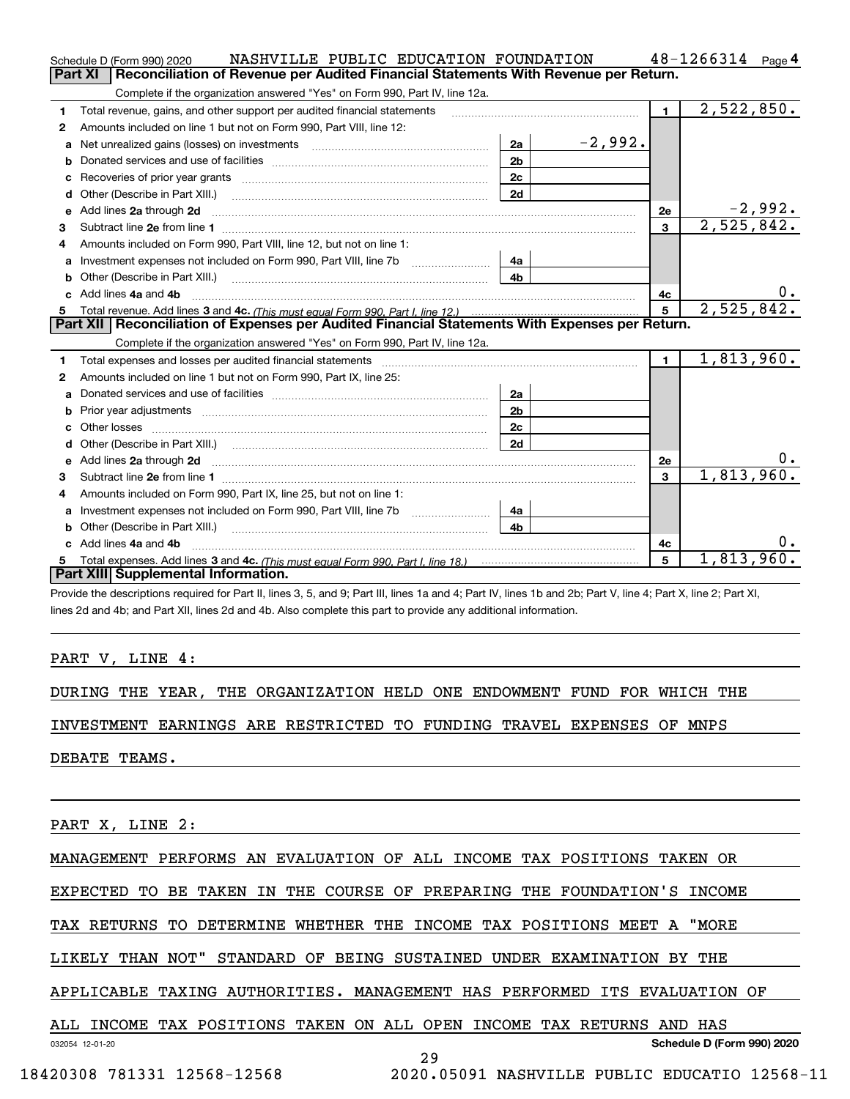|    | NASHVILLE PUBLIC EDUCATION FOUNDATION<br>Schedule D (Form 990) 2020                                                                                                                                                            |                |           |                | $48 - 1266314$ Page 4 |
|----|--------------------------------------------------------------------------------------------------------------------------------------------------------------------------------------------------------------------------------|----------------|-----------|----------------|-----------------------|
|    | Reconciliation of Revenue per Audited Financial Statements With Revenue per Return.<br>Part XI                                                                                                                                 |                |           |                |                       |
|    | Complete if the organization answered "Yes" on Form 990, Part IV, line 12a.                                                                                                                                                    |                |           |                |                       |
| 1  | Total revenue, gains, and other support per audited financial statements                                                                                                                                                       |                |           | $\blacksquare$ | 2,522,850.            |
| 2  | Amounts included on line 1 but not on Form 990, Part VIII, line 12:                                                                                                                                                            |                |           |                |                       |
| a  | Net unrealized gains (losses) on investments [11] matter contracts and the unrealized gains (losses) on investments                                                                                                            | 2a             | $-2,992.$ |                |                       |
| b  |                                                                                                                                                                                                                                | 2 <sub>b</sub> |           |                |                       |
|    |                                                                                                                                                                                                                                | 2c             |           |                |                       |
| d  | Other (Describe in Part XIII.) <b>Construction Construction</b> Chern Construction Chern Chern Chern Chern Chern Chern                                                                                                         | 2d             |           |                |                       |
| e  | Add lines 2a through 2d                                                                                                                                                                                                        |                |           | 2e             | $-2,992.$             |
| 3  |                                                                                                                                                                                                                                |                |           | $\overline{3}$ | 2,525,842.            |
| 4  | Amounts included on Form 990, Part VIII, line 12, but not on line 1:                                                                                                                                                           |                |           |                |                       |
| a  |                                                                                                                                                                                                                                | 4а             |           |                |                       |
|    |                                                                                                                                                                                                                                | 4 <sub>b</sub> |           |                |                       |
|    | c Add lines 4a and 4b                                                                                                                                                                                                          |                |           | 4c             |                       |
|    |                                                                                                                                                                                                                                |                |           | 5              | 2,525,842.            |
|    | Part XII   Reconciliation of Expenses per Audited Financial Statements With Expenses per Return.                                                                                                                               |                |           |                |                       |
|    | Complete if the organization answered "Yes" on Form 990, Part IV, line 12a.                                                                                                                                                    |                |           |                |                       |
| 1. |                                                                                                                                                                                                                                |                |           |                |                       |
|    | Total expenses and losses per audited financial statements [11] [12] contain an intervention and the statements [13] [13] and the statements [13] and the statements [13] and the statements and the statements and the statem |                |           | 1 <sup>1</sup> | 1,813,960.            |
| 2  | Amounts included on line 1 but not on Form 990, Part IX, line 25:                                                                                                                                                              |                |           |                |                       |
| a  |                                                                                                                                                                                                                                | 2a             |           |                |                       |
| b  | Prior year adjustments entertainments and the contract of the contract of the contract of the contract of the contract of the contract of the contract of the contract of the contract of the contract of the contract of the  | 2 <sub>b</sub> |           |                |                       |
|    |                                                                                                                                                                                                                                | 2c             |           |                |                       |
| d  | Other (Describe in Part XIII.) (2000) (2000) (2000) (2000) (2000) (2000) (2000) (2000) (2000) (2000) (2000) (2000) (2000) (2000) (2000) (2000) (2000) (2000) (2000) (2000) (2000) (2000) (2000) (2000) (2000) (2000) (2000) (2 | 2d             |           |                |                       |
|    |                                                                                                                                                                                                                                |                |           | <b>2e</b>      | υ.                    |
| з  |                                                                                                                                                                                                                                |                |           | 3              | 1,813,960.            |
| 4  | Amounts included on Form 990, Part IX, line 25, but not on line 1:                                                                                                                                                             |                |           |                |                       |
| a  | Investment expenses not included on Form 990, Part VIII, line 7b [100] [100] [100] [100] [100] [100] [100] [10                                                                                                                 | 4a             |           |                |                       |
|    | Other (Describe in Part XIII.)                                                                                                                                                                                                 | 4 <sub>h</sub> |           |                |                       |
|    | c Add lines 4a and 4b                                                                                                                                                                                                          |                |           | 4c             |                       |
|    | Total expenses. Add lines 3 and 4c. (This must equal Form 990, Part I, line 18.) <b>Conservers</b> manufactured in the                                                                                                         |                |           | 5              | 1,813,960.            |
|    | Part XIII Supplemental Information.                                                                                                                                                                                            |                |           |                |                       |

Provide the descriptions required for Part II, lines 3, 5, and 9; Part III, lines 1a and 4; Part IV, lines 1b and 2b; Part V, line 4; Part X, line 2; Part XI, lines 2d and 4b; and Part XII, lines 2d and 4b. Also complete this part to provide any additional information.

### PART V, LINE 4:

DURING THE YEAR, THE ORGANIZATION HELD ONE ENDOWMENT FUND FOR WHICH THE

INVESTMENT EARNINGS ARE RESTRICTED TO FUNDING TRAVEL EXPENSES OF MNPS

DEBATE TEAMS.

PART X, LINE 2:

MANAGEMENT PERFORMS AN EVALUATION OF ALL INCOME TAX POSITIONS TAKEN OR

EXPECTED TO BE TAKEN IN THE COURSE OF PREPARING THE FOUNDATION'S INCOME

TAX RETURNS TO DETERMINE WHETHER THE INCOME TAX POSITIONS MEET A "MORE

LIKELY THAN NOT" STANDARD OF BEING SUSTAINED UNDER EXAMINATION BY THE

APPLICABLE TAXING AUTHORITIES. MANAGEMENT HAS PERFORMED ITS EVALUATION OF

29

| ALL             | INCOME | : TAX POSITIONS TAKEN ON ALL OPEN INCOME |  |  |  | : TAX RETURNS AND | HAS                 |  |
|-----------------|--------|------------------------------------------|--|--|--|-------------------|---------------------|--|
| 032054 12-01-20 |        |                                          |  |  |  |                   | Schedule D (Form 9) |  |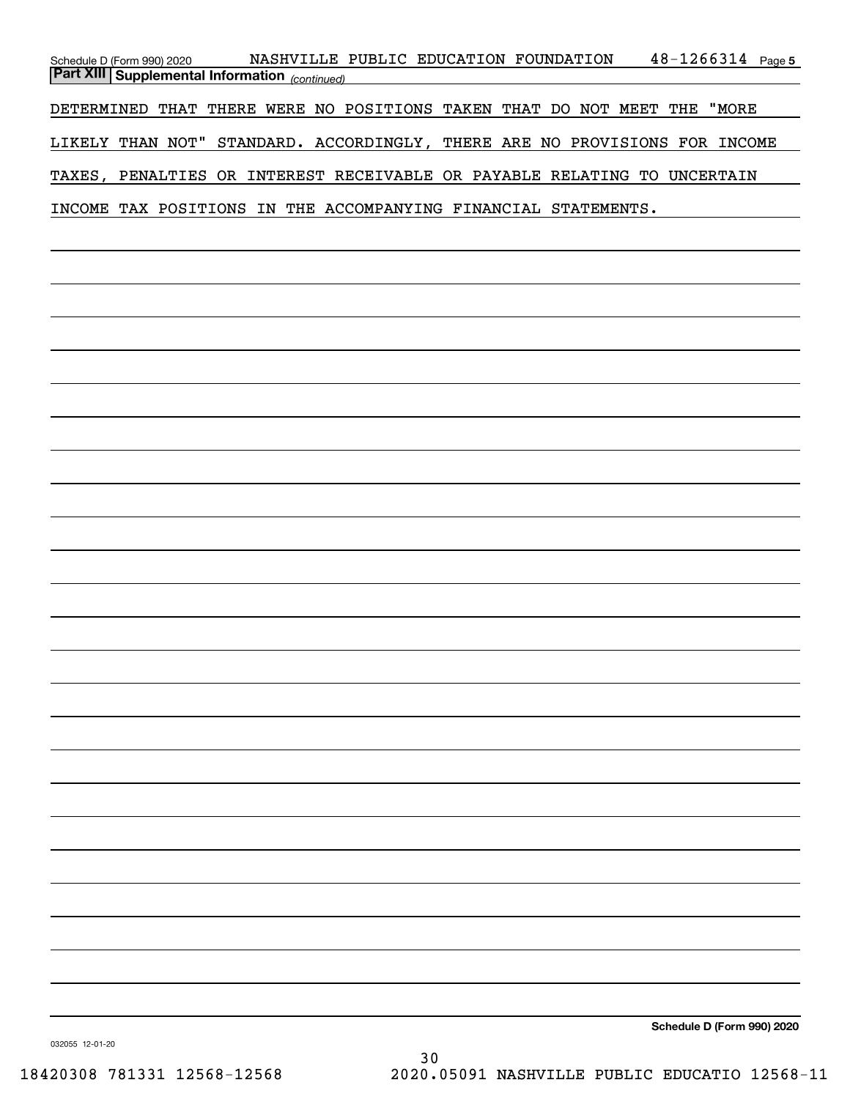| Schedule D (Form 990) 2020                            |  |  | NASHVILLE PUBLIC EDUCATION FOUNDATION                                      |  |  |  | $48 - 1266314$ Page 5 |  |
|-------------------------------------------------------|--|--|----------------------------------------------------------------------------|--|--|--|-----------------------|--|
| <b>Part XIII Supplemental Information</b> (continued) |  |  |                                                                            |  |  |  |                       |  |
|                                                       |  |  | DETERMINED THAT THERE WERE NO POSITIONS TAKEN THAT DO NOT MEET THE "MORE   |  |  |  |                       |  |
|                                                       |  |  | LIKELY THAN NOT" STANDARD. ACCORDINGLY, THERE ARE NO PROVISIONS FOR INCOME |  |  |  |                       |  |
|                                                       |  |  | TAXES. PENALTIES OR INTEREST RECEIVABLE OR PAYABLE RELATING TO UNCERTAIN   |  |  |  |                       |  |
|                                                       |  |  | INCOME TAX POSITIONS IN THE ACCOMPANYING FINANCIAL STATEMENTS.             |  |  |  |                       |  |
|                                                       |  |  |                                                                            |  |  |  |                       |  |
|                                                       |  |  |                                                                            |  |  |  |                       |  |
|                                                       |  |  |                                                                            |  |  |  |                       |  |
|                                                       |  |  |                                                                            |  |  |  |                       |  |
|                                                       |  |  |                                                                            |  |  |  |                       |  |

**Schedule D (Form 990) 2020**

032055 12-01-20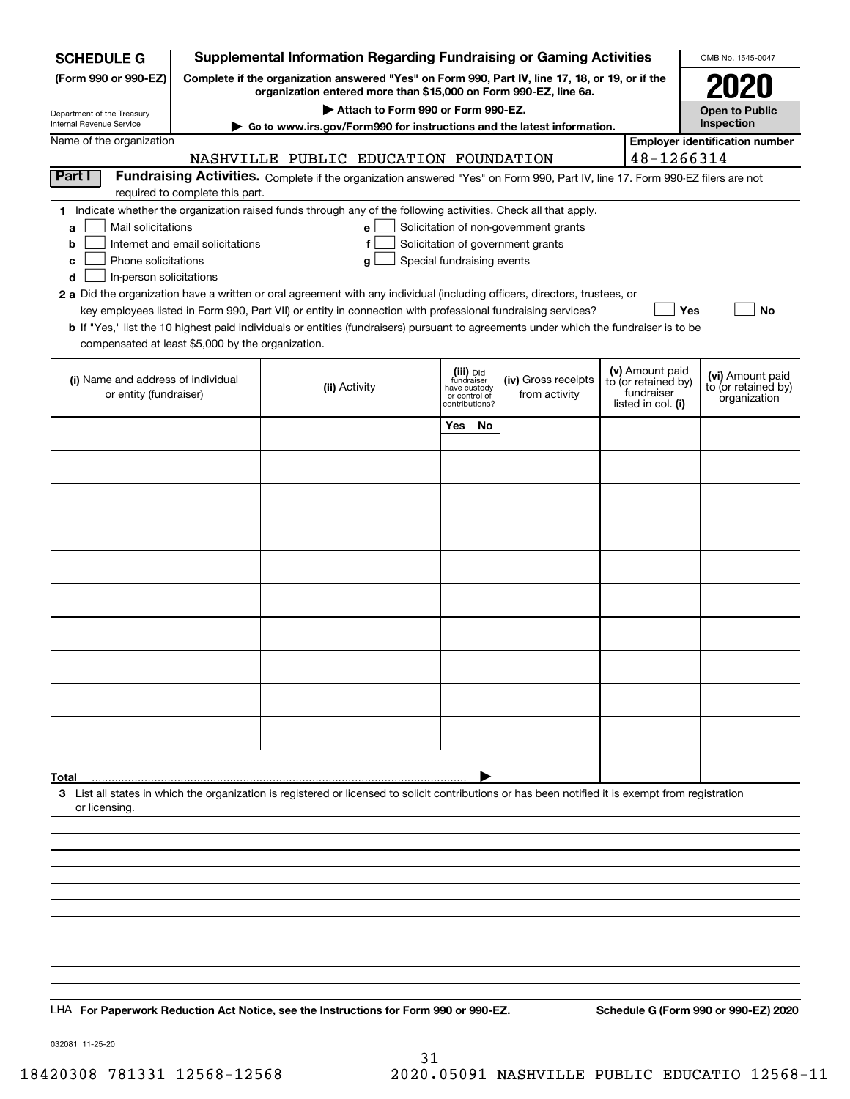| <b>SCHEDULE G</b>                                                                                                                                                                                                                                                                                                                                                                                                                                                                  |                                  |                                       |                                           |                                                                            |    | <b>Supplemental Information Regarding Fundraising or Gaming Activities</b>                                                                                                                |                                                                            | OMB No. 1545-0047                                       |
|------------------------------------------------------------------------------------------------------------------------------------------------------------------------------------------------------------------------------------------------------------------------------------------------------------------------------------------------------------------------------------------------------------------------------------------------------------------------------------|----------------------------------|---------------------------------------|-------------------------------------------|----------------------------------------------------------------------------|----|-------------------------------------------------------------------------------------------------------------------------------------------------------------------------------------------|----------------------------------------------------------------------------|---------------------------------------------------------|
| (Form 990 or 990-EZ)                                                                                                                                                                                                                                                                                                                                                                                                                                                               |                                  |                                       |                                           |                                                                            |    | Complete if the organization answered "Yes" on Form 990, Part IV, line 17, 18, or 19, or if the<br>organization entered more than \$15,000 on Form 990-EZ, line 6a.                       |                                                                            | 2020                                                    |
| Department of the Treasury                                                                                                                                                                                                                                                                                                                                                                                                                                                         |                                  |                                       | Attach to Form 990 or Form 990-EZ.        |                                                                            |    |                                                                                                                                                                                           |                                                                            | <b>Open to Public</b>                                   |
| Internal Revenue Service                                                                                                                                                                                                                                                                                                                                                                                                                                                           |                                  |                                       |                                           |                                                                            |    | ▶ Go to www.irs.gov/Form990 for instructions and the latest information.                                                                                                                  |                                                                            | Inspection                                              |
| Name of the organization                                                                                                                                                                                                                                                                                                                                                                                                                                                           |                                  | NASHVILLE PUBLIC EDUCATION FOUNDATION |                                           |                                                                            |    |                                                                                                                                                                                           | 48-1266314                                                                 | <b>Employer identification number</b>                   |
| Part I                                                                                                                                                                                                                                                                                                                                                                                                                                                                             |                                  |                                       |                                           |                                                                            |    | Fundraising Activities. Complete if the organization answered "Yes" on Form 990, Part IV, line 17. Form 990-EZ filers are not                                                             |                                                                            |                                                         |
|                                                                                                                                                                                                                                                                                                                                                                                                                                                                                    | required to complete this part.  |                                       |                                           |                                                                            |    |                                                                                                                                                                                           |                                                                            |                                                         |
| 1 Indicate whether the organization raised funds through any of the following activities. Check all that apply.<br>Mail solicitations<br>a<br>b<br>Phone solicitations<br>c<br>In-person solicitations<br>d<br>2 a Did the organization have a written or oral agreement with any individual (including officers, directors, trustees, or<br>b If "Yes," list the 10 highest paid individuals or entities (fundraisers) pursuant to agreements under which the fundraiser is to be | Internet and email solicitations |                                       | e<br>f<br>Special fundraising events<br>g |                                                                            |    | Solicitation of non-government grants<br>Solicitation of government grants<br>key employees listed in Form 990, Part VII) or entity in connection with professional fundraising services? | Yes                                                                        | No                                                      |
| compensated at least \$5,000 by the organization.                                                                                                                                                                                                                                                                                                                                                                                                                                  |                                  |                                       |                                           |                                                                            |    |                                                                                                                                                                                           |                                                                            |                                                         |
| (i) Name and address of individual<br>or entity (fundraiser)                                                                                                                                                                                                                                                                                                                                                                                                                       |                                  | (ii) Activity                         |                                           | (iii) Did<br>fundraiser<br>have custody<br>or control of<br>contributions? |    | (iv) Gross receipts<br>from activity                                                                                                                                                      | (v) Amount paid<br>to (or retained by)<br>fundraiser<br>listed in col. (i) | (vi) Amount paid<br>to (or retained by)<br>organization |
|                                                                                                                                                                                                                                                                                                                                                                                                                                                                                    |                                  |                                       |                                           | Yes                                                                        | No |                                                                                                                                                                                           |                                                                            |                                                         |
|                                                                                                                                                                                                                                                                                                                                                                                                                                                                                    |                                  |                                       |                                           |                                                                            |    |                                                                                                                                                                                           |                                                                            |                                                         |
|                                                                                                                                                                                                                                                                                                                                                                                                                                                                                    |                                  |                                       |                                           |                                                                            |    |                                                                                                                                                                                           |                                                                            |                                                         |
|                                                                                                                                                                                                                                                                                                                                                                                                                                                                                    |                                  |                                       |                                           |                                                                            |    |                                                                                                                                                                                           |                                                                            |                                                         |
|                                                                                                                                                                                                                                                                                                                                                                                                                                                                                    |                                  |                                       |                                           |                                                                            |    |                                                                                                                                                                                           |                                                                            |                                                         |
|                                                                                                                                                                                                                                                                                                                                                                                                                                                                                    |                                  |                                       |                                           |                                                                            |    |                                                                                                                                                                                           |                                                                            |                                                         |
|                                                                                                                                                                                                                                                                                                                                                                                                                                                                                    |                                  |                                       |                                           |                                                                            |    |                                                                                                                                                                                           |                                                                            |                                                         |
|                                                                                                                                                                                                                                                                                                                                                                                                                                                                                    |                                  |                                       |                                           |                                                                            |    |                                                                                                                                                                                           |                                                                            |                                                         |
|                                                                                                                                                                                                                                                                                                                                                                                                                                                                                    |                                  |                                       |                                           |                                                                            |    |                                                                                                                                                                                           |                                                                            |                                                         |
|                                                                                                                                                                                                                                                                                                                                                                                                                                                                                    |                                  |                                       |                                           |                                                                            |    |                                                                                                                                                                                           |                                                                            |                                                         |
|                                                                                                                                                                                                                                                                                                                                                                                                                                                                                    |                                  |                                       |                                           |                                                                            |    |                                                                                                                                                                                           |                                                                            |                                                         |
|                                                                                                                                                                                                                                                                                                                                                                                                                                                                                    |                                  |                                       |                                           |                                                                            |    |                                                                                                                                                                                           |                                                                            |                                                         |
|                                                                                                                                                                                                                                                                                                                                                                                                                                                                                    |                                  |                                       |                                           |                                                                            |    |                                                                                                                                                                                           |                                                                            |                                                         |
|                                                                                                                                                                                                                                                                                                                                                                                                                                                                                    |                                  |                                       |                                           |                                                                            |    |                                                                                                                                                                                           |                                                                            |                                                         |
|                                                                                                                                                                                                                                                                                                                                                                                                                                                                                    |                                  |                                       |                                           |                                                                            |    |                                                                                                                                                                                           |                                                                            |                                                         |
| Total<br>3 List all states in which the organization is registered or licensed to solicit contributions or has been notified it is exempt from registration                                                                                                                                                                                                                                                                                                                        |                                  |                                       |                                           |                                                                            |    |                                                                                                                                                                                           |                                                                            |                                                         |
| or licensing.                                                                                                                                                                                                                                                                                                                                                                                                                                                                      |                                  |                                       |                                           |                                                                            |    |                                                                                                                                                                                           |                                                                            |                                                         |
|                                                                                                                                                                                                                                                                                                                                                                                                                                                                                    |                                  |                                       |                                           |                                                                            |    |                                                                                                                                                                                           |                                                                            |                                                         |
|                                                                                                                                                                                                                                                                                                                                                                                                                                                                                    |                                  |                                       |                                           |                                                                            |    |                                                                                                                                                                                           |                                                                            |                                                         |
|                                                                                                                                                                                                                                                                                                                                                                                                                                                                                    |                                  |                                       |                                           |                                                                            |    |                                                                                                                                                                                           |                                                                            |                                                         |
|                                                                                                                                                                                                                                                                                                                                                                                                                                                                                    |                                  |                                       |                                           |                                                                            |    |                                                                                                                                                                                           |                                                                            |                                                         |
|                                                                                                                                                                                                                                                                                                                                                                                                                                                                                    |                                  |                                       |                                           |                                                                            |    |                                                                                                                                                                                           |                                                                            |                                                         |
|                                                                                                                                                                                                                                                                                                                                                                                                                                                                                    |                                  |                                       |                                           |                                                                            |    |                                                                                                                                                                                           |                                                                            |                                                         |
|                                                                                                                                                                                                                                                                                                                                                                                                                                                                                    |                                  |                                       |                                           |                                                                            |    |                                                                                                                                                                                           |                                                                            |                                                         |
|                                                                                                                                                                                                                                                                                                                                                                                                                                                                                    |                                  |                                       |                                           |                                                                            |    |                                                                                                                                                                                           |                                                                            |                                                         |
| LHA For Paperwork Reduction Act Notice, see the Instructions for Form 990 or 990-EZ.                                                                                                                                                                                                                                                                                                                                                                                               |                                  |                                       |                                           |                                                                            |    |                                                                                                                                                                                           |                                                                            | Schedule G (Form 990 or 990-EZ) 2020                    |

032081 11-25-20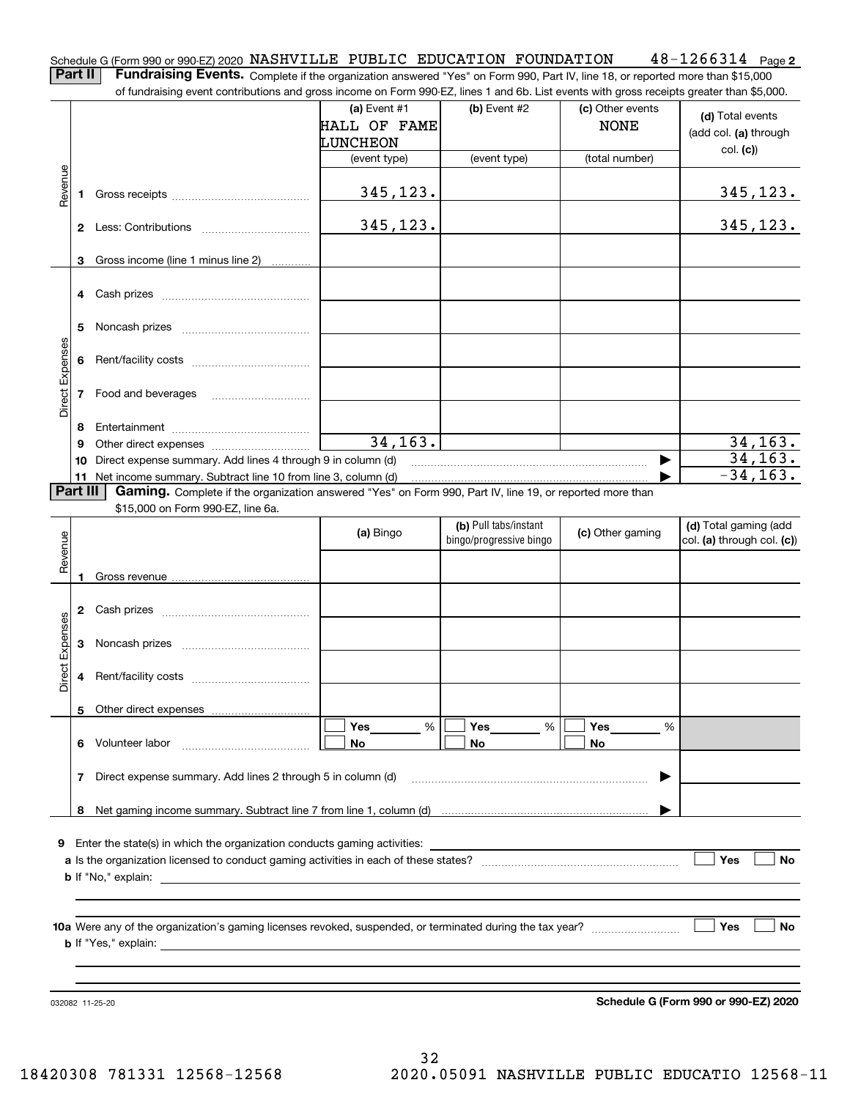**2** Schedule G (Form 990 or 990-EZ) 2020  $\,$  <code>NASHVILLE PUBLIC EDUCATION FOUNDATION</code>  $\,$  <code>48–1266314</code>  $\,$  <code>Page</code> **Part II** | Fundraising Events. Complete if the organization answered "Yes" on Form 990, Part IV, line 18, or reported more than \$15,000

of fundraising event contributions and gross income on Form 990-EZ, lines 1 and 6b. List events with gross receipts greater than \$5,000.

|                 |          | ו ומחמושוטות כלכות סטותוסמוטוס מחס קוססט וחסטותכ טורו טווח סטט בב, ווווטט רמווט טט. בוטג כלכותט אחנו קוססט וכסכוףנט קוסמכו מומח קט,טטט.             |                     |                         |                  |                                      |
|-----------------|----------|-----------------------------------------------------------------------------------------------------------------------------------------------------|---------------------|-------------------------|------------------|--------------------------------------|
|                 |          |                                                                                                                                                     | (a) Event $#1$      | (b) Event $#2$          | (c) Other events | (d) Total events                     |
|                 |          |                                                                                                                                                     | <b>HALL OF FAME</b> |                         | <b>NONE</b>      | (add col. (a) through                |
|                 |          |                                                                                                                                                     | LUNCHEON            |                         |                  | col. (c)                             |
|                 |          |                                                                                                                                                     | (event type)        | (event type)            | (total number)   |                                      |
|                 |          |                                                                                                                                                     |                     |                         |                  |                                      |
| Revenue         | 1        |                                                                                                                                                     | 345, 123.           |                         |                  | 345, 123.                            |
|                 |          |                                                                                                                                                     |                     |                         |                  |                                      |
|                 |          |                                                                                                                                                     | 345, 123.           |                         |                  | 345, 123.                            |
|                 |          |                                                                                                                                                     |                     |                         |                  |                                      |
|                 | 3        | Gross income (line 1 minus line 2)                                                                                                                  |                     |                         |                  |                                      |
|                 |          |                                                                                                                                                     |                     |                         |                  |                                      |
|                 |          |                                                                                                                                                     |                     |                         |                  |                                      |
|                 |          |                                                                                                                                                     |                     |                         |                  |                                      |
|                 | 5        |                                                                                                                                                     |                     |                         |                  |                                      |
|                 |          |                                                                                                                                                     |                     |                         |                  |                                      |
|                 | 6        |                                                                                                                                                     |                     |                         |                  |                                      |
|                 |          |                                                                                                                                                     |                     |                         |                  |                                      |
| Direct Expenses | 7        | Food and beverages                                                                                                                                  |                     |                         |                  |                                      |
|                 |          |                                                                                                                                                     |                     |                         |                  |                                      |
|                 | 8        |                                                                                                                                                     |                     |                         |                  |                                      |
|                 | 9        |                                                                                                                                                     | 34, 163.            |                         |                  | 34, 163.                             |
|                 | 10       | Direct expense summary. Add lines 4 through 9 in column (d)                                                                                         |                     |                         | ▶                | 34, 163.                             |
|                 | 11       |                                                                                                                                                     |                     |                         |                  | $-34, 163.$                          |
|                 | Part III | Gaming. Complete if the organization answered "Yes" on Form 990, Part IV, line 19, or reported more than                                            |                     |                         |                  |                                      |
|                 |          | \$15,000 on Form 990-EZ, line 6a.                                                                                                                   |                     |                         |                  |                                      |
|                 |          |                                                                                                                                                     | (a) Bingo           | (b) Pull tabs/instant   | (c) Other gaming | (d) Total gaming (add                |
|                 |          |                                                                                                                                                     |                     | bingo/progressive bingo |                  | col. (a) through col. (c))           |
| Revenue         |          |                                                                                                                                                     |                     |                         |                  |                                      |
|                 |          |                                                                                                                                                     |                     |                         |                  |                                      |
|                 |          |                                                                                                                                                     |                     |                         |                  |                                      |
|                 | 2        |                                                                                                                                                     |                     |                         |                  |                                      |
|                 |          |                                                                                                                                                     |                     |                         |                  |                                      |
|                 | 3        |                                                                                                                                                     |                     |                         |                  |                                      |
| Direct Expenses |          |                                                                                                                                                     |                     |                         |                  |                                      |
|                 | 4        |                                                                                                                                                     |                     |                         |                  |                                      |
|                 |          |                                                                                                                                                     |                     |                         |                  |                                      |
|                 |          |                                                                                                                                                     |                     |                         |                  |                                      |
|                 |          |                                                                                                                                                     | Yes<br>%            | Yes<br>%                | Yes<br>%         |                                      |
|                 | 6        | Volunteer labor                                                                                                                                     | No                  | No                      | No               |                                      |
|                 |          |                                                                                                                                                     |                     |                         |                  |                                      |
|                 | 7        | Direct expense summary. Add lines 2 through 5 in column (d)                                                                                         |                     |                         |                  |                                      |
|                 |          |                                                                                                                                                     |                     |                         |                  |                                      |
|                 | 8        |                                                                                                                                                     |                     |                         |                  |                                      |
|                 |          |                                                                                                                                                     |                     |                         |                  |                                      |
| 9               |          | Enter the state(s) in which the organization conducts gaming activities:                                                                            |                     |                         |                  |                                      |
|                 |          |                                                                                                                                                     |                     |                         |                  | Yes<br>No                            |
|                 |          | <b>b</b> If "No," explain:<br><u>and the state of the state of the state of the state of the state of the state of the state of the state of th</u> |                     |                         |                  |                                      |
|                 |          |                                                                                                                                                     |                     |                         |                  |                                      |
|                 |          |                                                                                                                                                     |                     |                         |                  |                                      |
|                 |          |                                                                                                                                                     |                     |                         |                  | <b>Yes</b><br>No                     |
|                 |          | <b>b</b> If "Yes," explain: <b>b</b> If "Yes," explain:                                                                                             |                     |                         |                  |                                      |
|                 |          |                                                                                                                                                     |                     |                         |                  |                                      |
|                 |          |                                                                                                                                                     |                     |                         |                  |                                      |
|                 |          |                                                                                                                                                     |                     |                         |                  | Schedule G (Form 990 or 990-EZ) 2020 |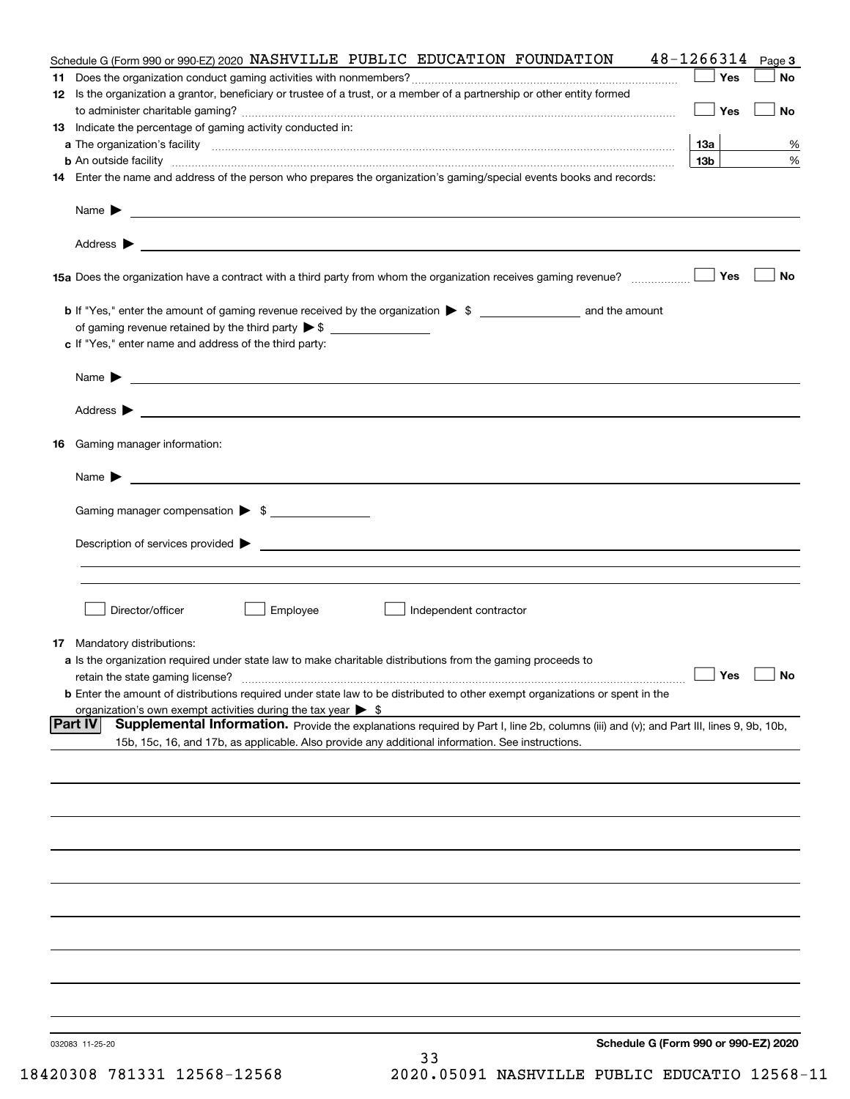|    | Schedule G (Form 990 or 990-EZ) 2020 NASHVILLE PUBLIC EDUCATION FOUNDATION                                                                                                                                                                                   | 48-1266314      | Page 3    |
|----|--------------------------------------------------------------------------------------------------------------------------------------------------------------------------------------------------------------------------------------------------------------|-----------------|-----------|
|    |                                                                                                                                                                                                                                                              | Yes             | No        |
|    | 12 Is the organization a grantor, beneficiary or trustee of a trust, or a member of a partnership or other entity formed                                                                                                                                     | Yes             | No        |
|    | 13 Indicate the percentage of gaming activity conducted in:                                                                                                                                                                                                  |                 |           |
|    |                                                                                                                                                                                                                                                              | 13а             | %         |
|    |                                                                                                                                                                                                                                                              | 13 <sub>b</sub> | %         |
|    | 14 Enter the name and address of the person who prepares the organization's gaming/special events books and records:                                                                                                                                         |                 |           |
|    |                                                                                                                                                                                                                                                              |                 |           |
|    |                                                                                                                                                                                                                                                              |                 |           |
|    |                                                                                                                                                                                                                                                              | Yes             | No        |
|    |                                                                                                                                                                                                                                                              |                 |           |
|    | of gaming revenue retained by the third party $\triangleright$ \$                                                                                                                                                                                            |                 |           |
|    | c If "Yes," enter name and address of the third party:                                                                                                                                                                                                       |                 |           |
|    | Name $\blacktriangleright$<br><u> 1989 - Johann Barbara, martin amerikan basal dan berasal dan berasal dalam basal dan berasal dan berasal dan</u>                                                                                                           |                 |           |
|    | Address >                                                                                                                                                                                                                                                    |                 |           |
| 16 | Gaming manager information:                                                                                                                                                                                                                                  |                 |           |
|    | $Name \rightarrow$                                                                                                                                                                                                                                           |                 |           |
|    |                                                                                                                                                                                                                                                              |                 |           |
|    | Gaming manager compensation > \$                                                                                                                                                                                                                             |                 |           |
|    |                                                                                                                                                                                                                                                              |                 |           |
|    |                                                                                                                                                                                                                                                              |                 |           |
|    |                                                                                                                                                                                                                                                              |                 |           |
|    | Director/officer<br>Employee<br>Independent contractor                                                                                                                                                                                                       |                 |           |
|    | <b>17</b> Mandatory distributions:                                                                                                                                                                                                                           |                 |           |
|    | a Is the organization required under state law to make charitable distributions from the gaming proceeds to                                                                                                                                                  |                 |           |
|    | retain the state gaming license?                                                                                                                                                                                                                             | $\Box$ Yes      | $\Box$ No |
|    | <b>b</b> Enter the amount of distributions required under state law to be distributed to other exempt organizations or spent in the                                                                                                                          |                 |           |
|    | organization's own exempt activities during the tax year $\triangleright$ \$                                                                                                                                                                                 |                 |           |
|    | <b>Part IV</b><br>Supplemental Information. Provide the explanations required by Part I, line 2b, columns (iii) and (v); and Part III, lines 9, 9b, 10b,<br>15b, 15c, 16, and 17b, as applicable. Also provide any additional information. See instructions. |                 |           |
|    |                                                                                                                                                                                                                                                              |                 |           |
|    |                                                                                                                                                                                                                                                              |                 |           |
|    |                                                                                                                                                                                                                                                              |                 |           |
|    |                                                                                                                                                                                                                                                              |                 |           |
|    |                                                                                                                                                                                                                                                              |                 |           |
|    |                                                                                                                                                                                                                                                              |                 |           |
|    |                                                                                                                                                                                                                                                              |                 |           |
|    |                                                                                                                                                                                                                                                              |                 |           |
|    |                                                                                                                                                                                                                                                              |                 |           |
|    |                                                                                                                                                                                                                                                              |                 |           |
|    | Schedule G (Form 990 or 990-EZ) 2020<br>032083 11-25-20                                                                                                                                                                                                      |                 |           |
|    | 33                                                                                                                                                                                                                                                           |                 |           |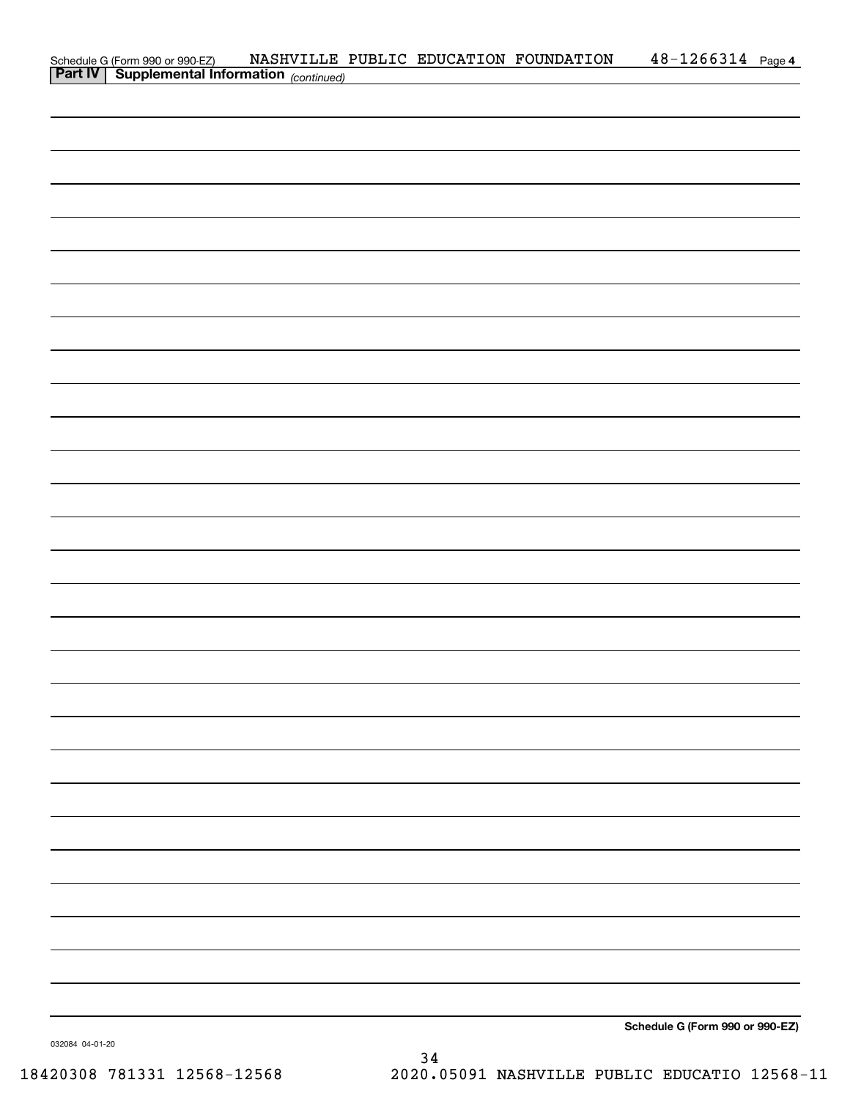|                                                                                               |  | NASHVILLE PUBLIC EDUCATION FOUNDATION | $48 - 1266314$ Page 4           |  |
|-----------------------------------------------------------------------------------------------|--|---------------------------------------|---------------------------------|--|
| Schedule G (Form 990 or 990-EZ) NASHVILLE :<br>Part IV   Supplemental Information (continued) |  |                                       |                                 |  |
|                                                                                               |  |                                       |                                 |  |
|                                                                                               |  |                                       |                                 |  |
|                                                                                               |  |                                       |                                 |  |
|                                                                                               |  |                                       |                                 |  |
|                                                                                               |  |                                       |                                 |  |
|                                                                                               |  |                                       |                                 |  |
|                                                                                               |  |                                       |                                 |  |
|                                                                                               |  |                                       |                                 |  |
|                                                                                               |  |                                       |                                 |  |
|                                                                                               |  |                                       |                                 |  |
|                                                                                               |  |                                       |                                 |  |
|                                                                                               |  |                                       |                                 |  |
|                                                                                               |  |                                       |                                 |  |
|                                                                                               |  |                                       |                                 |  |
|                                                                                               |  |                                       |                                 |  |
|                                                                                               |  |                                       |                                 |  |
|                                                                                               |  |                                       |                                 |  |
|                                                                                               |  |                                       |                                 |  |
|                                                                                               |  |                                       |                                 |  |
|                                                                                               |  |                                       |                                 |  |
|                                                                                               |  |                                       |                                 |  |
|                                                                                               |  |                                       |                                 |  |
|                                                                                               |  |                                       |                                 |  |
|                                                                                               |  |                                       |                                 |  |
|                                                                                               |  |                                       |                                 |  |
|                                                                                               |  |                                       |                                 |  |
|                                                                                               |  |                                       |                                 |  |
|                                                                                               |  |                                       |                                 |  |
|                                                                                               |  |                                       |                                 |  |
|                                                                                               |  |                                       |                                 |  |
|                                                                                               |  |                                       |                                 |  |
|                                                                                               |  |                                       |                                 |  |
|                                                                                               |  |                                       |                                 |  |
|                                                                                               |  |                                       |                                 |  |
|                                                                                               |  |                                       |                                 |  |
|                                                                                               |  |                                       |                                 |  |
|                                                                                               |  |                                       |                                 |  |
|                                                                                               |  |                                       |                                 |  |
|                                                                                               |  |                                       |                                 |  |
|                                                                                               |  |                                       |                                 |  |
|                                                                                               |  |                                       |                                 |  |
|                                                                                               |  |                                       |                                 |  |
|                                                                                               |  |                                       |                                 |  |
|                                                                                               |  |                                       |                                 |  |
|                                                                                               |  |                                       | Schedule G (Form 990 or 990-EZ) |  |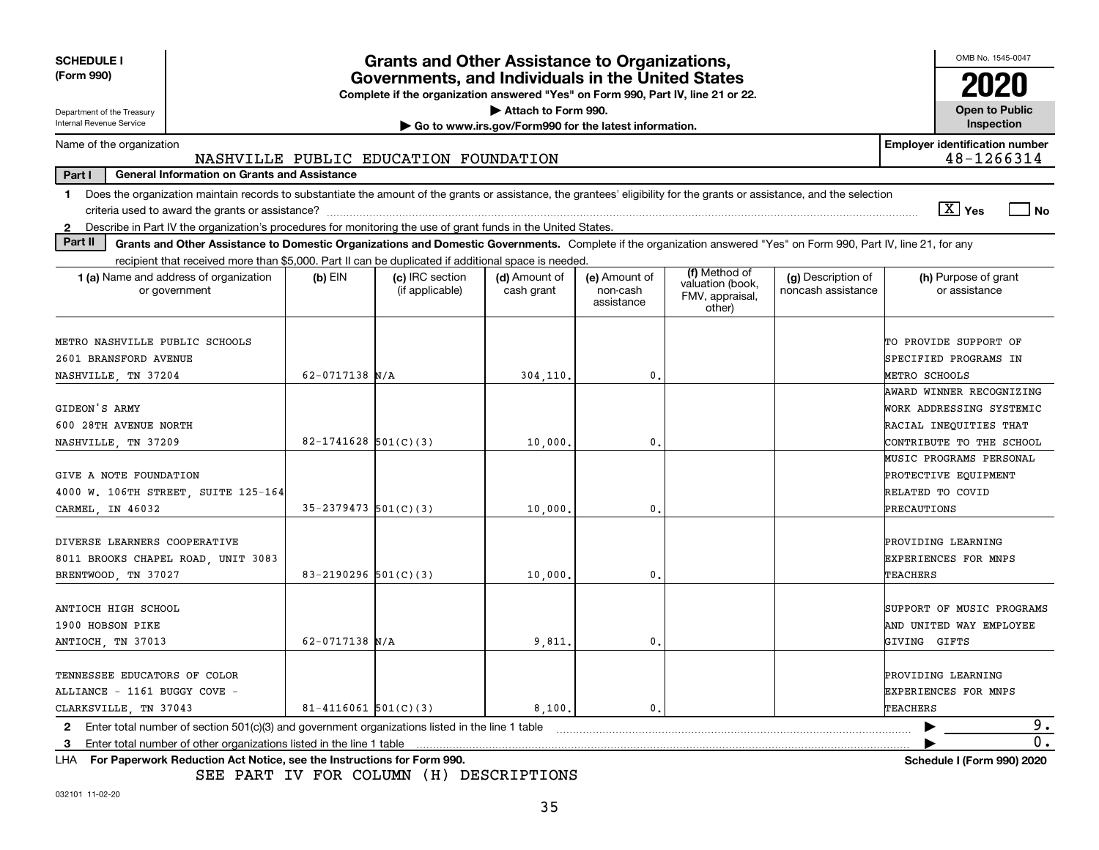| <b>SCHEDULE I</b>                                                                                                                                                              |                            | <b>Grants and Other Assistance to Organizations,</b> |                             |                                         |                                                                |                                          | OMB No. 1545-0047                                    |  |  |
|--------------------------------------------------------------------------------------------------------------------------------------------------------------------------------|----------------------------|------------------------------------------------------|-----------------------------|-----------------------------------------|----------------------------------------------------------------|------------------------------------------|------------------------------------------------------|--|--|
| (Form 990)                                                                                                                                                                     | 2020                       |                                                      |                             |                                         |                                                                |                                          |                                                      |  |  |
| Complete if the organization answered "Yes" on Form 990, Part IV, line 21 or 22.<br>Attach to Form 990.<br>Department of the Treasury                                          |                            |                                                      |                             |                                         |                                                                |                                          |                                                      |  |  |
| <b>Open to Public</b><br>Internal Revenue Service<br>Inspection<br>Go to www.irs.gov/Form990 for the latest information.                                                       |                            |                                                      |                             |                                         |                                                                |                                          |                                                      |  |  |
| Name of the organization                                                                                                                                                       |                            |                                                      |                             |                                         |                                                                |                                          | <b>Employer identification number</b>                |  |  |
|                                                                                                                                                                                |                            | NASHVILLE PUBLIC EDUCATION FOUNDATION                |                             |                                         |                                                                |                                          | 48-1266314                                           |  |  |
| Part I<br>General Information on Grants and Assistance                                                                                                                         |                            |                                                      |                             |                                         |                                                                |                                          |                                                      |  |  |
| Does the organization maintain records to substantiate the amount of the grants or assistance, the grantees' eligibility for the grants or assistance, and the selection<br>1. |                            |                                                      |                             |                                         |                                                                |                                          | $\boxed{\text{X}}$ Yes<br>$ $ No                     |  |  |
| Describe in Part IV the organization's procedures for monitoring the use of grant funds in the United States.<br>$\mathbf{2}$                                                  |                            |                                                      |                             |                                         |                                                                |                                          |                                                      |  |  |
| Part II<br>Grants and Other Assistance to Domestic Organizations and Domestic Governments. Complete if the organization answered "Yes" on Form 990, Part IV, line 21, for any  |                            |                                                      |                             |                                         |                                                                |                                          |                                                      |  |  |
| recipient that received more than \$5,000. Part II can be duplicated if additional space is needed.                                                                            |                            |                                                      |                             |                                         |                                                                |                                          |                                                      |  |  |
| 1 (a) Name and address of organization<br>or government                                                                                                                        | $(b)$ EIN                  | (c) IRC section<br>(if applicable)                   | (d) Amount of<br>cash grant | (e) Amount of<br>non-cash<br>assistance | (f) Method of<br>valuation (book,<br>FMV, appraisal,<br>other) | (g) Description of<br>noncash assistance | (h) Purpose of grant<br>or assistance                |  |  |
| METRO NASHVILLE PUBLIC SCHOOLS                                                                                                                                                 |                            |                                                      |                             |                                         |                                                                |                                          | TO PROVIDE SUPPORT OF                                |  |  |
| 2601 BRANSFORD AVENUE                                                                                                                                                          |                            |                                                      |                             |                                         |                                                                |                                          | SPECIFIED PROGRAMS IN                                |  |  |
| NASHVILLE, TN 37204                                                                                                                                                            | $62 - 0717138$ N/A         |                                                      | 304,110.                    | $\mathbf{0}$                            |                                                                |                                          | METRO SCHOOLS                                        |  |  |
|                                                                                                                                                                                |                            |                                                      |                             |                                         |                                                                |                                          | AWARD WINNER RECOGNIZING                             |  |  |
| GIDEON'S ARMY                                                                                                                                                                  |                            |                                                      |                             |                                         |                                                                |                                          | WORK ADDRESSING SYSTEMIC                             |  |  |
| 600 28TH AVENUE NORTH                                                                                                                                                          |                            |                                                      |                             |                                         |                                                                |                                          | RACIAL INEQUITIES THAT                               |  |  |
| NASHVILLE, TN 37209                                                                                                                                                            | 82-1741628 $501(C)(3)$     |                                                      | 10,000                      | 0.                                      |                                                                |                                          | CONTRIBUTE TO THE SCHOOL                             |  |  |
|                                                                                                                                                                                |                            |                                                      |                             |                                         |                                                                |                                          | MUSIC PROGRAMS PERSONAL                              |  |  |
| GIVE A NOTE FOUNDATION<br>4000 W. 106TH STREET, SUITE 125-164                                                                                                                  |                            |                                                      |                             |                                         |                                                                |                                          | PROTECTIVE EQUIPMENT<br>RELATED TO COVID             |  |  |
| CARMEL, IN 46032                                                                                                                                                               | $35 - 2379473$ $501(C)(3)$ |                                                      | 10,000                      | 0                                       |                                                                |                                          | PRECAUTIONS                                          |  |  |
|                                                                                                                                                                                |                            |                                                      |                             |                                         |                                                                |                                          |                                                      |  |  |
| DIVERSE LEARNERS COOPERATIVE                                                                                                                                                   |                            |                                                      |                             |                                         |                                                                |                                          | PROVIDING LEARNING                                   |  |  |
| 8011 BROOKS CHAPEL ROAD, UNIT 3083                                                                                                                                             |                            |                                                      |                             |                                         |                                                                |                                          | EXPERIENCES FOR MNPS                                 |  |  |
| BRENTWOOD, TN 37027                                                                                                                                                            | 83-2190296 $501(C)(3)$     |                                                      | 10,000                      | 0                                       |                                                                |                                          | TEACHERS                                             |  |  |
|                                                                                                                                                                                |                            |                                                      |                             |                                         |                                                                |                                          |                                                      |  |  |
| ANTIOCH HIGH SCHOOL<br>1900 HOBSON PIKE                                                                                                                                        |                            |                                                      |                             |                                         |                                                                |                                          | SUPPORT OF MUSIC PROGRAMS<br>AND UNITED WAY EMPLOYEE |  |  |
| ANTIOCH, TN 37013                                                                                                                                                              | $62 - 0717138$ N/A         |                                                      | 9,811                       | 0                                       |                                                                |                                          | GIVING GIFTS                                         |  |  |
|                                                                                                                                                                                |                            |                                                      |                             |                                         |                                                                |                                          |                                                      |  |  |
| TENNESSEE EDUCATORS OF COLOR                                                                                                                                                   |                            |                                                      |                             |                                         |                                                                |                                          | PROVIDING LEARNING                                   |  |  |
| ALLIANCE - 1161 BUGGY COVE -                                                                                                                                                   |                            |                                                      |                             |                                         |                                                                |                                          | EXPERIENCES FOR MNPS                                 |  |  |
| CLARKSVILLE, TN 37043                                                                                                                                                          | $81 - 4116061$ $501(C)(3)$ |                                                      | 8,100,                      | $\mathbf{0}$ .                          |                                                                |                                          | TEACHERS                                             |  |  |
| Enter total number of section 501(c)(3) and government organizations listed in the line 1 table<br>2.                                                                          |                            |                                                      |                             |                                         |                                                                |                                          | 9.                                                   |  |  |
| Enter total number of other organizations listed in the line 1 table<br>3                                                                                                      |                            |                                                      |                             |                                         |                                                                |                                          | 0.                                                   |  |  |
| For Paperwork Reduction Act Notice, see the Instructions for Form 990.<br>LHA.                                                                                                 |                            |                                                      |                             |                                         |                                                                |                                          | Schedule I (Form 990) 2020                           |  |  |

SEE PART IV FOR COLUMN (H) DESCRIPTIONS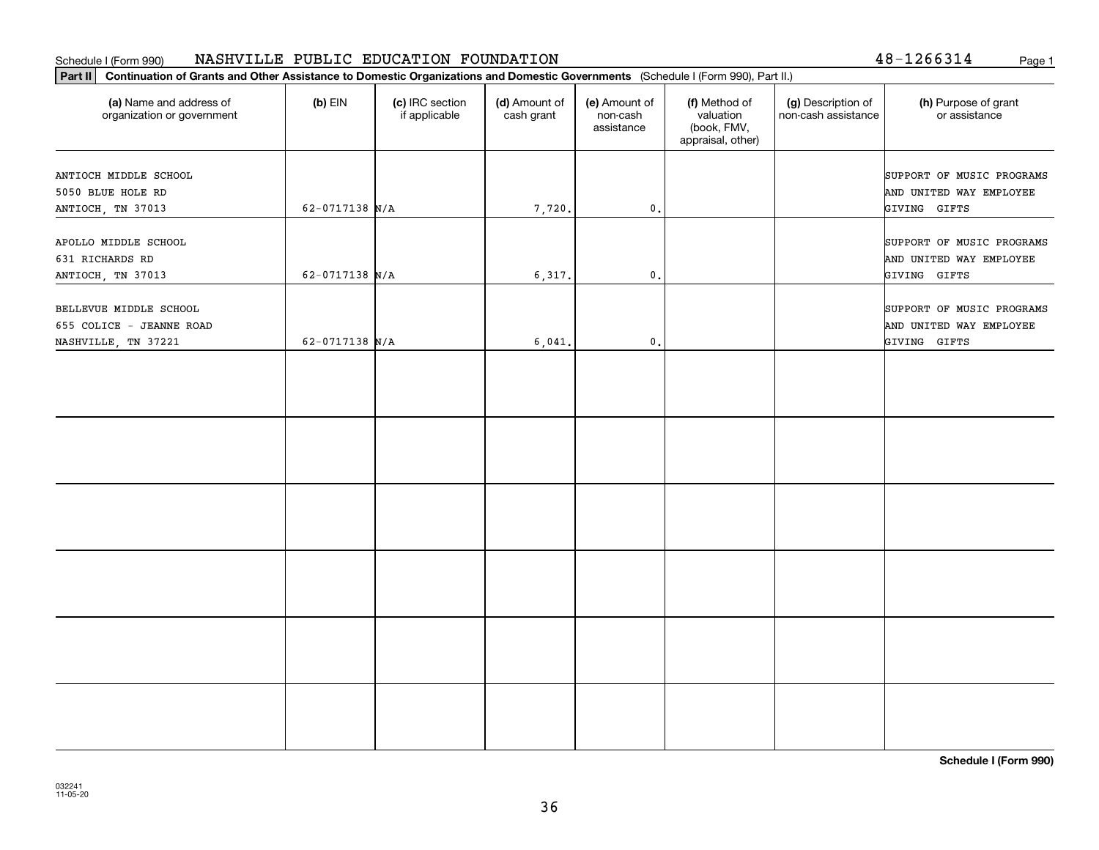#### Schedule I (Form 990) Page 1 NASHVILLE PUBLIC EDUCATION FOUNDATION

48-1266314

| Part II   Continuation of Grants and Other Assistance to Domestic Organizations and Domestic Governments (Schedule I (Form 990), Part II.) |                    |                                  |                             |                                         |                                                                |                                           |                                                                      |  |
|--------------------------------------------------------------------------------------------------------------------------------------------|--------------------|----------------------------------|-----------------------------|-----------------------------------------|----------------------------------------------------------------|-------------------------------------------|----------------------------------------------------------------------|--|
| (a) Name and address of<br>organization or government                                                                                      | $(b)$ EIN          | (c) IRC section<br>if applicable | (d) Amount of<br>cash grant | (e) Amount of<br>non-cash<br>assistance | (f) Method of<br>valuation<br>(book, FMV,<br>appraisal, other) | (g) Description of<br>non-cash assistance | (h) Purpose of grant<br>or assistance                                |  |
| ANTIOCH MIDDLE SCHOOL<br>5050 BLUE HOLE RD<br>ANTIOCH, TN 37013                                                                            | $62 - 0717138 N/A$ |                                  | 7,720.                      | $\mathsf{0}$ .                          |                                                                |                                           | SUPPORT OF MUSIC PROGRAMS<br>AND UNITED WAY EMPLOYEE<br>GIVING GIFTS |  |
| APOLLO MIDDLE SCHOOL<br>631 RICHARDS RD<br>ANTIOCH, TN 37013                                                                               | $62 - 0717138 N/A$ |                                  | 6,317.                      | $\mathfrak o$ .                         |                                                                |                                           | SUPPORT OF MUSIC PROGRAMS<br>AND UNITED WAY EMPLOYEE<br>GIVING GIFTS |  |
| BELLEVUE MIDDLE SCHOOL<br>655 COLICE - JEANNE ROAD<br>NASHVILLE, TN 37221                                                                  | $62 - 0717138$ N/A |                                  | 6,041.                      | $\mathbf{0}$ .                          |                                                                |                                           | SUPPORT OF MUSIC PROGRAMS<br>AND UNITED WAY EMPLOYEE<br>GIVING GIFTS |  |
|                                                                                                                                            |                    |                                  |                             |                                         |                                                                |                                           |                                                                      |  |
|                                                                                                                                            |                    |                                  |                             |                                         |                                                                |                                           |                                                                      |  |
|                                                                                                                                            |                    |                                  |                             |                                         |                                                                |                                           |                                                                      |  |
|                                                                                                                                            |                    |                                  |                             |                                         |                                                                |                                           |                                                                      |  |
|                                                                                                                                            |                    |                                  |                             |                                         |                                                                |                                           |                                                                      |  |
|                                                                                                                                            |                    |                                  |                             |                                         |                                                                |                                           |                                                                      |  |

**Schedule I (Form 990)**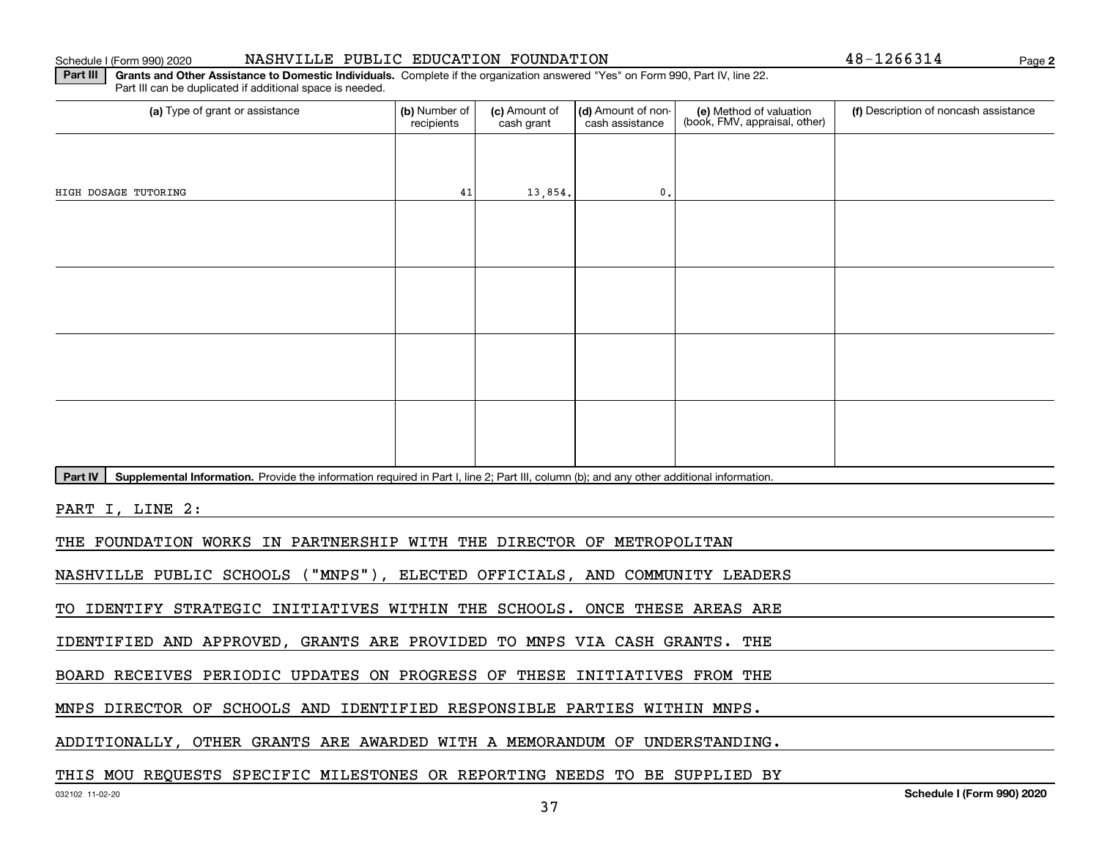#### Schedule I (Form 990) 2020 NASHVILLE PUBLIC EDUCATION FOUNDATION Page

**2**

**Part III | Grants and Other Assistance to Domestic Individuals. Complete if the organization answered "Yes" on Form 990, Part IV, line 22.** Part III can be duplicated if additional space is needed.

| (a) Type of grant or assistance                                                                                                                      | (b) Number of | (c) Amount of | (d) Amount of non- |                                                          | (f) Description of noncash assistance |  |  |  |  |  |
|------------------------------------------------------------------------------------------------------------------------------------------------------|---------------|---------------|--------------------|----------------------------------------------------------|---------------------------------------|--|--|--|--|--|
|                                                                                                                                                      | recipients    | cash grant    | cash assistance    | (e) Method of valuation<br>(book, FMV, appraisal, other) |                                       |  |  |  |  |  |
|                                                                                                                                                      |               |               |                    |                                                          |                                       |  |  |  |  |  |
|                                                                                                                                                      |               |               |                    |                                                          |                                       |  |  |  |  |  |
| HIGH DOSAGE TUTORING                                                                                                                                 | 41            | 13,854.       | 0.                 |                                                          |                                       |  |  |  |  |  |
|                                                                                                                                                      |               |               |                    |                                                          |                                       |  |  |  |  |  |
|                                                                                                                                                      |               |               |                    |                                                          |                                       |  |  |  |  |  |
|                                                                                                                                                      |               |               |                    |                                                          |                                       |  |  |  |  |  |
|                                                                                                                                                      |               |               |                    |                                                          |                                       |  |  |  |  |  |
|                                                                                                                                                      |               |               |                    |                                                          |                                       |  |  |  |  |  |
|                                                                                                                                                      |               |               |                    |                                                          |                                       |  |  |  |  |  |
|                                                                                                                                                      |               |               |                    |                                                          |                                       |  |  |  |  |  |
|                                                                                                                                                      |               |               |                    |                                                          |                                       |  |  |  |  |  |
|                                                                                                                                                      |               |               |                    |                                                          |                                       |  |  |  |  |  |
|                                                                                                                                                      |               |               |                    |                                                          |                                       |  |  |  |  |  |
|                                                                                                                                                      |               |               |                    |                                                          |                                       |  |  |  |  |  |
|                                                                                                                                                      |               |               |                    |                                                          |                                       |  |  |  |  |  |
| Supplemental Information. Provide the information required in Part I, line 2; Part III, column (b); and any other additional information.<br>Part IV |               |               |                    |                                                          |                                       |  |  |  |  |  |
|                                                                                                                                                      |               |               |                    |                                                          |                                       |  |  |  |  |  |
| PART I, LINE 2:                                                                                                                                      |               |               |                    |                                                          |                                       |  |  |  |  |  |
| THE FOUNDATION WORKS IN PARTNERSHIP WITH THE DIRECTOR OF METROPOLITAN                                                                                |               |               |                    |                                                          |                                       |  |  |  |  |  |
|                                                                                                                                                      |               |               |                    |                                                          |                                       |  |  |  |  |  |
| NASHVILLE PUBLIC SCHOOLS ("MNPS"), ELECTED OFFICIALS, AND COMMUNITY LEADERS                                                                          |               |               |                    |                                                          |                                       |  |  |  |  |  |
| TO IDENTIFY STRATEGIC INITIATIVES WITHIN THE SCHOOLS. ONCE THESE AREAS ARE                                                                           |               |               |                    |                                                          |                                       |  |  |  |  |  |
|                                                                                                                                                      |               |               |                    |                                                          |                                       |  |  |  |  |  |
| IDENTIFIED AND APPROVED, GRANTS ARE PROVIDED TO MNPS VIA CASH GRANTS. THE                                                                            |               |               |                    |                                                          |                                       |  |  |  |  |  |
| BOARD RECEIVES PERIODIC UPDATES ON PROGRESS OF THESE INITIATIVES FROM THE                                                                            |               |               |                    |                                                          |                                       |  |  |  |  |  |

MNPS DIRECTOR OF SCHOOLS AND IDENTIFIED RESPONSIBLE PARTIES WITHIN MNPS.

ADDITIONALLY, OTHER GRANTS ARE AWARDED WITH A MEMORANDUM OF UNDERSTANDING.

## THIS MOU REQUESTS SPECIFIC MILESTONES OR REPORTING NEEDS TO BE SUPPLIED BY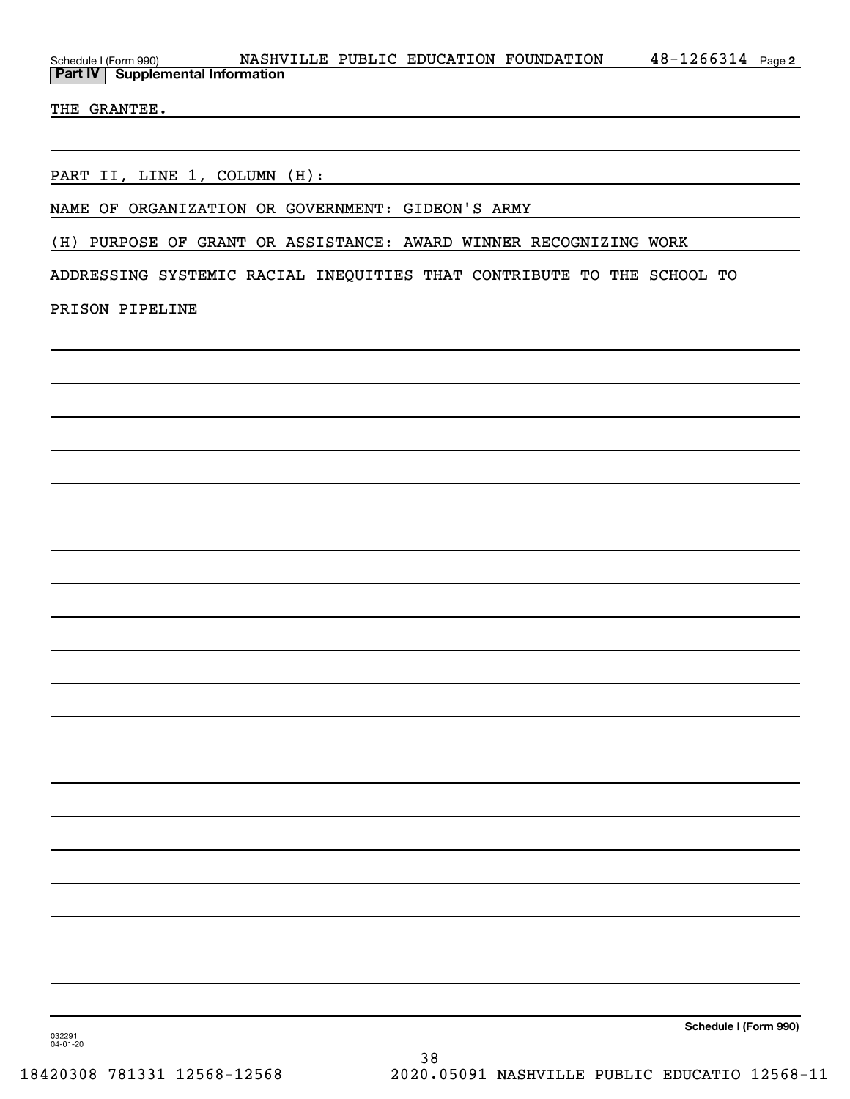| Schedule I (Form 990) |                                           |  | NASHVILLE PUBLIC EDUCATION FOUNDATION | $48 - 1266314$ Page 2 |  |
|-----------------------|-------------------------------------------|--|---------------------------------------|-----------------------|--|
|                       | <b>Part IV   Supplemental Information</b> |  |                                       |                       |  |

#### THE GRANTEE.

PART II, LINE 1, COLUMN (H):

NAME OF ORGANIZATION OR GOVERNMENT: GIDEON'S ARMY

(H) PURPOSE OF GRANT OR ASSISTANCE: AWARD WINNER RECOGNIZING WORK

ADDRESSING SYSTEMIC RACIAL INEQUITIES THAT CONTRIBUTE TO THE SCHOOL TO

### PRISON PIPELINE

**Schedule I (Form 990)**

032291 04-01-20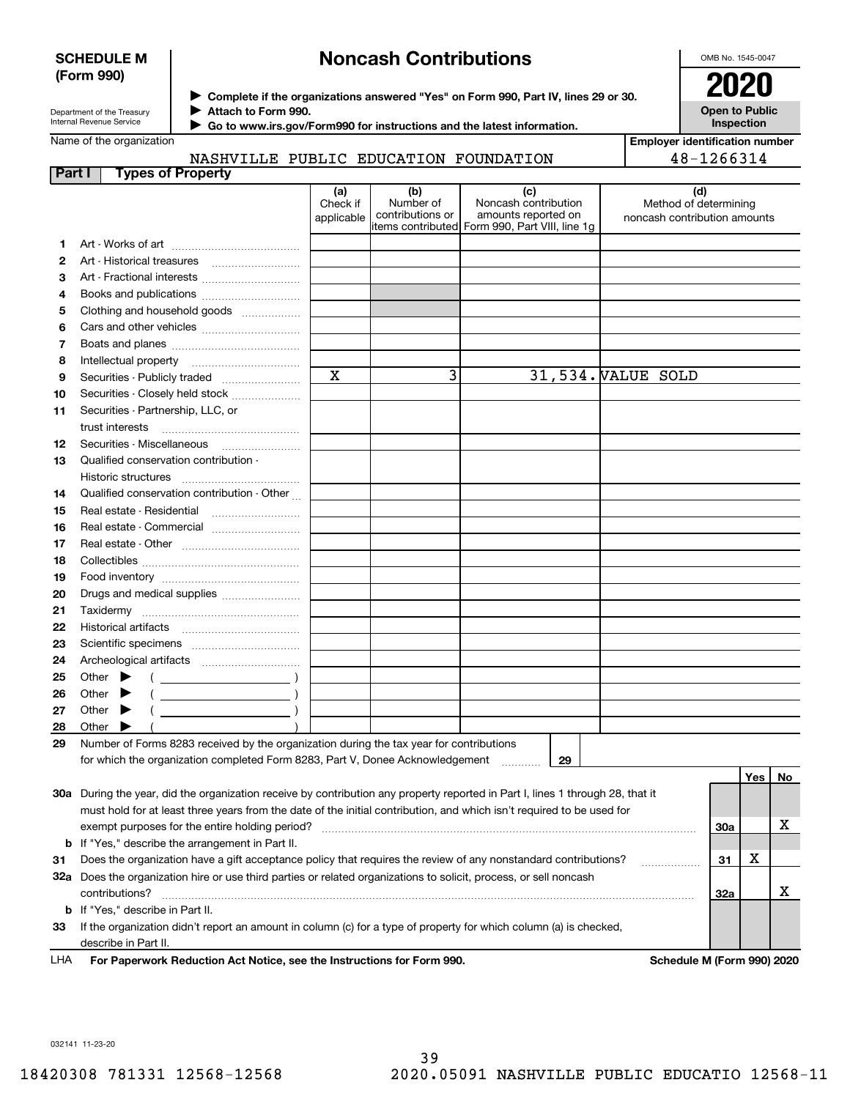## **SCHEDULE M (Form 990)**

# **Noncash Contributions**

OMB No. 1545-0047

| Department of the Treasury |
|----------------------------|
| Internal Revenue Service   |

**Complete if the organizations answered "Yes" on Form 990, Part IV, lines 29 or 30.** <sup>J</sup>**2020 Attach to Form 990.** J

**Open to Public Inspection**

|  | Name of the organization |
|--|--------------------------|
|--|--------------------------|

 **Go to www.irs.gov/Form990 for instructions and the latest information.** J

**Employer identification number** 48-1266314

|               |                          |  | NASHVILLE PUBLIC EDUCATION FOUNDATION |  |
|---------------|--------------------------|--|---------------------------------------|--|
| <b>Part I</b> | <b>Tynes of Property</b> |  |                                       |  |

|          |                                                                                                                                     | (a)<br>Check if<br>applicable | (b)<br>Number of<br>contributions or | (c)<br>Noncash contribution<br>amounts reported on<br>items contributed Form 990, Part VIII, line 1g | (d)<br>Method of determining<br>noncash contribution amounts |     |     |         |
|----------|-------------------------------------------------------------------------------------------------------------------------------------|-------------------------------|--------------------------------------|------------------------------------------------------------------------------------------------------|--------------------------------------------------------------|-----|-----|---------|
| 1.       |                                                                                                                                     |                               |                                      |                                                                                                      |                                                              |     |     |         |
| 2        |                                                                                                                                     |                               |                                      |                                                                                                      |                                                              |     |     |         |
| З        | Art - Fractional interests                                                                                                          |                               |                                      |                                                                                                      |                                                              |     |     |         |
| 4        |                                                                                                                                     |                               |                                      |                                                                                                      |                                                              |     |     |         |
| 5        | Clothing and household goods                                                                                                        |                               |                                      |                                                                                                      |                                                              |     |     |         |
| 6        |                                                                                                                                     |                               |                                      |                                                                                                      |                                                              |     |     |         |
| 7        |                                                                                                                                     |                               |                                      |                                                                                                      |                                                              |     |     |         |
| 8        | Intellectual property                                                                                                               |                               |                                      |                                                                                                      |                                                              |     |     |         |
| 9        | Securities - Publicly traded                                                                                                        | $\overline{\mathbf{x}}$       | 3                                    |                                                                                                      | 31,534. VALUE SOLD                                           |     |     |         |
| 10       | Securities - Closely held stock                                                                                                     |                               |                                      |                                                                                                      |                                                              |     |     |         |
| 11       | Securities - Partnership, LLC, or                                                                                                   |                               |                                      |                                                                                                      |                                                              |     |     |         |
|          | trust interests                                                                                                                     |                               |                                      |                                                                                                      |                                                              |     |     |         |
| 12       | Securities - Miscellaneous                                                                                                          |                               |                                      |                                                                                                      |                                                              |     |     |         |
| 13       | Qualified conservation contribution -                                                                                               |                               |                                      |                                                                                                      |                                                              |     |     |         |
|          | Historic structures                                                                                                                 |                               |                                      |                                                                                                      |                                                              |     |     |         |
| 14       | Qualified conservation contribution - Other                                                                                         |                               |                                      |                                                                                                      |                                                              |     |     |         |
| 15       | Real estate - Residential                                                                                                           |                               |                                      |                                                                                                      |                                                              |     |     |         |
| 16       | Real estate - Commercial                                                                                                            |                               |                                      |                                                                                                      |                                                              |     |     |         |
| 17       |                                                                                                                                     |                               |                                      |                                                                                                      |                                                              |     |     |         |
| 18       |                                                                                                                                     |                               |                                      |                                                                                                      |                                                              |     |     |         |
| 19       |                                                                                                                                     |                               |                                      |                                                                                                      |                                                              |     |     |         |
| 20       | Drugs and medical supplies                                                                                                          |                               |                                      |                                                                                                      |                                                              |     |     |         |
| 21       |                                                                                                                                     |                               |                                      |                                                                                                      |                                                              |     |     |         |
| 22       |                                                                                                                                     |                               |                                      |                                                                                                      |                                                              |     |     |         |
|          |                                                                                                                                     |                               |                                      |                                                                                                      |                                                              |     |     |         |
| 23       |                                                                                                                                     |                               |                                      |                                                                                                      |                                                              |     |     |         |
| 24       | Other $\blacktriangleright$                                                                                                         |                               |                                      |                                                                                                      |                                                              |     |     |         |
| 25<br>26 | $\left(\begin{array}{ccc}\n&\quad&\quad&\n\end{array}\right)$<br>Other $\blacktriangleright$                                        |                               |                                      |                                                                                                      |                                                              |     |     |         |
|          |                                                                                                                                     |                               |                                      |                                                                                                      |                                                              |     |     |         |
| 27       | Other $\blacktriangleright$<br><u> The Communication of the Communication</u>                                                       |                               |                                      |                                                                                                      |                                                              |     |     |         |
| 28       | Other<br>Number of Forms 8283 received by the organization during the tax year for contributions                                    |                               |                                      |                                                                                                      |                                                              |     |     |         |
| 29       | for which the organization completed Form 8283, Part V, Donee Acknowledgement                                                       |                               |                                      | 29                                                                                                   |                                                              |     |     |         |
|          |                                                                                                                                     |                               |                                      |                                                                                                      |                                                              |     |     |         |
|          | 30a During the year, did the organization receive by contribution any property reported in Part I, lines 1 through 28, that it      |                               |                                      |                                                                                                      |                                                              |     | Yes | No      |
|          | must hold for at least three years from the date of the initial contribution, and which isn't required to be used for               |                               |                                      |                                                                                                      |                                                              |     |     |         |
|          |                                                                                                                                     |                               |                                      |                                                                                                      |                                                              |     |     | х       |
|          | exempt purposes for the entire holding period?                                                                                      |                               |                                      |                                                                                                      |                                                              | 30a |     |         |
|          | <b>b</b> If "Yes," describe the arrangement in Part II.                                                                             |                               |                                      |                                                                                                      |                                                              |     | X   |         |
| 31       | Does the organization have a gift acceptance policy that requires the review of any nonstandard contributions?                      |                               |                                      |                                                                                                      |                                                              | 31  |     |         |
|          | 32a Does the organization hire or use third parties or related organizations to solicit, process, or sell noncash<br>contributions? |                               |                                      |                                                                                                      |                                                              | 32a |     | х       |
|          | <b>b</b> If "Yes," describe in Part II.                                                                                             |                               |                                      |                                                                                                      |                                                              |     |     |         |
| 33       | If the organization didn't report an amount in column (c) for a type of property for which column (a) is checked,                   |                               |                                      |                                                                                                      |                                                              |     |     |         |
|          | describe in Part II.                                                                                                                |                               |                                      |                                                                                                      |                                                              |     |     |         |
|          | ction. Ant Notice, and the Instructions for Form 000                                                                                |                               |                                      |                                                                                                      |                                                              |     |     | 0.00100 |

**For Paperwork Reduction Act Notice, see the Instructions for Form 990. Schedule M (Form 990) 2020** LHA

032141 11-23-20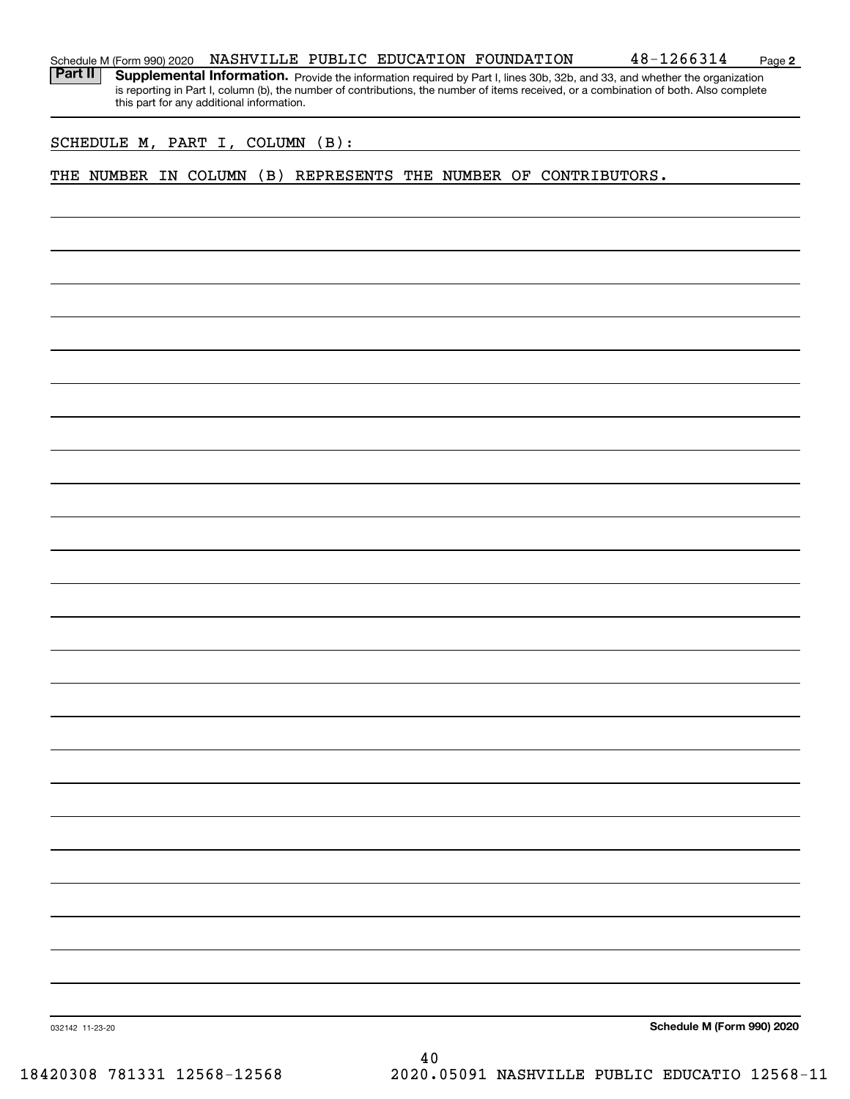|  | Schedule M (Form 990) 2020 |  |  |  | NASHVILLE PUBLIC EDUCATION FOUNDATION | -1266314<br>48– | Page |  |
|--|----------------------------|--|--|--|---------------------------------------|-----------------|------|--|
|--|----------------------------|--|--|--|---------------------------------------|-----------------|------|--|

**2**

Part II | Supplemental Information. Provide the information required by Part I, lines 30b, 32b, and 33, and whether the organization is reporting in Part I, column (b), the number of contributions, the number of items received, or a combination of both. Also complete this part for any additional information.

SCHEDULE M, PART I, COLUMN (B):

THE NUMBER IN COLUMN (B) REPRESENTS THE NUMBER OF CONTRIBUTORS.

**Schedule M (Form 990) 2020**

032142 11-23-20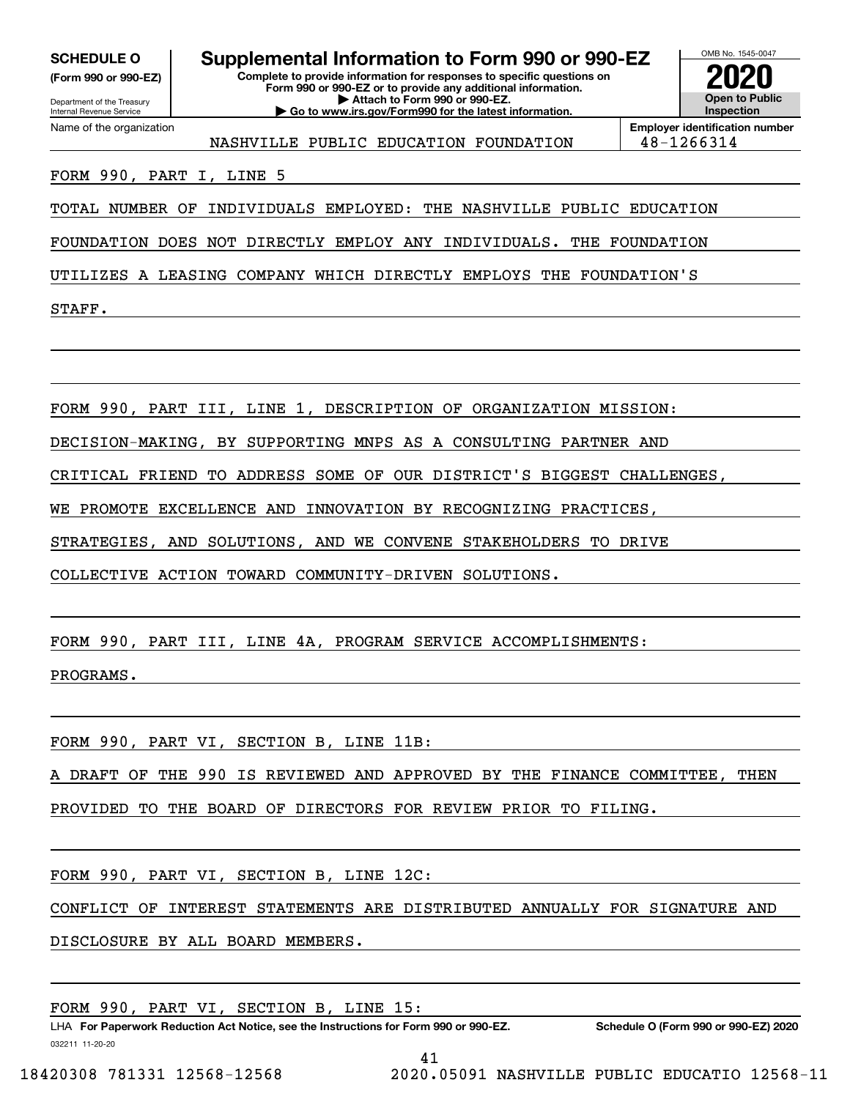**(Form 990 or 990-EZ)**

Department of the Treasury Internal Revenue Service Name of the organization

**Complete to provide information for responses to specific questions on SCHEDULE O Supplemental Information to Form 990 or 990-EZ**

**Form 990 or 990-EZ or to provide any additional information. | Attach to Form 990 or 990-EZ. | Go to www.irs.gov/Form990 for the latest information.**



NASHVILLE PUBLIC EDUCATION FOUNDATION 48-1266314

**Employer identification number**

FORM 990, PART I, LINE 5

TOTAL NUMBER OF INDIVIDUALS EMPLOYED: THE NASHVILLE PUBLIC EDUCATION

FOUNDATION DOES NOT DIRECTLY EMPLOY ANY INDIVIDUALS. THE FOUNDATION

UTILIZES A LEASING COMPANY WHICH DIRECTLY EMPLOYS THE FOUNDATION'S

STAFF.

FORM 990, PART III, LINE 1, DESCRIPTION OF ORGANIZATION MISSION:

DECISION-MAKING, BY SUPPORTING MNPS AS A CONSULTING PARTNER AND

CRITICAL FRIEND TO ADDRESS SOME OF OUR DISTRICT'S BIGGEST CHALLENGES,

WE PROMOTE EXCELLENCE AND INNOVATION BY RECOGNIZING PRACTICES,

STRATEGIES, AND SOLUTIONS, AND WE CONVENE STAKEHOLDERS TO DRIVE

COLLECTIVE ACTION TOWARD COMMUNITY-DRIVEN SOLUTIONS.

FORM 990, PART III, LINE 4A, PROGRAM SERVICE ACCOMPLISHMENTS:

PROGRAMS.

FORM 990, PART VI, SECTION B, LINE 11B:

DRAFT OF THE 990 IS REVIEWED AND APPROVED BY THE FINANCE COMMITTEE, THEN

PROVIDED TO THE BOARD OF DIRECTORS FOR REVIEW PRIOR TO FILING.

FORM 990, PART VI, SECTION B, LINE 12C:

CONFLICT OF INTEREST STATEMENTS ARE DISTRIBUTED ANNUALLY FOR SIGNATURE AND

DISCLOSURE BY ALL BOARD MEMBERS.

FORM 990, PART VI, SECTION B, LINE 15: